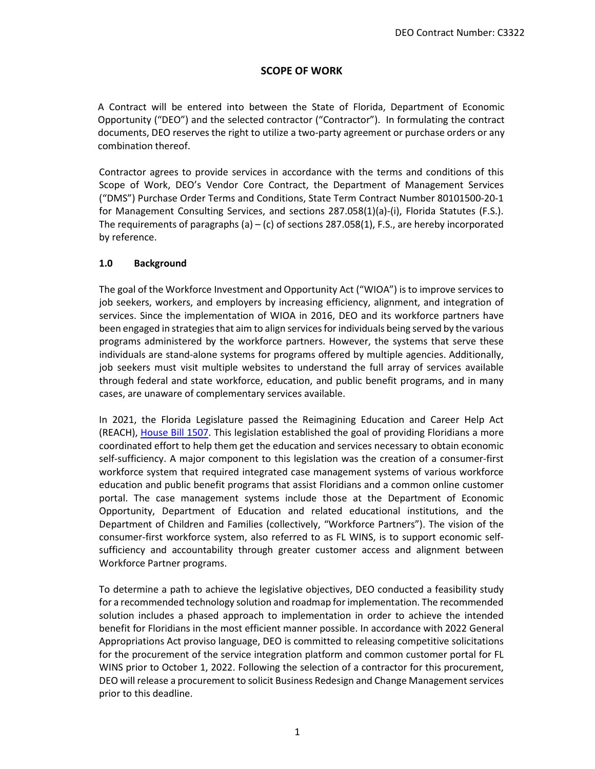# **SCOPE OF WORK**

A Contract will be entered into between the State of Florida, Department of Economic Opportunity ("DEO") and the selected contractor ("Contractor"). In formulating the contract documents, DEO reserves the right to utilize a two-party agreement or purchase orders or any combination thereof.

Contractor agrees to provide services in accordance with the terms and conditions of this Scope of Work, DEO's Vendor Core Contract, the Department of Management Services ("DMS") Purchase Order Terms and Conditions, State Term Contract Number 80101500-20-1 for Management Consulting Services, and sections 287.058(1)(a)-(i), Florida Statutes (F.S.). The requirements of paragraphs (a)  $-$  (c) of sections 287.058(1), F.S., are hereby incorporated by reference.

## **1.0 Background**

The goal of the Workforce Investment and Opportunity Act ("WIOA") is to improve services to job seekers, workers, and employers by increasing efficiency, alignment, and integration of services. Since the implementation of WIOA in 2016, DEO and its workforce partners have been engaged in strategies that aim to align services for individuals being served by the various programs administered by the workforce partners. However, the systems that serve these individuals are stand-alone systems for programs offered by multiple agencies. Additionally, job seekers must visit multiple websites to understand the full array of services available through federal and state workforce, education, and public benefit programs, and in many cases, are unaware of complementary services available.

In 2021, the Florida Legislature passed the Reimagining Education and Career Help Act (REACH), [House Bill 1507.](http://laws.flrules.org/node/8352) This legislation established the goal of providing Floridians a more coordinated effort to help them get the education and services necessary to obtain economic self-sufficiency. A major component to this legislation was the creation of a consumer-first workforce system that required integrated case management systems of various workforce education and public benefit programs that assist Floridians and a common online customer portal. The case management systems include those at the Department of Economic Opportunity, Department of Education and related educational institutions, and the Department of Children and Families (collectively, "Workforce Partners"). The vision of the consumer-first workforce system, also referred to as FL WINS, is to support economic selfsufficiency and accountability through greater customer access and alignment between Workforce Partner programs.

To determine a path to achieve the legislative objectives, DEO conducted a feasibility study for a recommended technology solution and roadmap for implementation. The recommended solution includes a phased approach to implementation in order to achieve the intended benefit for Floridians in the most efficient manner possible. In accordance with 2022 General Appropriations Act proviso language, DEO is committed to releasing competitive solicitations for the procurement of the service integration platform and common customer portal for FL WINS prior to October 1, 2022. Following the selection of a contractor for this procurement, DEO will release a procurement to solicit Business Redesign and Change Management services prior to this deadline.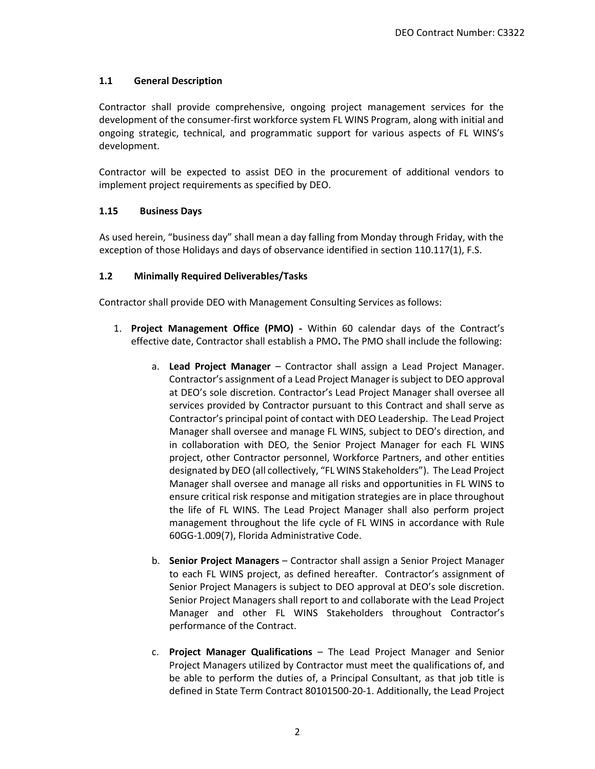## **1.1 General Description**

Contractor shall provide comprehensive, ongoing project management services for the development of the consumer-first workforce system FL WINS Program, along with initial and ongoing strategic, technical, and programmatic support for various aspects of FL WINS's development.

Contractor will be expected to assist DEO in the procurement of additional vendors to implement project requirements as specified by DEO.

### **1.15 Business Days**

As used herein, "business day" shall mean a day falling from Monday through Friday, with the exception of those Holidays and days of observance identified in section 110.117(1), F.S.

## **1.2 Minimally Required Deliverables/Tasks**

Contractor shall provide DEO with Management Consulting Services as follows:

- 1. **Project Management Office (PMO) -** Within 60 calendar days of the Contract's effective date, Contractor shall establish a PMO**.** The PMO shall include the following:
	- a. **Lead Project Manager** Contractor shall assign a Lead Project Manager. Contractor's assignment of a Lead Project Manager is subject to DEO approval at DEO's sole discretion. Contractor's Lead Project Manager shall oversee all services provided by Contractor pursuant to this Contract and shall serve as Contractor's principal point of contact with DEO Leadership. The Lead Project Manager shall oversee and manage FL WINS, subject to DEO's direction, and in collaboration with DEO, the Senior Project Manager for each FL WINS project, other Contractor personnel, Workforce Partners, and other entities designated by DEO (all collectively, "FL WINS Stakeholders"). The Lead Project Manager shall oversee and manage all risks and opportunities in FL WINS to ensure critical risk response and mitigation strategies are in place throughout the life of FL WINS. The Lead Project Manager shall also perform project management throughout the life cycle of FL WINS in accordance with Rule 60GG-1.009(7), Florida Administrative Code.
	- b. **Senior Project Managers** Contractor shall assign a Senior Project Manager to each FL WINS project, as defined hereafter. Contractor's assignment of Senior Project Managers is subject to DEO approval at DEO's sole discretion. Senior Project Managers shall report to and collaborate with the Lead Project Manager and other FL WINS Stakeholders throughout Contractor's performance of the Contract.
	- c. **Project Manager Qualifications** The Lead Project Manager and Senior Project Managers utilized by Contractor must meet the qualifications of, and be able to perform the duties of, a Principal Consultant, as that job title is defined in State Term Contract 80101500-20-1. Additionally, the Lead Project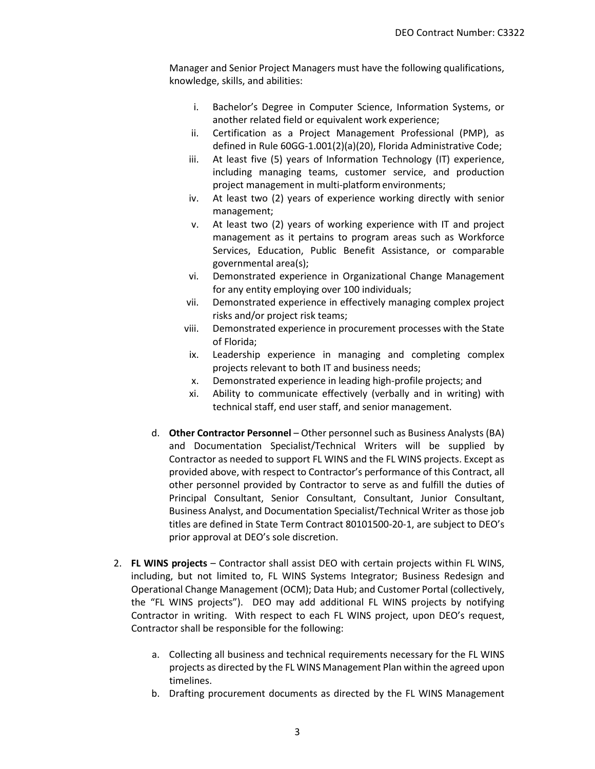Manager and Senior Project Managers must have the following qualifications, knowledge, skills, and abilities:

- i. Bachelor's Degree in Computer Science, Information Systems, or another related field or equivalent work experience;
- ii. Certification as a Project Management Professional (PMP), as defined in Rule 60GG-1.001(2)(a)(20), Florida Administrative Code;
- iii. At least five (5) years of Information Technology (IT) experience, including managing teams, customer service, and production project management in multi-platform environments;
- iv. At least two (2) years of experience working directly with senior management;
- v. At least two (2) years of working experience with IT and project management as it pertains to program areas such as Workforce Services, Education, Public Benefit Assistance, or comparable governmental area(s);
- vi. Demonstrated experience in Organizational Change Management for any entity employing over 100 individuals;
- vii. Demonstrated experience in effectively managing complex project risks and/or project risk teams;
- viii. Demonstrated experience in procurement processes with the State of Florida;
- ix. Leadership experience in managing and completing complex projects relevant to both IT and business needs;
- x. Demonstrated experience in leading high-profile projects; and
- xi. Ability to communicate effectively (verbally and in writing) with technical staff, end user staff, and senior management.
- d. **Other Contractor Personnel** Other personnel such as Business Analysts (BA) and Documentation Specialist/Technical Writers will be supplied by Contractor as needed to support FL WINS and the FL WINS projects. Except as provided above, with respect to Contractor's performance of this Contract, all other personnel provided by Contractor to serve as and fulfill the duties of Principal Consultant, Senior Consultant, Consultant, Junior Consultant, Business Analyst, and Documentation Specialist/Technical Writer as those job titles are defined in State Term Contract 80101500-20-1, are subject to DEO's prior approval at DEO's sole discretion.
- 2. **FL WINS projects** Contractor shall assist DEO with certain projects within FL WINS, including, but not limited to, FL WINS Systems Integrator; Business Redesign and Operational Change Management (OCM); Data Hub; and Customer Portal (collectively, the "FL WINS projects"). DEO may add additional FL WINS projects by notifying Contractor in writing. With respect to each FL WINS project, upon DEO's request, Contractor shall be responsible for the following:
	- a. Collecting all business and technical requirements necessary for the FL WINS projects as directed by the FL WINS Management Plan within the agreed upon timelines.
	- b. Drafting procurement documents as directed by the FL WINS Management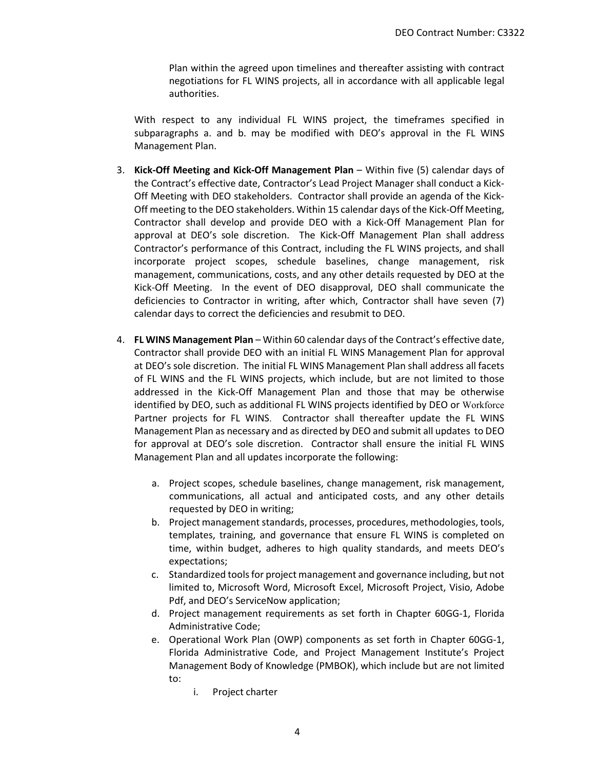Plan within the agreed upon timelines and thereafter assisting with contract negotiations for FL WINS projects, all in accordance with all applicable legal authorities.

With respect to any individual FL WINS project, the timeframes specified in subparagraphs a. and b. may be modified with DEO's approval in the FL WINS Management Plan.

- 3. **Kick-Off Meeting and Kick-Off Management Plan** Within five (5) calendar days of the Contract's effective date, Contractor's Lead Project Manager shall conduct a Kick-Off Meeting with DEO stakeholders. Contractor shall provide an agenda of the Kick-Off meeting to the DEO stakeholders. Within 15 calendar days of the Kick-Off Meeting, Contractor shall develop and provide DEO with a Kick-Off Management Plan for approval at DEO's sole discretion. The Kick-Off Management Plan shall address Contractor's performance of this Contract, including the FL WINS projects, and shall incorporate project scopes, schedule baselines, change management, risk management, communications, costs, and any other details requested by DEO at the Kick-Off Meeting. In the event of DEO disapproval, DEO shall communicate the deficiencies to Contractor in writing, after which, Contractor shall have seven (7) calendar days to correct the deficiencies and resubmit to DEO.
- 4. **FL WINS Management Plan** Within 60 calendar days of the Contract's effective date, Contractor shall provide DEO with an initial FL WINS Management Plan for approval at DEO's sole discretion. The initial FL WINS Management Plan shall address all facets of FL WINS and the FL WINS projects, which include, but are not limited to those addressed in the Kick-Off Management Plan and those that may be otherwise identified by DEO, such as additional FL WINS projects identified by DEO or Workforce Partner projects for FL WINS. Contractor shall thereafter update the FL WINS Management Plan as necessary and as directed by DEO and submit all updates to DEO for approval at DEO's sole discretion. Contractor shall ensure the initial FL WINS Management Plan and all updates incorporate the following:
	- a. Project scopes, schedule baselines, change management, risk management, communications, all actual and anticipated costs, and any other details requested by DEO in writing;
	- b. Project management standards, processes, procedures, methodologies, tools, templates, training, and governance that ensure FL WINS is completed on time, within budget, adheres to high quality standards, and meets DEO's expectations;
	- c. Standardized tools for project management and governance including, but not limited to, Microsoft Word, Microsoft Excel, Microsoft Project, Visio, Adobe Pdf, and DEO's ServiceNow application;
	- d. Project management requirements as set forth in Chapter 60GG-1, Florida Administrative Code;
	- e. Operational Work Plan (OWP) components as set forth in Chapter 60GG-1, Florida Administrative Code, and Project Management Institute's Project Management Body of Knowledge (PMBOK), which include but are not limited to:
		- i. Project charter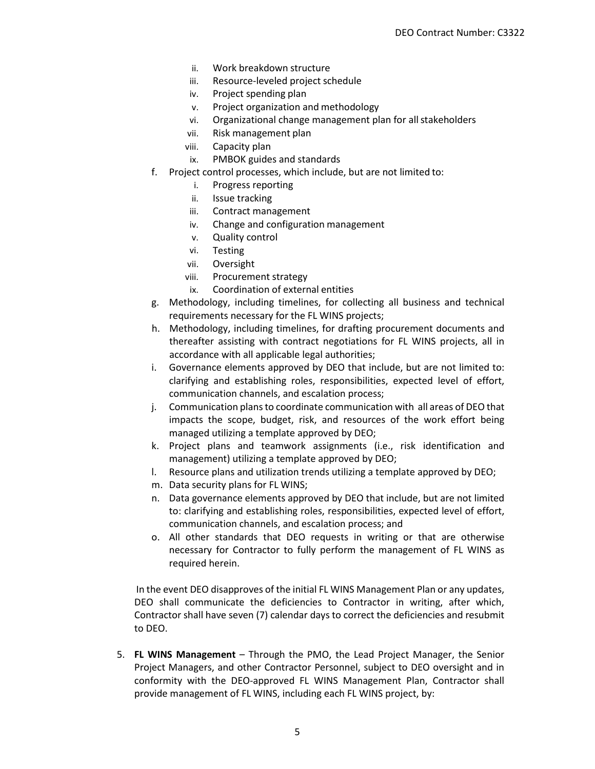- ii. Work breakdown structure
- iii. Resource-leveled project schedule
- iv. Project spending plan
- v. Project organization and methodology
- vi. Organizational change management plan for all stakeholders
- vii. Risk management plan
- viii. Capacity plan
- ix. PMBOK guides and standards
- f. Project control processes, which include, but are not limited to:
	- i. Progress reporting
	- ii. Issue tracking
	- iii. Contract management
	- iv. Change and configuration management
	- v. Quality control
	- vi. Testing
	- vii. Oversight
	- viii. Procurement strategy
	- ix. Coordination of external entities
- g. Methodology, including timelines, for collecting all business and technical requirements necessary for the FL WINS projects;
- h. Methodology, including timelines, for drafting procurement documents and thereafter assisting with contract negotiations for FL WINS projects, all in accordance with all applicable legal authorities;
- i. Governance elements approved by DEO that include, but are not limited to: clarifying and establishing roles, responsibilities, expected level of effort, communication channels, and escalation process;
- j. Communication plans to coordinate communication with all areas of DEO that impacts the scope, budget, risk, and resources of the work effort being managed utilizing a template approved by DEO;
- k. Project plans and teamwork assignments (i.e., risk identification and management) utilizing a template approved by DEO;
- l. Resource plans and utilization trends utilizing a template approved by DEO;
- m. Data security plans for FL WINS;
- n. Data governance elements approved by DEO that include, but are not limited to: clarifying and establishing roles, responsibilities, expected level of effort, communication channels, and escalation process; and
- o. All other standards that DEO requests in writing or that are otherwise necessary for Contractor to fully perform the management of FL WINS as required herein.

 In the event DEO disapproves of the initial FL WINS Management Plan or any updates, DEO shall communicate the deficiencies to Contractor in writing, after which, Contractor shall have seven (7) calendar days to correct the deficiencies and resubmit to DEO.

5. **FL WINS Management** – Through the PMO, the Lead Project Manager, the Senior Project Managers, and other Contractor Personnel, subject to DEO oversight and in conformity with the DEO-approved FL WINS Management Plan, Contractor shall provide management of FL WINS, including each FL WINS project, by: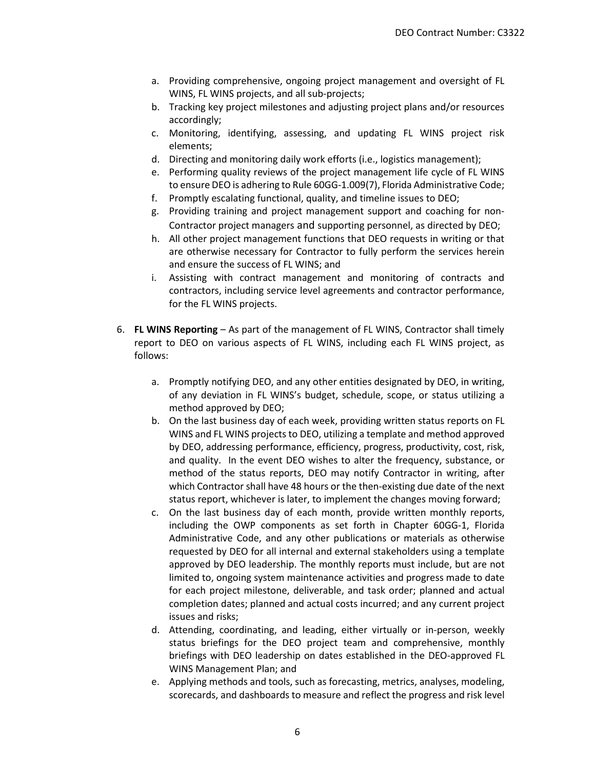- a. Providing comprehensive, ongoing project management and oversight of FL WINS, FL WINS projects, and all sub-projects;
- b. Tracking key project milestones and adjusting project plans and/or resources accordingly;
- c. Monitoring, identifying, assessing, and updating FL WINS project risk elements;
- d. Directing and monitoring daily work efforts (i.e., logistics management);
- e. Performing quality reviews of the project management life cycle of FL WINS to ensure DEO is adhering to Rule 60GG-1.009(7), Florida Administrative Code;
- f. Promptly escalating functional, quality, and timeline issues to DEO;
- g. Providing training and project management support and coaching for non-Contractor project managers and supporting personnel, as directed by DEO;
- h. All other project management functions that DEO requests in writing or that are otherwise necessary for Contractor to fully perform the services herein and ensure the success of FL WINS; and
- i. Assisting with contract management and monitoring of contracts and contractors, including service level agreements and contractor performance, for the FL WINS projects.
- 6. **FL WINS Reporting** As part of the management of FL WINS, Contractor shall timely report to DEO on various aspects of FL WINS, including each FL WINS project, as follows:
	- a. Promptly notifying DEO, and any other entities designated by DEO, in writing, of any deviation in FL WINS's budget, schedule, scope, or status utilizing a method approved by DEO;
	- b. On the last business day of each week, providing written status reports on FL WINS and FL WINS projects to DEO, utilizing a template and method approved by DEO, addressing performance, efficiency, progress, productivity, cost, risk, and quality. In the event DEO wishes to alter the frequency, substance, or method of the status reports, DEO may notify Contractor in writing, after which Contractor shall have 48 hours or the then-existing due date of the next status report, whichever is later, to implement the changes moving forward;
	- c. On the last business day of each month, provide written monthly reports, including the OWP components as set forth in Chapter 60GG-1, Florida Administrative Code, and any other publications or materials as otherwise requested by DEO for all internal and external stakeholders using a template approved by DEO leadership. The monthly reports must include, but are not limited to, ongoing system maintenance activities and progress made to date for each project milestone, deliverable, and task order; planned and actual completion dates; planned and actual costs incurred; and any current project issues and risks;
	- d. Attending, coordinating, and leading, either virtually or in-person, weekly status briefings for the DEO project team and comprehensive, monthly briefings with DEO leadership on dates established in the DEO-approved FL WINS Management Plan; and
	- e. Applying methods and tools, such as forecasting, metrics, analyses, modeling, scorecards, and dashboards to measure and reflect the progress and risk level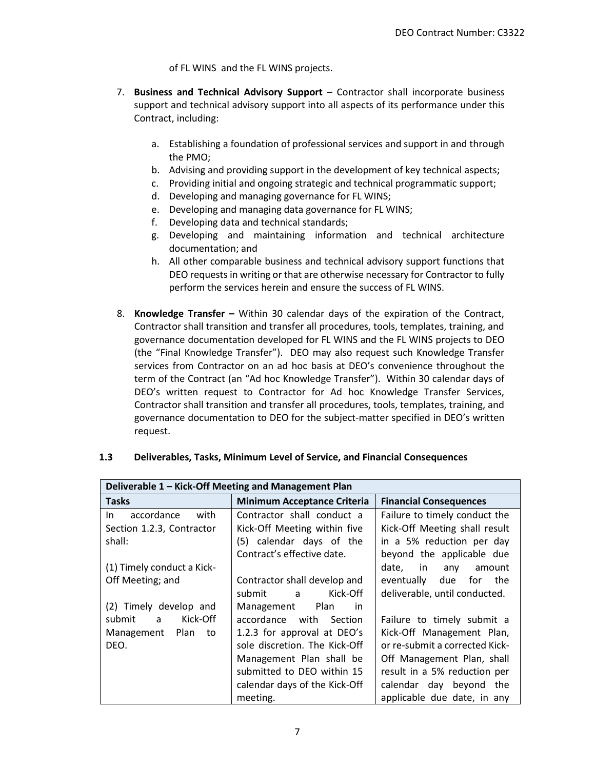of FL WINS and the FL WINS projects.

- 7. **Business and Technical Advisory Support** Contractor shall incorporate business support and technical advisory support into all aspects of its performance under this Contract, including:
	- a. Establishing a foundation of professional services and support in and through the PMO;
	- b. Advising and providing support in the development of key technical aspects;
	- c. Providing initial and ongoing strategic and technical programmatic support;
	- d. Developing and managing governance for FL WINS;
	- e. Developing and managing data governance for FL WINS;
	- f. Developing data and technical standards;
	- g. Developing and maintaining information and technical architecture documentation; and
	- h. All other comparable business and technical advisory support functions that DEO requests in writing or that are otherwise necessary for Contractor to fully perform the services herein and ensure the success of FL WINS.
- 8. **Knowledge Transfer –** Within 30 calendar days of the expiration of the Contract, Contractor shall transition and transfer all procedures, tools, templates, training, and governance documentation developed for FL WINS and the FL WINS projects to DEO (the "Final Knowledge Transfer"). DEO may also request such Knowledge Transfer services from Contractor on an ad hoc basis at DEO's convenience throughout the term of the Contract (an "Ad hoc Knowledge Transfer"). Within 30 calendar days of DEO's written request to Contractor for Ad hoc Knowledge Transfer Services, Contractor shall transition and transfer all procedures, tools, templates, training, and governance documentation to DEO for the subject-matter specified in DEO's written request.

| Deliverable 1 - Kick-Off Meeting and Management Plan |                                    |                                |  |
|------------------------------------------------------|------------------------------------|--------------------------------|--|
| <b>Tasks</b>                                         | <b>Minimum Acceptance Criteria</b> | <b>Financial Consequences</b>  |  |
| accordance<br>with<br>In I                           | Contractor shall conduct a         | Failure to timely conduct the  |  |
| Section 1.2.3, Contractor                            | Kick-Off Meeting within five       | Kick-Off Meeting shall result  |  |
| shall:                                               | (5) calendar days of the           | in a 5% reduction per day      |  |
|                                                      | Contract's effective date.         | beyond the applicable due      |  |
| (1) Timely conduct a Kick-                           |                                    | date, in<br>any<br>amount      |  |
| Off Meeting; and                                     | Contractor shall develop and       | due<br>for the<br>eventually   |  |
|                                                      | Kick-Off<br>submit<br>a a          | deliverable, until conducted.  |  |
| (2) Timely develop and                               | Plan<br>Management<br>in           |                                |  |
| Kick-Off<br>submit<br>$\overline{a}$                 | accordance with<br>Section         | Failure to timely submit a     |  |
| Management Plan<br>to                                | 1.2.3 for approval at DEO's        | Kick-Off Management Plan,      |  |
| DEO.                                                 | sole discretion. The Kick-Off      | or re-submit a corrected Kick- |  |
|                                                      | Management Plan shall be           | Off Management Plan, shall     |  |
|                                                      | submitted to DEO within 15         | result in a 5% reduction per   |  |
|                                                      | calendar days of the Kick-Off      | calendar day beyond the        |  |
|                                                      | meeting.                           | applicable due date, in any    |  |

### **1.3 Deliverables, Tasks, Minimum Level of Service, and Financial Consequences**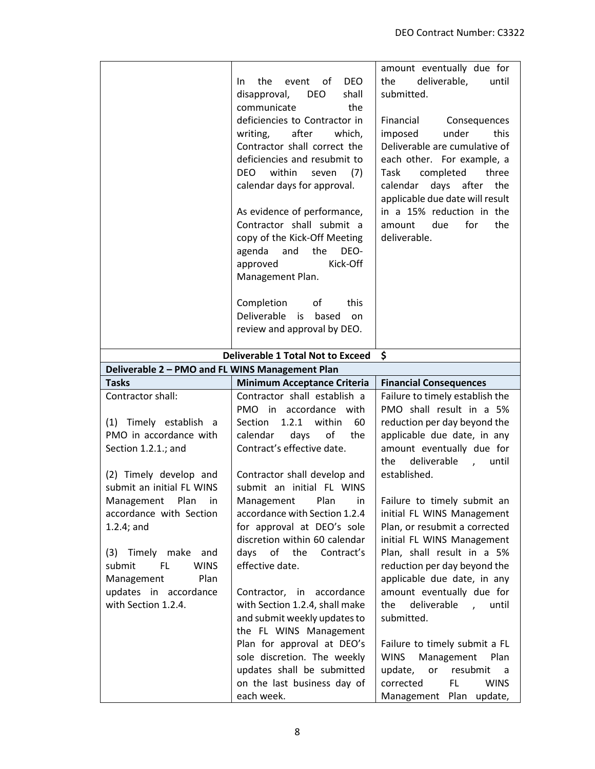|                                                                           | <b>DEO</b><br>the<br>event of<br>In.<br>disapproval,<br><b>DEO</b><br>shall<br>communicate<br>the<br>deficiencies to Contractor in<br>after<br>which,<br>writing,<br>Contractor shall correct the<br>deficiencies and resubmit to<br>DEO<br>within<br>(7)<br>seven<br>calendar days for approval.<br>As evidence of performance,<br>Contractor shall submit a<br>copy of the Kick-Off Meeting<br>agenda<br>and<br>the<br>DEO-<br>Kick-Off<br>approved<br>Management Plan.<br>Completion<br>of<br>this<br>Deliverable<br>is based<br>on<br>review and approval by DEO. | amount eventually due for<br>deliverable,<br>the<br>until<br>submitted.<br>Financial<br>Consequences<br>imposed<br>under<br>this<br>Deliverable are cumulative of<br>each other. For example, a<br>completed<br>three<br>Task<br>days after<br>calendar<br>the<br>applicable due date will result<br>in a 15% reduction in the<br>due<br>for<br>the<br>amount<br>deliverable. |
|---------------------------------------------------------------------------|-----------------------------------------------------------------------------------------------------------------------------------------------------------------------------------------------------------------------------------------------------------------------------------------------------------------------------------------------------------------------------------------------------------------------------------------------------------------------------------------------------------------------------------------------------------------------|-------------------------------------------------------------------------------------------------------------------------------------------------------------------------------------------------------------------------------------------------------------------------------------------------------------------------------------------------------------------------------|
|                                                                           | <b>Deliverable 1 Total Not to Exceed</b>                                                                                                                                                                                                                                                                                                                                                                                                                                                                                                                              | \$                                                                                                                                                                                                                                                                                                                                                                            |
| Deliverable 2 - PMO and FL WINS Management Plan                           |                                                                                                                                                                                                                                                                                                                                                                                                                                                                                                                                                                       |                                                                                                                                                                                                                                                                                                                                                                               |
| <b>Tasks</b>                                                              | <b>Minimum Acceptance Criteria</b>                                                                                                                                                                                                                                                                                                                                                                                                                                                                                                                                    | <b>Financial Consequences</b>                                                                                                                                                                                                                                                                                                                                                 |
| Contractor shall:                                                         | Contractor shall establish a<br>PMO in accordance with                                                                                                                                                                                                                                                                                                                                                                                                                                                                                                                | Failure to timely establish the<br>PMO shall result in a 5%                                                                                                                                                                                                                                                                                                                   |
| (1) Timely establish a                                                    | 1.2.1 within<br>Section<br>60                                                                                                                                                                                                                                                                                                                                                                                                                                                                                                                                         | reduction per day beyond the                                                                                                                                                                                                                                                                                                                                                  |
| PMO in accordance with<br>Section 1.2.1.; and                             | calendar<br>days<br>of<br>the<br>Contract's effective date.                                                                                                                                                                                                                                                                                                                                                                                                                                                                                                           | applicable due date, in any<br>amount eventually due for<br>the<br>deliverable<br>until<br>$\overline{1}$                                                                                                                                                                                                                                                                     |
| (2) Timely develop and<br>submit an initial FL WINS                       | Contractor shall develop and<br>submit an initial FL WINS                                                                                                                                                                                                                                                                                                                                                                                                                                                                                                             | established.                                                                                                                                                                                                                                                                                                                                                                  |
| Management Plan<br>in<br>accordance with Section<br>$1.2.4$ ; and         | Plan<br>Management<br>in<br>accordance with Section 1.2.4<br>for approval at DEO's sole<br>discretion within 60 calendar                                                                                                                                                                                                                                                                                                                                                                                                                                              | Failure to timely submit an<br>initial FL WINS Management<br>Plan, or resubmit a corrected<br>initial FL WINS Management                                                                                                                                                                                                                                                      |
| (3) Timely make and<br>submit<br>FL.<br><b>WINS</b><br>Plan<br>Management | days of the Contract's<br>effective date.                                                                                                                                                                                                                                                                                                                                                                                                                                                                                                                             | Plan, shall result in a 5%<br>reduction per day beyond the<br>applicable due date, in any                                                                                                                                                                                                                                                                                     |
| updates in accordance<br>with Section 1.2.4.                              | Contractor, in accordance<br>with Section 1.2.4, shall make<br>and submit weekly updates to<br>the FL WINS Management                                                                                                                                                                                                                                                                                                                                                                                                                                                 | amount eventually due for<br>the<br>deliverable,<br>until<br>submitted.                                                                                                                                                                                                                                                                                                       |
|                                                                           | Plan for approval at DEO's<br>sole discretion. The weekly<br>updates shall be submitted<br>on the last business day of<br>each week.                                                                                                                                                                                                                                                                                                                                                                                                                                  | Failure to timely submit a FL<br>Management Plan<br>WINS<br>update,<br>or<br>resubmit<br>a<br>FL.<br>corrected<br><b>WINS</b><br>Management Plan update,                                                                                                                                                                                                                      |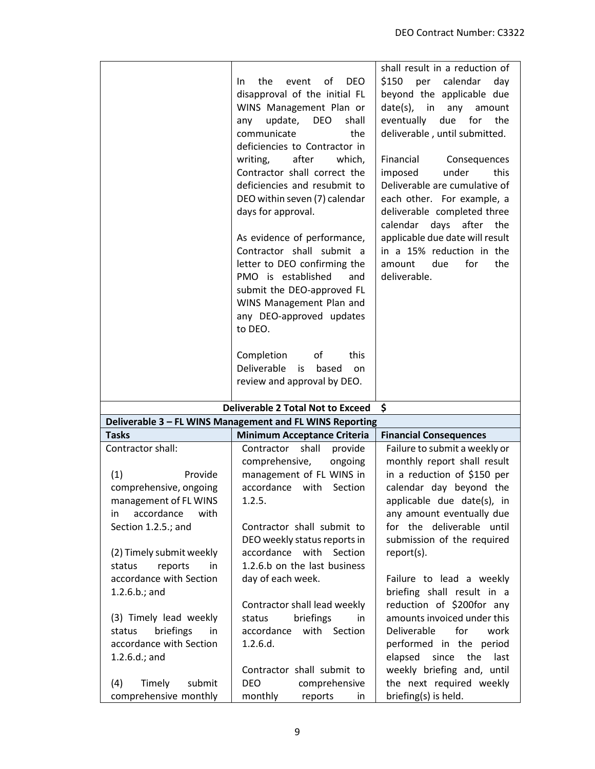|                                                                                                                                                     | the<br>event<br>0f<br><b>DEO</b><br>In.<br>disapproval of the initial FL<br>WINS Management Plan or<br>update,<br><b>DEO</b><br>shall<br>any<br>communicate<br>the<br>deficiencies to Contractor in<br>writing,<br>after<br>which,<br>Contractor shall correct the<br>deficiencies and resubmit to<br>DEO within seven (7) calendar<br>days for approval.<br>As evidence of performance,<br>Contractor shall submit a<br>letter to DEO confirming the<br>PMO is established<br>and<br>submit the DEO-approved FL<br>WINS Management Plan and<br>any DEO-approved updates<br>to DEO.<br>Completion<br>οf<br>this<br>Deliverable<br>based<br>is<br>on | shall result in a reduction of<br>\$150<br>calendar<br>day<br>per<br>beyond the applicable due<br>$date(s)$ , in<br>any<br>amount<br>eventually<br>due<br>for<br>the<br>deliverable, until submitted.<br>Financial<br>Consequences<br>under<br>this<br>imposed<br>Deliverable are cumulative of<br>each other. For example, a<br>deliverable completed three<br>calendar<br>days<br>after<br>the<br>applicable due date will result<br>in a 15% reduction in the<br>amount<br>due<br>for<br>the<br>deliverable. |
|-----------------------------------------------------------------------------------------------------------------------------------------------------|-----------------------------------------------------------------------------------------------------------------------------------------------------------------------------------------------------------------------------------------------------------------------------------------------------------------------------------------------------------------------------------------------------------------------------------------------------------------------------------------------------------------------------------------------------------------------------------------------------------------------------------------------------|-----------------------------------------------------------------------------------------------------------------------------------------------------------------------------------------------------------------------------------------------------------------------------------------------------------------------------------------------------------------------------------------------------------------------------------------------------------------------------------------------------------------|
|                                                                                                                                                     | review and approval by DEO.<br><b>Deliverable 2 Total Not to Exceed</b>                                                                                                                                                                                                                                                                                                                                                                                                                                                                                                                                                                             | -\$                                                                                                                                                                                                                                                                                                                                                                                                                                                                                                             |
|                                                                                                                                                     | Deliverable 3 - FL WINS Management and FL WINS Reporting                                                                                                                                                                                                                                                                                                                                                                                                                                                                                                                                                                                            |                                                                                                                                                                                                                                                                                                                                                                                                                                                                                                                 |
| <b>Tasks</b>                                                                                                                                        | <b>Minimum Acceptance Criteria</b>                                                                                                                                                                                                                                                                                                                                                                                                                                                                                                                                                                                                                  | <b>Financial Consequences</b>                                                                                                                                                                                                                                                                                                                                                                                                                                                                                   |
| Contractor shall:                                                                                                                                   | Contractor<br>shall<br>provide                                                                                                                                                                                                                                                                                                                                                                                                                                                                                                                                                                                                                      | Failure to submit a weekly or                                                                                                                                                                                                                                                                                                                                                                                                                                                                                   |
| (1)<br>Provide<br>comprehensive, ongoing<br>management of FL WINS<br>accordance<br>with<br>in                                                       | comprehensive,<br>ongoing<br>management of FL WINS in<br>accordance with Section<br>1.2.5.                                                                                                                                                                                                                                                                                                                                                                                                                                                                                                                                                          | monthly report shall result<br>in a reduction of \$150 per<br>calendar day beyond the<br>applicable due date(s), in<br>any amount eventually due                                                                                                                                                                                                                                                                                                                                                                |
| Section 1.2.5.; and                                                                                                                                 | Contractor shall submit to<br>DEO weekly status reports in                                                                                                                                                                                                                                                                                                                                                                                                                                                                                                                                                                                          | for the deliverable until<br>submission of the required                                                                                                                                                                                                                                                                                                                                                                                                                                                         |
| (2) Timely submit weekly<br>reports<br>status<br>in<br>accordance with Section<br>1.2.6.b.; and                                                     | accordance with Section<br>1.2.6.b on the last business<br>day of each week.                                                                                                                                                                                                                                                                                                                                                                                                                                                                                                                                                                        | report(s).<br>Failure to lead a weekly<br>briefing shall result in a                                                                                                                                                                                                                                                                                                                                                                                                                                            |
| (3) Timely lead weekly<br>briefings<br>status<br>in<br>accordance with Section<br>1.2.6.d.; and<br>Timely<br>submit<br>(4)<br>comprehensive monthly | Contractor shall lead weekly<br>status<br>briefings<br>in<br>with Section<br>accordance<br>1.2.6.d.<br>Contractor shall submit to<br><b>DEO</b><br>comprehensive<br>monthly<br>reports<br>in.                                                                                                                                                                                                                                                                                                                                                                                                                                                       | reduction of \$200for any<br>amounts invoiced under this<br>Deliverable<br>for<br>work<br>performed in the period<br>elapsed<br>since<br>the<br>last<br>weekly briefing and, until<br>the next required weekly<br>briefing(s) is held.                                                                                                                                                                                                                                                                          |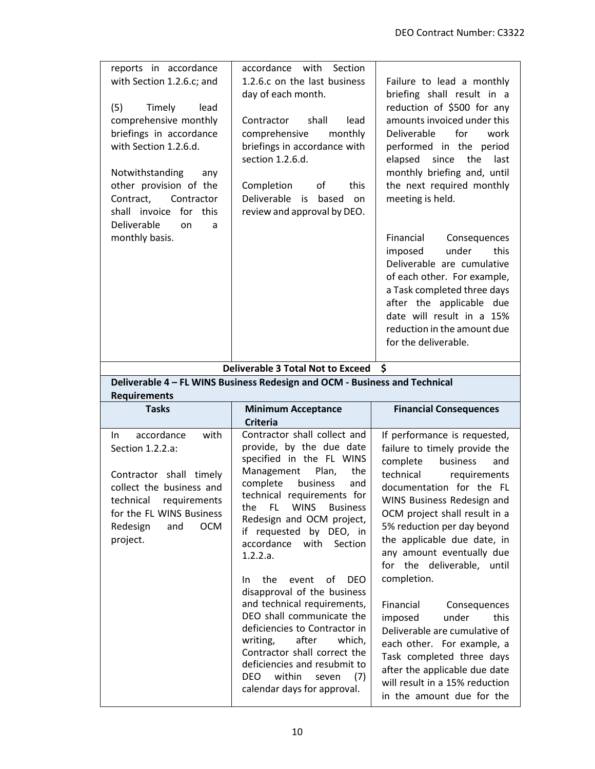| reports in accordance<br>with Section 1.2.6.c; and<br>(5)<br>Timely<br>lead<br>comprehensive monthly<br>briefings in accordance<br>with Section 1.2.6.d.<br>Notwithstanding<br>any<br>other provision of the<br>Contract,<br>Contractor<br>for<br>this<br>shall invoice<br>Deliverable<br>on<br>a<br>monthly basis. | with<br>Section<br>accordance<br>1.2.6.c on the last business<br>day of each month.<br>shall<br>lead<br>Contractor<br>comprehensive<br>monthly<br>briefings in accordance with<br>section 1.2.6.d.<br>Completion<br>of<br>this<br>Deliverable is<br>based<br>on<br>review and approval by DEO.                                                                                                                                                                                                                                                                                                             | Failure to lead a monthly<br>briefing shall result in a<br>reduction of \$500 for any<br>amounts invoiced under this<br>Deliverable<br>for<br>work<br>performed in the period<br>elapsed<br>since<br>the<br>last<br>monthly briefing and, until<br>the next required monthly<br>meeting is held.<br>Financial<br>Consequences<br>under<br>imposed<br>this<br>Deliverable are cumulative<br>of each other. For example,<br>a Task completed three days<br>after the applicable due<br>date will result in a 15%<br>reduction in the amount due<br>for the deliverable. |
|---------------------------------------------------------------------------------------------------------------------------------------------------------------------------------------------------------------------------------------------------------------------------------------------------------------------|------------------------------------------------------------------------------------------------------------------------------------------------------------------------------------------------------------------------------------------------------------------------------------------------------------------------------------------------------------------------------------------------------------------------------------------------------------------------------------------------------------------------------------------------------------------------------------------------------------|-----------------------------------------------------------------------------------------------------------------------------------------------------------------------------------------------------------------------------------------------------------------------------------------------------------------------------------------------------------------------------------------------------------------------------------------------------------------------------------------------------------------------------------------------------------------------|
|                                                                                                                                                                                                                                                                                                                     |                                                                                                                                                                                                                                                                                                                                                                                                                                                                                                                                                                                                            |                                                                                                                                                                                                                                                                                                                                                                                                                                                                                                                                                                       |
|                                                                                                                                                                                                                                                                                                                     | <b>Deliverable 3 Total Not to Exceed</b><br>Deliverable 4 - FL WINS Business Redesign and OCM - Business and Technical                                                                                                                                                                                                                                                                                                                                                                                                                                                                                     | \$                                                                                                                                                                                                                                                                                                                                                                                                                                                                                                                                                                    |
| <b>Requirements</b>                                                                                                                                                                                                                                                                                                 |                                                                                                                                                                                                                                                                                                                                                                                                                                                                                                                                                                                                            |                                                                                                                                                                                                                                                                                                                                                                                                                                                                                                                                                                       |
| <b>Tasks</b>                                                                                                                                                                                                                                                                                                        | <b>Minimum Acceptance</b><br><b>Criteria</b>                                                                                                                                                                                                                                                                                                                                                                                                                                                                                                                                                               | <b>Financial Consequences</b>                                                                                                                                                                                                                                                                                                                                                                                                                                                                                                                                         |
| accordance<br>with<br>In.<br>Section 1.2.2.a:<br>Contractor shall timely<br>collect the business and<br>technical<br>requirements<br>for the FL WINS Business<br>Redesign<br><b>OCM</b><br>and<br>project.                                                                                                          | Contractor shall collect and<br>provide, by the due date<br>specified in the FL WINS<br>Management<br>Plan,<br>the<br>complete<br>business<br>and<br>technical requirements for<br><b>WINS</b><br>the<br>FL.<br><b>Business</b><br>Redesign and OCM project,<br>if requested by DEO, in<br>accordance<br>with<br>Section<br>1.2.2.a.<br>the<br>event<br>of<br><b>DEO</b><br>In.<br>disapproval of the business<br>and technical requirements,<br>DEO shall communicate the<br>deficiencies to Contractor in<br>writing,<br>after<br>which,<br>Contractor shall correct the<br>deficiencies and resubmit to | If performance is requested,<br>failure to timely provide the<br>complete<br>business<br>and<br>technical<br>requirements<br>documentation for the FL<br>WINS Business Redesign and<br>OCM project shall result in a<br>5% reduction per day beyond<br>the applicable due date, in<br>any amount eventually due<br>for the deliverable,<br>until<br>completion.<br>Financial<br>Consequences<br>imposed<br>under<br>this<br>Deliverable are cumulative of<br>each other. For example, a<br>Task completed three days<br>after the applicable due date                 |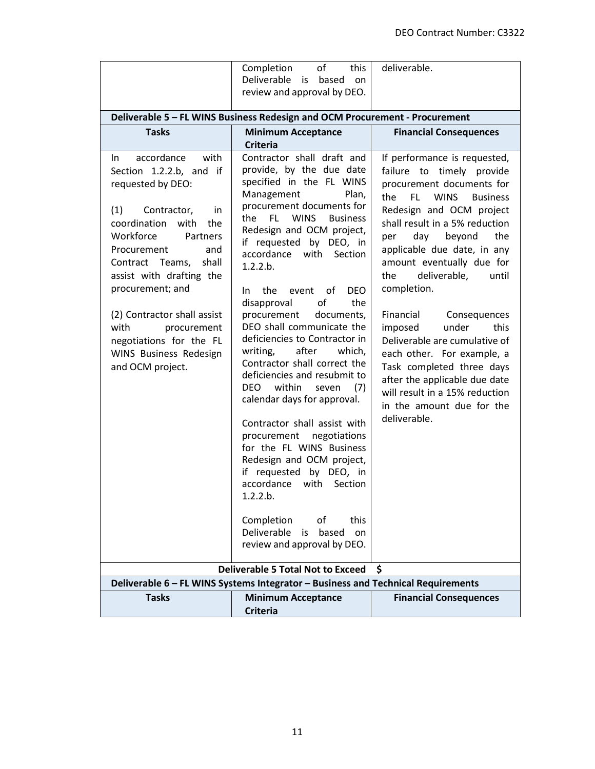|                                                                                                                                                                                                                                                                                                                                                                                                 | Completion<br>of<br>this<br>deliverable.<br>Deliverable is<br>based on                                                                                                                                                                                                                                                                                                                                                                                                                                                                                                                                                                                                                                                                                                                                                                                                                                        |                                                                                                                                                                                                                                                                                                                                                                                                                                                                                                                                                                                                          |  |  |
|-------------------------------------------------------------------------------------------------------------------------------------------------------------------------------------------------------------------------------------------------------------------------------------------------------------------------------------------------------------------------------------------------|---------------------------------------------------------------------------------------------------------------------------------------------------------------------------------------------------------------------------------------------------------------------------------------------------------------------------------------------------------------------------------------------------------------------------------------------------------------------------------------------------------------------------------------------------------------------------------------------------------------------------------------------------------------------------------------------------------------------------------------------------------------------------------------------------------------------------------------------------------------------------------------------------------------|----------------------------------------------------------------------------------------------------------------------------------------------------------------------------------------------------------------------------------------------------------------------------------------------------------------------------------------------------------------------------------------------------------------------------------------------------------------------------------------------------------------------------------------------------------------------------------------------------------|--|--|
|                                                                                                                                                                                                                                                                                                                                                                                                 | review and approval by DEO.                                                                                                                                                                                                                                                                                                                                                                                                                                                                                                                                                                                                                                                                                                                                                                                                                                                                                   |                                                                                                                                                                                                                                                                                                                                                                                                                                                                                                                                                                                                          |  |  |
|                                                                                                                                                                                                                                                                                                                                                                                                 | Deliverable 5 - FL WINS Business Redesign and OCM Procurement - Procurement                                                                                                                                                                                                                                                                                                                                                                                                                                                                                                                                                                                                                                                                                                                                                                                                                                   |                                                                                                                                                                                                                                                                                                                                                                                                                                                                                                                                                                                                          |  |  |
| <b>Tasks</b>                                                                                                                                                                                                                                                                                                                                                                                    | <b>Minimum Acceptance</b><br><b>Criteria</b>                                                                                                                                                                                                                                                                                                                                                                                                                                                                                                                                                                                                                                                                                                                                                                                                                                                                  | <b>Financial Consequences</b>                                                                                                                                                                                                                                                                                                                                                                                                                                                                                                                                                                            |  |  |
| with<br>accordance<br>In.<br>Section 1.2.2.b, and if<br>requested by DEO:<br>(1)<br>Contractor,<br>in.<br>coordination<br>with<br>the<br>Workforce<br>Partners<br>Procurement<br>and<br>shall<br>Contract Teams,<br>assist with drafting the<br>procurement; and<br>(2) Contractor shall assist<br>with<br>procurement<br>negotiations for the FL<br>WINS Business Redesign<br>and OCM project. | Contractor shall draft and<br>provide, by the due date<br>specified in the FL WINS<br>Management<br>Plan,<br>procurement documents for<br>FL.<br><b>WINS</b><br>the<br><b>Business</b><br>Redesign and OCM project,<br>if requested by DEO, in<br>accordance with Section<br>1.2.2.b.<br>the<br>of<br><b>DEO</b><br>event<br>In.<br>of<br>disapproval<br>the<br>procurement<br>documents,<br>DEO shall communicate the<br>deficiencies to Contractor in<br>after<br>writing,<br>which,<br>Contractor shall correct the<br>deficiencies and resubmit to<br>within<br>DEO.<br>seven<br>(7)<br>calendar days for approval.<br>Contractor shall assist with<br>procurement negotiations<br>for the FL WINS Business<br>Redesign and OCM project,<br>if requested by DEO, in<br>accordance with Section<br>1.2.2.b.<br>Completion<br>of<br>this<br>Deliverable<br>is<br>based<br>on<br>review and approval by DEO. | If performance is requested,<br>failure to timely provide<br>procurement documents for<br>the<br>FL WINS<br><b>Business</b><br>Redesign and OCM project<br>shall result in a 5% reduction<br>beyond<br>the<br>day<br>per<br>applicable due date, in any<br>amount eventually due for<br>deliverable,<br>the<br>until<br>completion.<br>Financial<br>Consequences<br>imposed<br>under<br>this<br>Deliverable are cumulative of<br>each other. For example, a<br>Task completed three days<br>after the applicable due date<br>will result in a 15% reduction<br>in the amount due for the<br>deliverable. |  |  |
|                                                                                                                                                                                                                                                                                                                                                                                                 | <b>Deliverable 5 Total Not to Exceed</b>                                                                                                                                                                                                                                                                                                                                                                                                                                                                                                                                                                                                                                                                                                                                                                                                                                                                      | \$                                                                                                                                                                                                                                                                                                                                                                                                                                                                                                                                                                                                       |  |  |
|                                                                                                                                                                                                                                                                                                                                                                                                 | Deliverable 6 - FL WINS Systems Integrator - Business and Technical Requirements                                                                                                                                                                                                                                                                                                                                                                                                                                                                                                                                                                                                                                                                                                                                                                                                                              |                                                                                                                                                                                                                                                                                                                                                                                                                                                                                                                                                                                                          |  |  |
| <b>Tasks</b>                                                                                                                                                                                                                                                                                                                                                                                    | <b>Minimum Acceptance</b><br><b>Criteria</b>                                                                                                                                                                                                                                                                                                                                                                                                                                                                                                                                                                                                                                                                                                                                                                                                                                                                  | <b>Financial Consequences</b>                                                                                                                                                                                                                                                                                                                                                                                                                                                                                                                                                                            |  |  |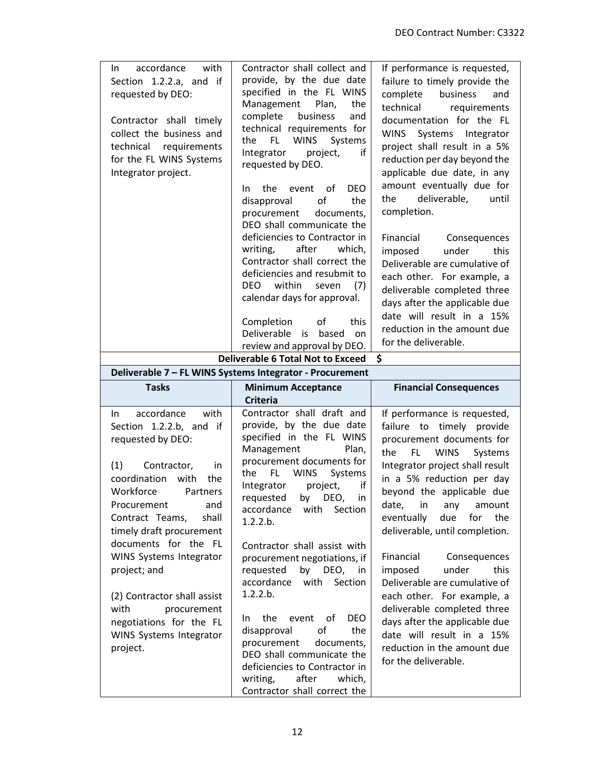| accordance<br>with<br>In.<br>Section 1.2.2.a, and if<br>requested by DEO:<br>Contractor shall timely<br>collect the business and<br>technical requirements<br>for the FL WINS Systems<br>Integrator project. | Contractor shall collect and<br>provide, by the due date<br>specified in the FL WINS<br>Management Plan,<br>the<br>complete<br>business<br>and<br>technical requirements for<br>FL.<br><b>WINS</b><br>Systems<br>the<br>if<br>Integrator<br>project,<br>requested by DEO.<br>of<br><b>DEO</b><br>the<br>event<br>In.<br>οf<br>the<br>disapproval<br>procurement<br>documents,<br>DEO shall communicate the<br>deficiencies to Contractor in<br>after<br>which,<br>writing,<br>Contractor shall correct the<br>deficiencies and resubmit to<br>DEO within<br>(7)<br>seven<br>calendar days for approval.<br>Completion<br>οf<br>this<br>Deliverable<br>based<br>is<br>on<br>review and approval by DEO. | If performance is requested,<br>failure to timely provide the<br>complete<br>business<br>and<br>technical<br>requirements<br>documentation for the FL<br>WINS Systems Integrator<br>project shall result in a 5%<br>reduction per day beyond the<br>applicable due date, in any<br>amount eventually due for<br>deliverable,<br>the<br>until<br>completion.<br>Financial<br>Consequences<br>under<br>this<br>imposed<br>Deliverable are cumulative of<br>each other. For example, a<br>deliverable completed three<br>days after the applicable due<br>date will result in a 15%<br>reduction in the amount due<br>for the deliverable. |
|--------------------------------------------------------------------------------------------------------------------------------------------------------------------------------------------------------------|--------------------------------------------------------------------------------------------------------------------------------------------------------------------------------------------------------------------------------------------------------------------------------------------------------------------------------------------------------------------------------------------------------------------------------------------------------------------------------------------------------------------------------------------------------------------------------------------------------------------------------------------------------------------------------------------------------|-----------------------------------------------------------------------------------------------------------------------------------------------------------------------------------------------------------------------------------------------------------------------------------------------------------------------------------------------------------------------------------------------------------------------------------------------------------------------------------------------------------------------------------------------------------------------------------------------------------------------------------------|
|                                                                                                                                                                                                              | <b>Deliverable 6 Total Not to Exceed</b><br>Deliverable 7 - FL WINS Systems Integrator - Procurement                                                                                                                                                                                                                                                                                                                                                                                                                                                                                                                                                                                                   | \$.                                                                                                                                                                                                                                                                                                                                                                                                                                                                                                                                                                                                                                     |
| <b>Tasks</b>                                                                                                                                                                                                 | <b>Minimum Acceptance</b>                                                                                                                                                                                                                                                                                                                                                                                                                                                                                                                                                                                                                                                                              | <b>Financial Consequences</b>                                                                                                                                                                                                                                                                                                                                                                                                                                                                                                                                                                                                           |
|                                                                                                                                                                                                              |                                                                                                                                                                                                                                                                                                                                                                                                                                                                                                                                                                                                                                                                                                        |                                                                                                                                                                                                                                                                                                                                                                                                                                                                                                                                                                                                                                         |
|                                                                                                                                                                                                              | <b>Criteria</b>                                                                                                                                                                                                                                                                                                                                                                                                                                                                                                                                                                                                                                                                                        |                                                                                                                                                                                                                                                                                                                                                                                                                                                                                                                                                                                                                                         |
| accordance<br>with<br>In.<br>Section 1.2.2.b, and if<br>requested by DEO:<br>(1)<br>Contractor,<br>in<br>coordination<br>with<br>the                                                                         | Contractor shall draft and<br>provide, by the due date<br>specified in the FL WINS<br>Management<br>Plan,<br>procurement documents for<br>the<br><b>WINS</b><br>FL.<br>Systems                                                                                                                                                                                                                                                                                                                                                                                                                                                                                                                         | If performance is requested,<br>failure to timely provide<br>procurement documents for<br>FL.<br><b>WINS</b><br>the<br>Systems<br>Integrator project shall result<br>in a 5% reduction per day                                                                                                                                                                                                                                                                                                                                                                                                                                          |
| Workforce<br>Partners<br>Procurement<br>and<br>Contract Teams,<br>shall<br>timely draft procurement                                                                                                          | if<br>Integrator<br>project,<br>requested<br>by<br>DEO, in<br>accordance<br>Section<br>with<br>1.2.2.b.                                                                                                                                                                                                                                                                                                                                                                                                                                                                                                                                                                                                | beyond the applicable due<br>date, in<br>any amount<br>eventually<br>due<br>for<br>the<br>deliverable, until completion.                                                                                                                                                                                                                                                                                                                                                                                                                                                                                                                |
| documents for the FL<br>WINS Systems Integrator<br>project; and<br>(2) Contractor shall assist                                                                                                               | Contractor shall assist with<br>procurement negotiations, if<br>requested by DEO, in<br>accordance with Section<br>1.2.2.b.                                                                                                                                                                                                                                                                                                                                                                                                                                                                                                                                                                            | Financial<br>Consequences<br>under<br>this<br>imposed<br>Deliverable are cumulative of<br>each other. For example, a                                                                                                                                                                                                                                                                                                                                                                                                                                                                                                                    |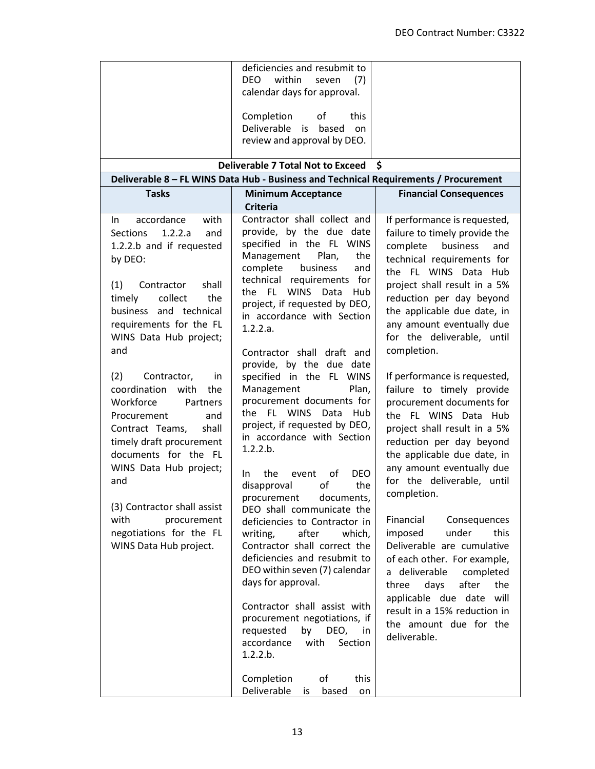|                                                                                                                                                                                                                                                                                                                                                                                                                                                                                                                                                                                           | deficiencies and resubmit to<br><b>DEO</b><br>within<br>(7)<br>seven<br>calendar days for approval.<br>Completion<br>of<br>this<br>Deliverable<br>is<br>based<br>on<br>review and approval by DEO.                                                                                                                                                                                                                                                                                                                                                                                                                                                                                                                                                                                                                                                                                |                                                                                                                                                                                                                                                                                                                                                                                                                                                                                                                                                                                                                                                                                                                                                                                                     |
|-------------------------------------------------------------------------------------------------------------------------------------------------------------------------------------------------------------------------------------------------------------------------------------------------------------------------------------------------------------------------------------------------------------------------------------------------------------------------------------------------------------------------------------------------------------------------------------------|-----------------------------------------------------------------------------------------------------------------------------------------------------------------------------------------------------------------------------------------------------------------------------------------------------------------------------------------------------------------------------------------------------------------------------------------------------------------------------------------------------------------------------------------------------------------------------------------------------------------------------------------------------------------------------------------------------------------------------------------------------------------------------------------------------------------------------------------------------------------------------------|-----------------------------------------------------------------------------------------------------------------------------------------------------------------------------------------------------------------------------------------------------------------------------------------------------------------------------------------------------------------------------------------------------------------------------------------------------------------------------------------------------------------------------------------------------------------------------------------------------------------------------------------------------------------------------------------------------------------------------------------------------------------------------------------------------|
|                                                                                                                                                                                                                                                                                                                                                                                                                                                                                                                                                                                           | <b>Deliverable 7 Total Not to Exceed</b><br>Deliverable 8 - FL WINS Data Hub - Business and Technical Requirements / Procurement                                                                                                                                                                                                                                                                                                                                                                                                                                                                                                                                                                                                                                                                                                                                                  | - S                                                                                                                                                                                                                                                                                                                                                                                                                                                                                                                                                                                                                                                                                                                                                                                                 |
| <b>Tasks</b>                                                                                                                                                                                                                                                                                                                                                                                                                                                                                                                                                                              | <b>Minimum Acceptance</b>                                                                                                                                                                                                                                                                                                                                                                                                                                                                                                                                                                                                                                                                                                                                                                                                                                                         | <b>Financial Consequences</b>                                                                                                                                                                                                                                                                                                                                                                                                                                                                                                                                                                                                                                                                                                                                                                       |
|                                                                                                                                                                                                                                                                                                                                                                                                                                                                                                                                                                                           | <b>Criteria</b>                                                                                                                                                                                                                                                                                                                                                                                                                                                                                                                                                                                                                                                                                                                                                                                                                                                                   |                                                                                                                                                                                                                                                                                                                                                                                                                                                                                                                                                                                                                                                                                                                                                                                                     |
| accordance<br>with<br>In.<br>1.2.2.a<br><b>Sections</b><br>and<br>1.2.2.b and if requested<br>by DEO:<br>shall<br>(1)<br>Contractor<br>collect<br>timely<br>the<br>business and technical<br>requirements for the FL<br>WINS Data Hub project;<br>and<br>(2)<br>Contractor,<br>in.<br>coordination with<br>the<br>Workforce<br>Partners<br>Procurement<br>and<br>Contract Teams,<br>shall<br>timely draft procurement<br>documents for the FL<br>WINS Data Hub project;<br>and<br>(3) Contractor shall assist<br>with<br>procurement<br>negotiations for the FL<br>WINS Data Hub project. | Contractor shall collect and<br>provide, by the due date<br>specified in the FL WINS<br>Management<br>Plan,<br>the<br>complete<br>business<br>and<br>technical requirements for<br><b>WINS</b><br>the FL<br>Data<br><b>Hub</b><br>project, if requested by DEO,<br>in accordance with Section<br>1.2.2.a.<br>Contractor shall draft and<br>provide, by the due date<br>specified in the FL WINS<br>Management<br>Plan,<br>procurement documents for<br>the FL WINS Data<br>Hub<br>project, if requested by DEO,<br>in accordance with Section<br>1.2.2.b.<br><b>DEO</b><br>the<br>οf<br>In.<br>event<br>the<br>of<br>disapproval<br>procurement<br>documents,<br>DEO shall communicate the<br>deficiencies to Contractor in<br>writing,<br>after<br>which,<br>Contractor shall correct the<br>deficiencies and resubmit to<br>DEO within seven (7) calendar<br>days for approval. | If performance is requested,<br>failure to timely provide the<br>complete<br>business<br>and<br>technical requirements for<br>the FL WINS Data Hub<br>project shall result in a 5%<br>reduction per day beyond<br>the applicable due date, in<br>any amount eventually due<br>for the deliverable, until<br>completion.<br>If performance is requested,<br>failure to timely provide<br>procurement documents for<br>the FL WINS Data Hub<br>project shall result in a 5%<br>reduction per day beyond<br>the applicable due date, in<br>any amount eventually due<br>for the deliverable, until<br>completion.<br>Financial<br>Consequences<br>imposed<br>under<br>this<br>Deliverable are cumulative<br>of each other. For example,<br>a deliverable<br>completed<br>after<br>three<br>days<br>the |
|                                                                                                                                                                                                                                                                                                                                                                                                                                                                                                                                                                                           | Contractor shall assist with<br>procurement negotiations, if<br>requested<br>by<br>DEO,<br>in.<br>accordance<br>with<br>Section<br>1.2.2.b.                                                                                                                                                                                                                                                                                                                                                                                                                                                                                                                                                                                                                                                                                                                                       | applicable due date will<br>result in a 15% reduction in<br>the amount due for the<br>deliverable.                                                                                                                                                                                                                                                                                                                                                                                                                                                                                                                                                                                                                                                                                                  |
|                                                                                                                                                                                                                                                                                                                                                                                                                                                                                                                                                                                           | Completion<br>of<br>this<br>Deliverable<br>based<br>is<br>on                                                                                                                                                                                                                                                                                                                                                                                                                                                                                                                                                                                                                                                                                                                                                                                                                      |                                                                                                                                                                                                                                                                                                                                                                                                                                                                                                                                                                                                                                                                                                                                                                                                     |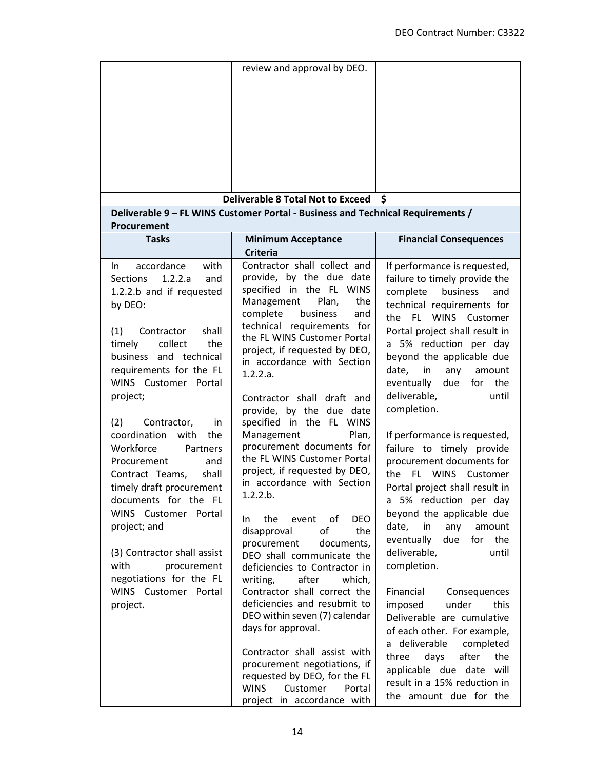|                                                                                                                                                                                                                                                                                                                                                                                                                                                                                                                                                                                                               | review and approval by DEO.                                                                                                                                                                                                                                                                                                                                                                                                                                                                                                                                                                                                                                                                                                                                                                                                                                                                                                                                                                                                              |                                                                                                                                                                                                                                                                                                                                                                                                                                                                                                                                                                                                                                                                                                                                                                                                                                                                                                                                                          |
|---------------------------------------------------------------------------------------------------------------------------------------------------------------------------------------------------------------------------------------------------------------------------------------------------------------------------------------------------------------------------------------------------------------------------------------------------------------------------------------------------------------------------------------------------------------------------------------------------------------|------------------------------------------------------------------------------------------------------------------------------------------------------------------------------------------------------------------------------------------------------------------------------------------------------------------------------------------------------------------------------------------------------------------------------------------------------------------------------------------------------------------------------------------------------------------------------------------------------------------------------------------------------------------------------------------------------------------------------------------------------------------------------------------------------------------------------------------------------------------------------------------------------------------------------------------------------------------------------------------------------------------------------------------|----------------------------------------------------------------------------------------------------------------------------------------------------------------------------------------------------------------------------------------------------------------------------------------------------------------------------------------------------------------------------------------------------------------------------------------------------------------------------------------------------------------------------------------------------------------------------------------------------------------------------------------------------------------------------------------------------------------------------------------------------------------------------------------------------------------------------------------------------------------------------------------------------------------------------------------------------------|
|                                                                                                                                                                                                                                                                                                                                                                                                                                                                                                                                                                                                               |                                                                                                                                                                                                                                                                                                                                                                                                                                                                                                                                                                                                                                                                                                                                                                                                                                                                                                                                                                                                                                          |                                                                                                                                                                                                                                                                                                                                                                                                                                                                                                                                                                                                                                                                                                                                                                                                                                                                                                                                                          |
|                                                                                                                                                                                                                                                                                                                                                                                                                                                                                                                                                                                                               | <b>Deliverable 8 Total Not to Exceed</b>                                                                                                                                                                                                                                                                                                                                                                                                                                                                                                                                                                                                                                                                                                                                                                                                                                                                                                                                                                                                 | \$                                                                                                                                                                                                                                                                                                                                                                                                                                                                                                                                                                                                                                                                                                                                                                                                                                                                                                                                                       |
| Procurement                                                                                                                                                                                                                                                                                                                                                                                                                                                                                                                                                                                                   | Deliverable 9 - FL WINS Customer Portal - Business and Technical Requirements /                                                                                                                                                                                                                                                                                                                                                                                                                                                                                                                                                                                                                                                                                                                                                                                                                                                                                                                                                          |                                                                                                                                                                                                                                                                                                                                                                                                                                                                                                                                                                                                                                                                                                                                                                                                                                                                                                                                                          |
| <b>Tasks</b>                                                                                                                                                                                                                                                                                                                                                                                                                                                                                                                                                                                                  | <b>Minimum Acceptance</b><br><b>Criteria</b>                                                                                                                                                                                                                                                                                                                                                                                                                                                                                                                                                                                                                                                                                                                                                                                                                                                                                                                                                                                             | <b>Financial Consequences</b>                                                                                                                                                                                                                                                                                                                                                                                                                                                                                                                                                                                                                                                                                                                                                                                                                                                                                                                            |
| accordance<br>with<br>In.<br>1.2.2.a<br><b>Sections</b><br>and<br>1.2.2.b and if requested<br>by DEO:<br>shall<br>(1)<br>Contractor<br>collect<br>timely<br>the<br>business and technical<br>requirements for the FL<br>WINS Customer Portal<br>project;<br>(2)<br>Contractor,<br>in.<br>coordination with<br>the<br>Workforce<br>Partners<br>Procurement<br>and<br>Contract Teams,<br>shall<br>timely draft procurement<br>documents for the FL<br>WINS Customer Portal<br>project; and<br>(3) Contractor shall assist<br>with<br>procurement<br>negotiations for the FL<br>WINS Customer Portal<br>project. | Contractor shall collect and<br>provide, by the due date<br>specified in the FL WINS<br>the<br>Management<br>Plan,<br>complete<br>business<br>and<br>technical requirements for<br>the FL WINS Customer Portal<br>project, if requested by DEO,<br>in accordance with Section<br>1.2.2.a.<br>Contractor shall draft and<br>provide, by the due date<br>specified in the FL WINS<br>Management<br>Plan,<br>procurement documents for<br>the FL WINS Customer Portal<br>project, if requested by DEO,<br>in accordance with Section<br>1.2.2.b.<br><b>DEO</b><br>the<br>οf<br>event<br>In.<br>οf<br>the<br>disapproval<br>procurement<br>documents,<br>DEO shall communicate the<br>deficiencies to Contractor in<br>after<br>which,<br>writing,<br>Contractor shall correct the<br>deficiencies and resubmit to<br>DEO within seven (7) calendar<br>days for approval.<br>Contractor shall assist with<br>procurement negotiations, if<br>requested by DEO, for the FL<br><b>WINS</b><br>Customer<br>Portal<br>project in accordance with | If performance is requested,<br>failure to timely provide the<br>business<br>complete<br>and<br>technical requirements for<br>the FL WINS Customer<br>Portal project shall result in<br>a 5% reduction per day<br>beyond the applicable due<br>date, in<br>any<br>amount<br>due<br>for<br>the<br>eventually<br>deliverable,<br>until<br>completion.<br>If performance is requested,<br>failure to timely provide<br>procurement documents for<br>FL.<br>WINS Customer<br>the<br>Portal project shall result in<br>a 5% reduction per day<br>beyond the applicable due<br>in<br>date,<br>any<br>amount<br>eventually<br>due<br>for the<br>deliverable,<br>until<br>completion.<br>Financial<br>Consequences<br>imposed<br>under<br>this<br>Deliverable are cumulative<br>of each other. For example,<br>a deliverable<br>completed<br>days<br>after<br>the<br>three<br>applicable due date will<br>result in a 15% reduction in<br>the amount due for the |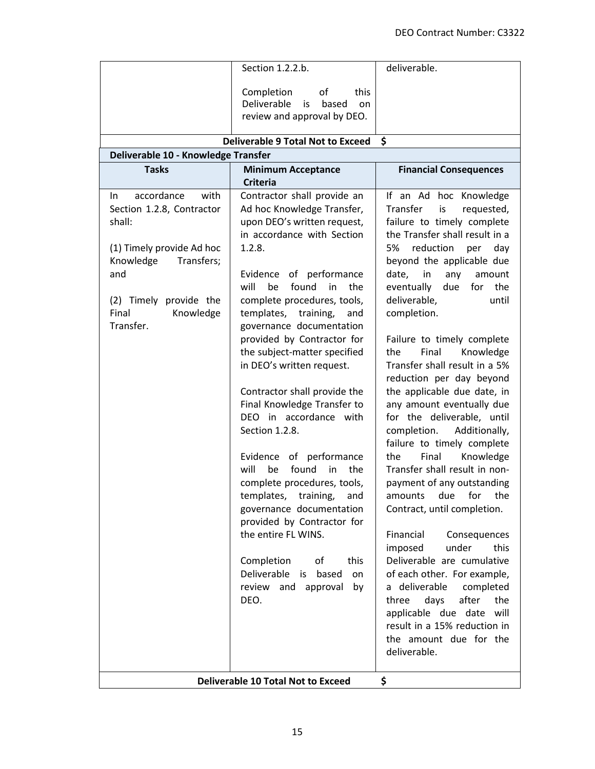|                                                                                                                                                                                              | Section 1.2.2.b.                                                                                                                                                                                                                                                                                                                                                                                                                                                                                                                                                                                                                                                                                                                                                                                                         | deliverable.                                                                                                                                                                                                                                                                                                                                                                                                                                                                                                                                                                                                                                                                                                                                                                                                                                                                                                                                                                                                                       |
|----------------------------------------------------------------------------------------------------------------------------------------------------------------------------------------------|--------------------------------------------------------------------------------------------------------------------------------------------------------------------------------------------------------------------------------------------------------------------------------------------------------------------------------------------------------------------------------------------------------------------------------------------------------------------------------------------------------------------------------------------------------------------------------------------------------------------------------------------------------------------------------------------------------------------------------------------------------------------------------------------------------------------------|------------------------------------------------------------------------------------------------------------------------------------------------------------------------------------------------------------------------------------------------------------------------------------------------------------------------------------------------------------------------------------------------------------------------------------------------------------------------------------------------------------------------------------------------------------------------------------------------------------------------------------------------------------------------------------------------------------------------------------------------------------------------------------------------------------------------------------------------------------------------------------------------------------------------------------------------------------------------------------------------------------------------------------|
|                                                                                                                                                                                              | Completion<br>of<br>this<br>Deliverable<br>based<br>is<br>on<br>review and approval by DEO.                                                                                                                                                                                                                                                                                                                                                                                                                                                                                                                                                                                                                                                                                                                              |                                                                                                                                                                                                                                                                                                                                                                                                                                                                                                                                                                                                                                                                                                                                                                                                                                                                                                                                                                                                                                    |
|                                                                                                                                                                                              | <b>Deliverable 9 Total Not to Exceed</b>                                                                                                                                                                                                                                                                                                                                                                                                                                                                                                                                                                                                                                                                                                                                                                                 | \$                                                                                                                                                                                                                                                                                                                                                                                                                                                                                                                                                                                                                                                                                                                                                                                                                                                                                                                                                                                                                                 |
| Deliverable 10 - Knowledge Transfer                                                                                                                                                          |                                                                                                                                                                                                                                                                                                                                                                                                                                                                                                                                                                                                                                                                                                                                                                                                                          |                                                                                                                                                                                                                                                                                                                                                                                                                                                                                                                                                                                                                                                                                                                                                                                                                                                                                                                                                                                                                                    |
| <b>Tasks</b>                                                                                                                                                                                 | <b>Minimum Acceptance</b><br><b>Criteria</b>                                                                                                                                                                                                                                                                                                                                                                                                                                                                                                                                                                                                                                                                                                                                                                             | <b>Financial Consequences</b>                                                                                                                                                                                                                                                                                                                                                                                                                                                                                                                                                                                                                                                                                                                                                                                                                                                                                                                                                                                                      |
| accordance<br>with<br>In.<br>Section 1.2.8, Contractor<br>shall:<br>(1) Timely provide Ad hoc<br>Knowledge<br>Transfers;<br>and<br>(2) Timely provide the<br>Final<br>Knowledge<br>Transfer. | Contractor shall provide an<br>Ad hoc Knowledge Transfer,<br>upon DEO's written request,<br>in accordance with Section<br>1.2.8.<br>of performance<br>Evidence<br>will<br>found<br>be<br>in<br>the<br>complete procedures, tools,<br>templates, training,<br>and<br>governance documentation<br>provided by Contractor for<br>the subject-matter specified<br>in DEO's written request.<br>Contractor shall provide the<br>Final Knowledge Transfer to<br>DEO in accordance with<br>Section 1.2.8.<br>of performance<br>Evidence<br>found<br>will<br>be<br>in<br>the<br>complete procedures, tools,<br>templates, training,<br>and<br>governance documentation<br>provided by Contractor for<br>the entire FL WINS.<br>Completion<br>οf<br>this<br>Deliverable<br>is based<br>on<br>review<br>and approval<br>by<br>DEO. | If an Ad hoc Knowledge<br>Transfer<br>is<br>requested,<br>failure to timely complete<br>the Transfer shall result in a<br>reduction<br>5%<br>day<br>per<br>beyond the applicable due<br>date,<br>in<br>any<br>amount<br>eventually<br>due<br>for the<br>deliverable,<br>until<br>completion.<br>Failure to timely complete<br>Knowledge<br>the<br>Final<br>Transfer shall result in a 5%<br>reduction per day beyond<br>the applicable due date, in<br>any amount eventually due<br>for the deliverable, until<br>Additionally,<br>completion.<br>failure to timely complete<br>Final<br>Knowledge<br>the<br>Transfer shall result in non-<br>payment of any outstanding<br>amounts<br>due<br>for<br>the<br>Contract, until completion.<br>Financial<br>Consequences<br>under<br>imposed<br>this<br>Deliverable are cumulative<br>of each other. For example,<br>a deliverable<br>completed<br>three<br>days<br>after<br>the<br>applicable due date will<br>result in a 15% reduction in<br>the amount due for the<br>deliverable. |
|                                                                                                                                                                                              | <b>Deliverable 10 Total Not to Exceed</b>                                                                                                                                                                                                                                                                                                                                                                                                                                                                                                                                                                                                                                                                                                                                                                                | \$                                                                                                                                                                                                                                                                                                                                                                                                                                                                                                                                                                                                                                                                                                                                                                                                                                                                                                                                                                                                                                 |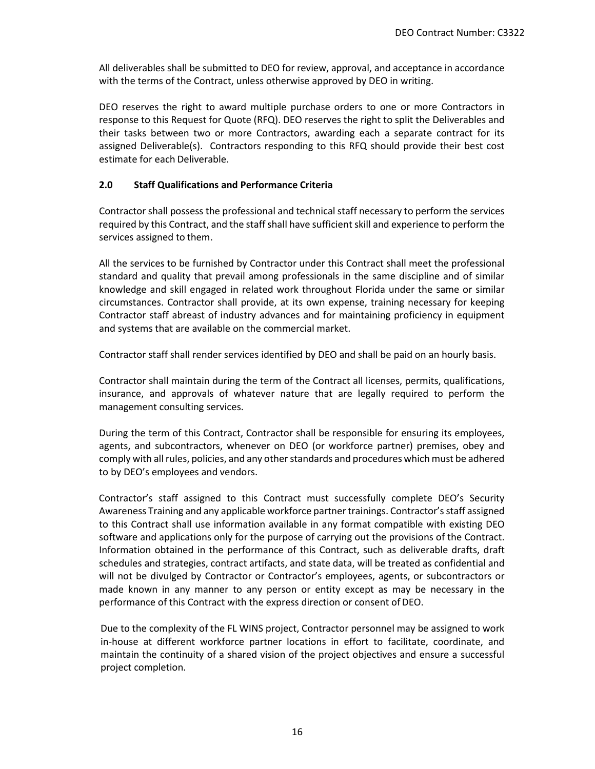All deliverables shall be submitted to DEO for review, approval, and acceptance in accordance with the terms of the Contract, unless otherwise approved by DEO in writing.

DEO reserves the right to award multiple purchase orders to one or more Contractors in response to this Request for Quote (RFQ). DEO reserves the right to split the Deliverables and their tasks between two or more Contractors, awarding each a separate contract for its assigned Deliverable(s). Contractors responding to this RFQ should provide their best cost estimate for each Deliverable.

## **2.0 Staff Qualifications and Performance Criteria**

Contractor shall possess the professional and technical staff necessary to perform the services required by this Contract, and the staff shall have sufficient skill and experience to perform the services assigned to them.

All the services to be furnished by Contractor under this Contract shall meet the professional standard and quality that prevail among professionals in the same discipline and of similar knowledge and skill engaged in related work throughout Florida under the same or similar circumstances. Contractor shall provide, at its own expense, training necessary for keeping Contractor staff abreast of industry advances and for maintaining proficiency in equipment and systems that are available on the commercial market.

Contractor staff shall render services identified by DEO and shall be paid on an hourly basis.

Contractor shall maintain during the term of the Contract all licenses, permits, qualifications, insurance, and approvals of whatever nature that are legally required to perform the management consulting services.

During the term of this Contract, Contractor shall be responsible for ensuring its employees, agents, and subcontractors, whenever on DEO (or workforce partner) premises, obey and comply with all rules, policies, and any other standards and procedures which must be adhered to by DEO's employees and vendors.

Contractor's staff assigned to this Contract must successfully complete DEO's Security Awareness Training and any applicable workforce partner trainings. Contractor's staff assigned to this Contract shall use information available in any format compatible with existing DEO software and applications only for the purpose of carrying out the provisions of the Contract. Information obtained in the performance of this Contract, such as deliverable drafts, draft schedules and strategies, contract artifacts, and state data, will be treated as confidential and will not be divulged by Contractor or Contractor's employees, agents, or subcontractors or made known in any manner to any person or entity except as may be necessary in the performance of this Contract with the express direction or consent of DEO.

Due to the complexity of the FL WINS project, Contractor personnel may be assigned to work in-house at different workforce partner locations in effort to facilitate, coordinate, and maintain the continuity of a shared vision of the project objectives and ensure a successful project completion.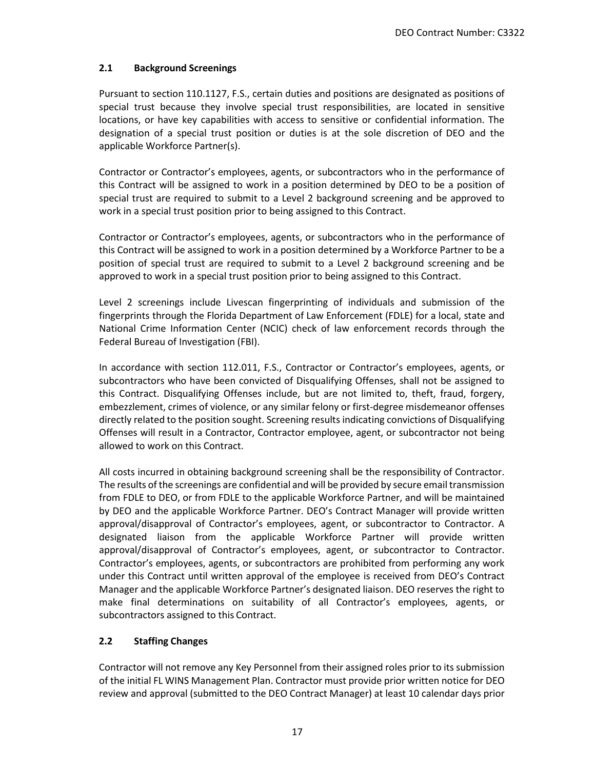## **2.1 Background Screenings**

Pursuant to section 110.1127, F.S., certain duties and positions are designated as positions of special trust because they involve special trust responsibilities, are located in sensitive locations, or have key capabilities with access to sensitive or confidential information. The designation of a special trust position or duties is at the sole discretion of DEO and the applicable Workforce Partner(s).

Contractor or Contractor's employees, agents, or subcontractors who in the performance of this Contract will be assigned to work in a position determined by DEO to be a position of special trust are required to submit to a Level 2 background screening and be approved to work in a special trust position prior to being assigned to this Contract.

Contractor or Contractor's employees, agents, or subcontractors who in the performance of this Contract will be assigned to work in a position determined by a Workforce Partner to be a position of special trust are required to submit to a Level 2 background screening and be approved to work in a special trust position prior to being assigned to this Contract.

Level 2 screenings include Livescan fingerprinting of individuals and submission of the fingerprints through the Florida Department of Law Enforcement (FDLE) for a local, state and National Crime Information Center (NCIC) check of law enforcement records through the Federal Bureau of Investigation (FBI).

In accordance with section 112.011, F.S., Contractor or Contractor's employees, agents, or subcontractors who have been convicted of Disqualifying Offenses, shall not be assigned to this Contract. Disqualifying Offenses include, but are not limited to, theft, fraud, forgery, embezzlement, crimes of violence, or any similar felony or first-degree misdemeanor offenses directly related to the position sought. Screening results indicating convictions of Disqualifying Offenses will result in a Contractor, Contractor employee, agent, or subcontractor not being allowed to work on this Contract.

All costs incurred in obtaining background screening shall be the responsibility of Contractor. The results of the screenings are confidential and will be provided by secure email transmission from FDLE to DEO, or from FDLE to the applicable Workforce Partner, and will be maintained by DEO and the applicable Workforce Partner. DEO's Contract Manager will provide written approval/disapproval of Contractor's employees, agent, or subcontractor to Contractor. A designated liaison from the applicable Workforce Partner will provide written approval/disapproval of Contractor's employees, agent, or subcontractor to Contractor. Contractor's employees, agents, or subcontractors are prohibited from performing any work under this Contract until written approval of the employee is received from DEO's Contract Manager and the applicable Workforce Partner's designated liaison. DEO reserves the right to make final determinations on suitability of all Contractor's employees, agents, or subcontractors assigned to this Contract.

# **2.2 Staffing Changes**

Contractor will not remove any Key Personnel from their assigned roles prior to its submission of the initial FL WINS Management Plan. Contractor must provide prior written notice for DEO review and approval (submitted to the DEO Contract Manager) at least 10 calendar days prior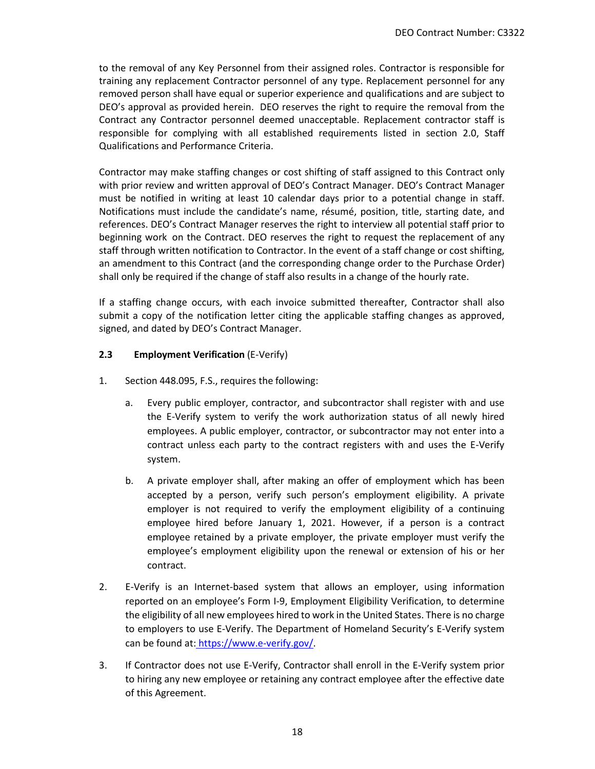to the removal of any Key Personnel from their assigned roles. Contractor is responsible for training any replacement Contractor personnel of any type. Replacement personnel for any removed person shall have equal or superior experience and qualifications and are subject to DEO's approval as provided herein. DEO reserves the right to require the removal from the Contract any Contractor personnel deemed unacceptable. Replacement contractor staff is responsible for complying with all established requirements listed in section 2.0, Staff Qualifications and Performance Criteria.

Contractor may make staffing changes or cost shifting of staff assigned to this Contract only with prior review and written approval of DEO's Contract Manager. DEO's Contract Manager must be notified in writing at least 10 calendar days prior to a potential change in staff. Notifications must include the candidate's name, résumé, position, title, starting date, and references. DEO's Contract Manager reserves the right to interview all potential staff prior to beginning work on the Contract. DEO reserves the right to request the replacement of any staff through written notification to Contractor. In the event of a staff change or cost shifting, an amendment to this Contract (and the corresponding change order to the Purchase Order) shall only be required if the change of staff also results in a change of the hourly rate.

If a staffing change occurs, with each invoice submitted thereafter, Contractor shall also submit a copy of the notification letter citing the applicable staffing changes as approved, signed, and dated by DEO's Contract Manager.

### **2.3 Employment Verification** (E-Verify)

- 1. Section 448.095, F.S., requires the following:
	- a. Every public employer, contractor, and subcontractor shall register with and use the E-Verify system to verify the work authorization status of all newly hired employees. A public employer, contractor, or subcontractor may not enter into a contract unless each party to the contract registers with and uses the E-Verify system.
	- b. A private employer shall, after making an offer of employment which has been accepted by a person, verify such person's employment eligibility. A private employer is not required to verify the employment eligibility of a continuing employee hired before January 1, 2021. However, if a person is a contract employee retained by a private employer, the private employer must verify the employee's employment eligibility upon the renewal or extension of his or her contract.
- 2. E-Verify is an Internet-based system that allows an employer, using information reported on an employee's Form I-9, Employment Eligibility Verification, to determine the eligibility of all new employees hired to work in the United States. There is no charge to employers to use E-Verify. The Department of Homeland Security's E-Verify system can be found at: [https://www.e-verify.gov/.](https://www.e-verify.gov/)
- 3. If Contractor does not use E-Verify, Contractor shall enroll in the E-Verify system prior to hiring any new employee or retaining any contract employee after the effective date of this Agreement.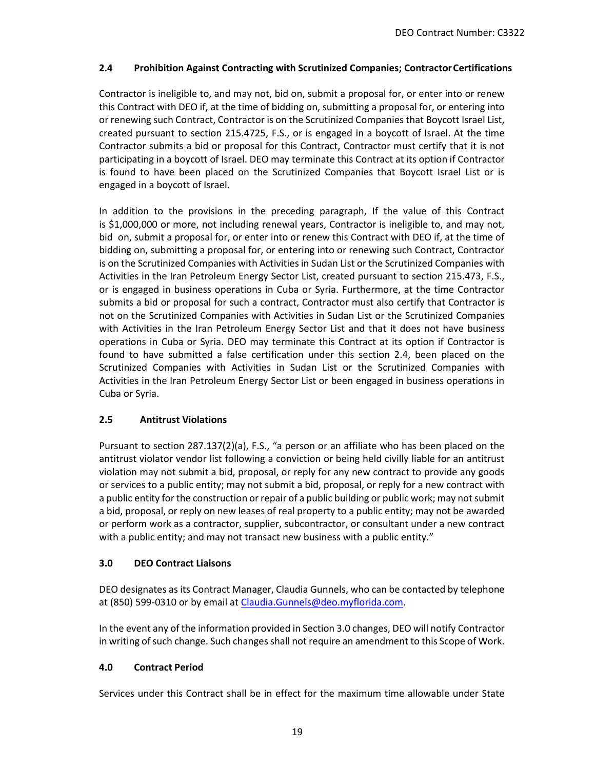## **2.4 Prohibition Against Contracting with Scrutinized Companies; ContractorCertifications**

Contractor is ineligible to, and may not, bid on, submit a proposal for, or enter into or renew this Contract with DEO if, at the time of bidding on, submitting a proposal for, or entering into or renewing such Contract, Contractor is on the Scrutinized Companies that Boycott Israel List, created pursuant to section 215.4725, F.S., or is engaged in a boycott of Israel. At the time Contractor submits a bid or proposal for this Contract, Contractor must certify that it is not participating in a boycott of Israel. DEO may terminate this Contract at its option if Contractor is found to have been placed on the Scrutinized Companies that Boycott Israel List or is engaged in a boycott of Israel.

In addition to the provisions in the preceding paragraph, If the value of this Contract is \$1,000,000 or more, not including renewal years, Contractor is ineligible to, and may not, bid on, submit a proposal for, or enter into or renew this Contract with DEO if, at the time of bidding on, submitting a proposal for, or entering into or renewing such Contract, Contractor is on the Scrutinized Companies with Activities in Sudan List or the Scrutinized Companies with Activities in the Iran Petroleum Energy Sector List, created pursuant to section 215.473, F.S., or is engaged in business operations in Cuba or Syria. Furthermore, at the time Contractor submits a bid or proposal for such a contract, Contractor must also certify that Contractor is not on the Scrutinized Companies with Activities in Sudan List or the Scrutinized Companies with Activities in the Iran Petroleum Energy Sector List and that it does not have business operations in Cuba or Syria. DEO may terminate this Contract at its option if Contractor is found to have submitted a false certification under this section 2.4, been placed on the Scrutinized Companies with Activities in Sudan List or the Scrutinized Companies with Activities in the Iran Petroleum Energy Sector List or been engaged in business operations in Cuba or Syria.

# **2.5 Antitrust Violations**

Pursuant to section 287.137(2)(a), F.S., "a person or an affiliate who has been placed on the antitrust violator vendor list following a conviction or being held civilly liable for an antitrust violation may not submit a bid, proposal, or reply for any new contract to provide any goods or services to a public entity; may not submit a bid, proposal, or reply for a new contract with a public entity for the construction or repair of a public building or public work; may not submit a bid, proposal, or reply on new leases of real property to a public entity; may not be awarded or perform work as a contractor, supplier, subcontractor, or consultant under a new contract with a public entity; and may not transact new business with a public entity."

### **3.0 DEO Contract Liaisons**

DEO designates as its Contract Manager, Claudia Gunnels, who can be contacted by telephone at (850) 599-0310 or by email at [Claudia.Gunnels@deo.myflorida.com.](mailto:Claudia.Gunnels@deo.myflorida.com)

In the event any of the information provided in Section 3.0 changes, DEO will notify Contractor in writing of such change. Such changes shall not require an amendment to this Scope of Work.

# **4.0 Contract Period**

Services under this Contract shall be in effect for the maximum time allowable under State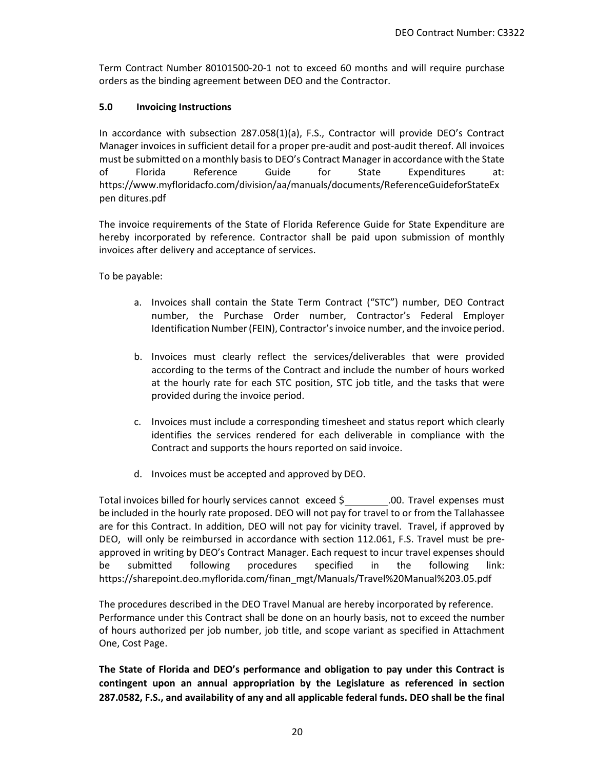Term Contract Number 80101500-20-1 not to exceed 60 months and will require purchase orders as the binding agreement between DEO and the Contractor.

### **5.0 Invoicing Instructions**

In accordance with subsection 287.058(1)(a), F.S., Contractor will provide DEO's Contract Manager invoices in sufficient detail for a proper pre-audit and post-audit thereof. All invoices must be submitted on a monthly basis to DEO's Contract Manager in accordance with the State of Florida Reference Guide for State Expenditures at: [https://www.myfloridacfo.com/division/aa/manuals/documents/ReferenceGuideforStateEx](https://www.myfloridacfo.com/division/aa/manuals/documents/ReferenceGuideforStateExpen) [pen](https://www.myfloridacfo.com/division/aa/manuals/documents/ReferenceGuideforStateExpen) [ditures.pdf](https://www.myfloridacfo.com/division/aa/manuals/documents/ReferenceGuideforStateExpenditures.pdf)

The invoice requirements of the State of Florida Reference Guide for State Expenditure are hereby incorporated by reference. Contractor shall be paid upon submission of monthly invoices after delivery and acceptance of services.

To be payable:

- a. Invoices shall contain the State Term Contract ("STC") number, DEO Contract number, the Purchase Order number, Contractor's Federal Employer Identification Number (FEIN), Contractor's invoice number, and the invoice period.
- b. Invoices must clearly reflect the services/deliverables that were provided according to the terms of the Contract and include the number of hours worked at the hourly rate for each STC position, STC job title, and the tasks that were provided during the invoice period.
- c. Invoices must include a corresponding timesheet and status report which clearly identifies the services rendered for each deliverable in compliance with the Contract and supports the hours reported on said invoice.
- d. Invoices must be accepted and approved by DEO.

Total invoices billed for hourly services cannot exceed \$ .00. Travel expenses must be included in the hourly rate proposed. DEO will not pay for travel to or from the Tallahassee are for this Contract. In addition, DEO will not pay for vicinity travel. Travel, if approved by DEO, will only be reimbursed in accordance with section 112.061, F.S. Travel must be preapproved in writing by DEO's Contract Manager. Each request to incur travel expenses should be submitted following procedures specified in the following link: [https://sharepoint.deo.myflorida.com/finan\\_mgt/Manuals/Travel%20Manual%203.05.pdf](https://sharepoint.deo.myflorida.com/finan_mgt/Manuals/Travel%20Manual%203.05.pdf)

The procedures described in the DEO Travel Manual are hereby incorporated by reference. Performance under this Contract shall be done on an hourly basis, not to exceed the number of hours authorized per job number, job title, and scope variant as specified in Attachment One, Cost Page.

**The State of Florida and DEO's performance and obligation to pay under this Contract is contingent upon an annual appropriation by the Legislature as referenced in section 287.0582, F.S., and availability of any and all applicable federal funds. DEO shall be the final**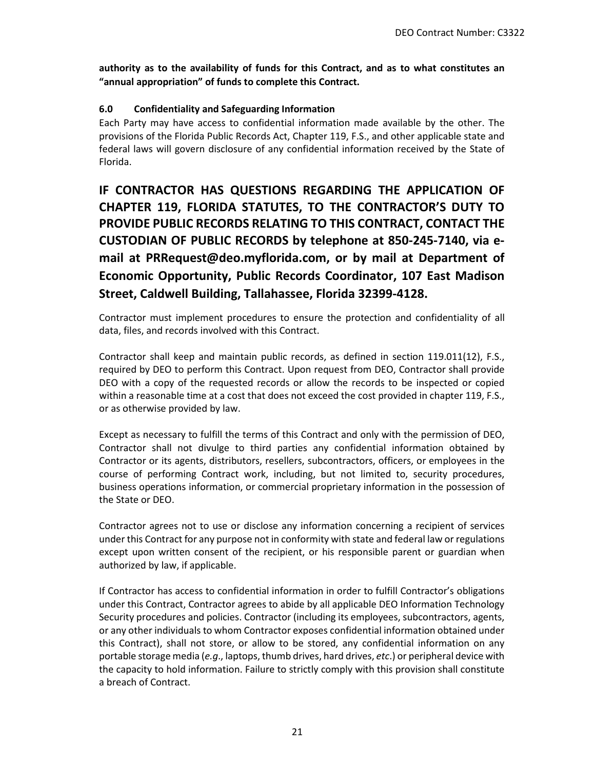**authority as to the availability of funds for this Contract, and as to what constitutes an "annual appropriation" of funds to complete this Contract.** 

# **6.0 Confidentiality and Safeguarding Information**

Each Party may have access to confidential information made available by the other. The provisions of the Florida Public Records Act, Chapter 119, F.S., and other applicable state and federal laws will govern disclosure of any confidential information received by the State of Florida.

**IF CONTRACTOR HAS QUESTIONS REGARDING THE APPLICATION OF CHAPTER 119, FLORIDA STATUTES, TO THE CONTRACTOR'S DUTY TO PROVIDE PUBLIC RECORDS RELATING TO THIS CONTRACT, CONTACT THE CUSTODIAN OF PUBLIC RECORDS by telephone at 850-245-7140, via email at [PRRequest@deo.myflorida.com,](mailto:PRRequest@deo.myflorida.com) or by mail at Department of Economic Opportunity, Public Records Coordinator, 107 East Madison Street, Caldwell Building, Tallahassee, Florida 32399-4128.**

Contractor must implement procedures to ensure the protection and confidentiality of all data, files, and records involved with this Contract.

Contractor shall keep and maintain public records, as defined in section 119.011(12), F.S., required by DEO to perform this Contract. Upon request from DEO, Contractor shall provide DEO with a copy of the requested records or allow the records to be inspected or copied within a reasonable time at a cost that does not exceed the cost provided in chapter 119, F.S., or as otherwise provided by law.

Except as necessary to fulfill the terms of this Contract and only with the permission of DEO, Contractor shall not divulge to third parties any confidential information obtained by Contractor or its agents, distributors, resellers, subcontractors, officers, or employees in the course of performing Contract work, including, but not limited to, security procedures, business operations information, or commercial proprietary information in the possession of the State or DEO.

Contractor agrees not to use or disclose any information concerning a recipient of services under this Contract for any purpose not in conformity with state and federal law or regulations except upon written consent of the recipient, or his responsible parent or guardian when authorized by law, if applicable.

If Contractor has access to confidential information in order to fulfill Contractor's obligations under this Contract, Contractor agrees to abide by all applicable DEO Information Technology Security procedures and policies. Contractor (including its employees, subcontractors, agents, or any other individuals to whom Contractor exposes confidential information obtained under this Contract), shall not store, or allow to be stored, any confidential information on any portable storage media (*e.g*., laptops, thumb drives, hard drives, *etc*.) or peripheral device with the capacity to hold information. Failure to strictly comply with this provision shall constitute a breach of Contract.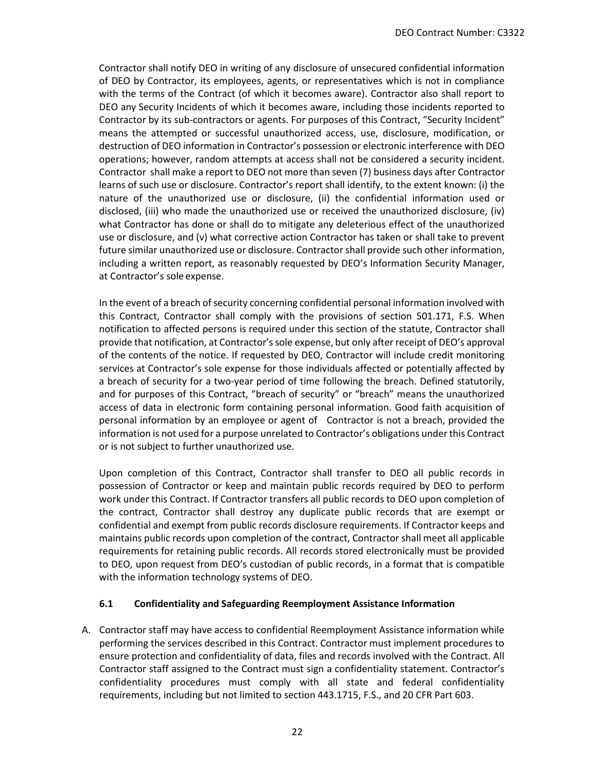Contractor shall notify DEO in writing of any disclosure of unsecured confidential information of DEO by Contractor, its employees, agents, or representatives which is not in compliance with the terms of the Contract (of which it becomes aware). Contractor also shall report to DEO any Security Incidents of which it becomes aware, including those incidents reported to Contractor by its sub-contractors or agents. For purposes of this Contract, "Security Incident" means the attempted or successful unauthorized access, use, disclosure, modification, or destruction of DEO information in Contractor's possession or electronic interference with DEO operations; however, random attempts at access shall not be considered a security incident. Contractor shall make a report to DEO not more than seven (7) business days after Contractor learns of such use or disclosure. Contractor's report shall identify, to the extent known: (i) the nature of the unauthorized use or disclosure, (ii) the confidential information used or disclosed, (iii) who made the unauthorized use or received the unauthorized disclosure, (iv) what Contractor has done or shall do to mitigate any deleterious effect of the unauthorized use or disclosure, and (v) what corrective action Contractor has taken or shall take to prevent future similar unauthorized use or disclosure. Contractor shall provide such other information, including a written report, as reasonably requested by DEO's Information Security Manager, at Contractor's sole expense.

In the event of a breach of security concerning confidential personal information involved with this Contract, Contractor shall comply with the provisions of section 501.171, F.S. When notification to affected persons is required under this section of the statute, Contractor shall provide that notification, at Contractor's sole expense, but only after receipt of DEO's approval of the contents of the notice. If requested by DEO, Contractor will include credit monitoring services at Contractor's sole expense for those individuals affected or potentially affected by a breach of security for a two-year period of time following the breach. Defined statutorily, and for purposes of this Contract, "breach of security" or "breach" means the unauthorized access of data in electronic form containing personal information. Good faith acquisition of personal information by an employee or agent of Contractor is not a breach, provided the information is not used for a purpose unrelated to Contractor's obligations under this Contract or is not subject to further unauthorized use.

Upon completion of this Contract, Contractor shall transfer to DEO all public records in possession of Contractor or keep and maintain public records required by DEO to perform work under this Contract. If Contractor transfers all public records to DEO upon completion of the contract, Contractor shall destroy any duplicate public records that are exempt or confidential and exempt from public records disclosure requirements. If Contractor keeps and maintains public records upon completion of the contract, Contractor shall meet all applicable requirements for retaining public records. All records stored electronically must be provided to DEO, upon request from DEO's custodian of public records, in a format that is compatible with the information technology systems of DEO.

### **6.1 Confidentiality and Safeguarding Reemployment Assistance Information**

A. Contractor staff may have access to confidential Reemployment Assistance information while performing the services described in this Contract. Contractor must implement procedures to ensure protection and confidentiality of data, files and records involved with the Contract. All Contractor staff assigned to the Contract must sign a confidentiality statement. Contractor's confidentiality procedures must comply with all state and federal confidentiality requirements, including but not limited to section 443.1715, F.S., and 20 CFR Part 603.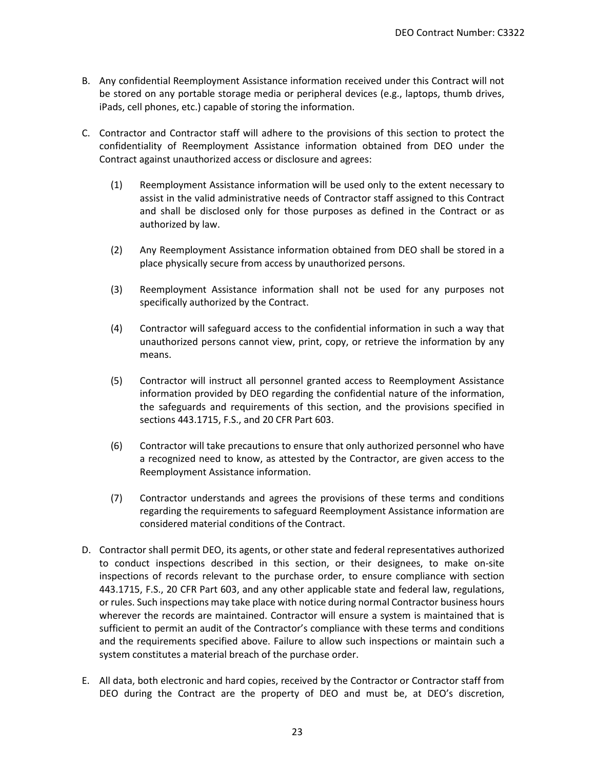- B. Any confidential Reemployment Assistance information received under this Contract will not be stored on any portable storage media or peripheral devices (e.g., laptops, thumb drives, iPads, cell phones, etc.) capable of storing the information.
- C. Contractor and Contractor staff will adhere to the provisions of this section to protect the confidentiality of Reemployment Assistance information obtained from DEO under the Contract against unauthorized access or disclosure and agrees:
	- (1) Reemployment Assistance information will be used only to the extent necessary to assist in the valid administrative needs of Contractor staff assigned to this Contract and shall be disclosed only for those purposes as defined in the Contract or as authorized by law.
	- (2) Any Reemployment Assistance information obtained from DEO shall be stored in a place physically secure from access by unauthorized persons.
	- (3) Reemployment Assistance information shall not be used for any purposes not specifically authorized by the Contract.
	- (4) Contractor will safeguard access to the confidential information in such a way that unauthorized persons cannot view, print, copy, or retrieve the information by any means.
	- (5) Contractor will instruct all personnel granted access to Reemployment Assistance information provided by DEO regarding the confidential nature of the information, the safeguards and requirements of this section, and the provisions specified in sections 443.1715, F.S., and 20 CFR Part 603.
	- (6) Contractor will take precautions to ensure that only authorized personnel who have a recognized need to know, as attested by the Contractor, are given access to the Reemployment Assistance information.
	- (7) Contractor understands and agrees the provisions of these terms and conditions regarding the requirements to safeguard Reemployment Assistance information are considered material conditions of the Contract.
- D. Contractor shall permit DEO, its agents, or other state and federal representatives authorized to conduct inspections described in this section, or their designees, to make on-site inspections of records relevant to the purchase order, to ensure compliance with section 443.1715, F.S., 20 CFR Part 603, and any other applicable state and federal law, regulations, or rules. Such inspections may take place with notice during normal Contractor business hours wherever the records are maintained. Contractor will ensure a system is maintained that is sufficient to permit an audit of the Contractor's compliance with these terms and conditions and the requirements specified above. Failure to allow such inspections or maintain such a system constitutes a material breach of the purchase order.
- E. All data, both electronic and hard copies, received by the Contractor or Contractor staff from DEO during the Contract are the property of DEO and must be, at DEO's discretion,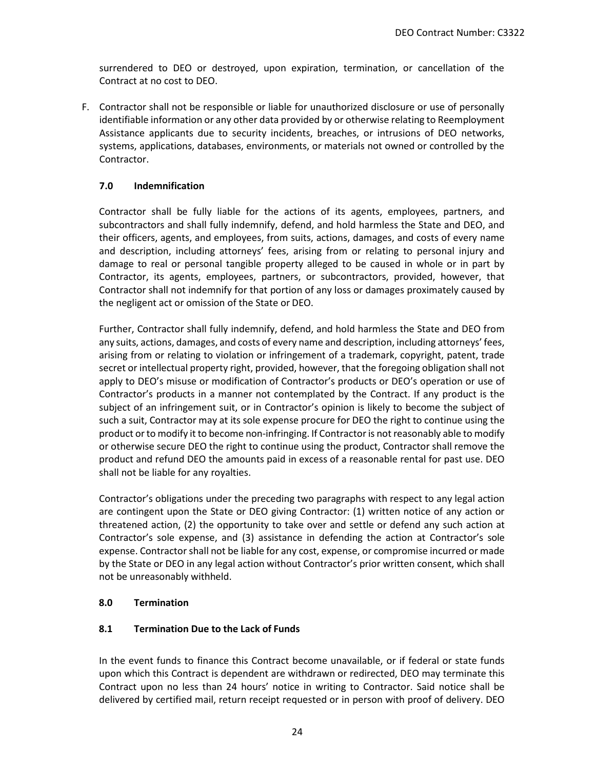surrendered to DEO or destroyed, upon expiration, termination, or cancellation of the Contract at no cost to DEO.

F. Contractor shall not be responsible or liable for unauthorized disclosure or use of personally identifiable information or any other data provided by or otherwise relating to Reemployment Assistance applicants due to security incidents, breaches, or intrusions of DEO networks, systems, applications, databases, environments, or materials not owned or controlled by the Contractor.

## **7.0 Indemnification**

Contractor shall be fully liable for the actions of its agents, employees, partners, and subcontractors and shall fully indemnify, defend, and hold harmless the State and DEO, and their officers, agents, and employees, from suits, actions, damages, and costs of every name and description, including attorneys' fees, arising from or relating to personal injury and damage to real or personal tangible property alleged to be caused in whole or in part by Contractor, its agents, employees, partners, or subcontractors, provided, however, that Contractor shall not indemnify for that portion of any loss or damages proximately caused by the negligent act or omission of the State or DEO.

Further, Contractor shall fully indemnify, defend, and hold harmless the State and DEO from any suits, actions, damages, and costs of every name and description, including attorneys' fees, arising from or relating to violation or infringement of a trademark, copyright, patent, trade secret or intellectual property right, provided, however, that the foregoing obligation shall not apply to DEO's misuse or modification of Contractor's products or DEO's operation or use of Contractor's products in a manner not contemplated by the Contract. If any product is the subject of an infringement suit, or in Contractor's opinion is likely to become the subject of such a suit, Contractor may at its sole expense procure for DEO the right to continue using the product or to modify it to become non-infringing. If Contractor is not reasonably able to modify or otherwise secure DEO the right to continue using the product, Contractor shall remove the product and refund DEO the amounts paid in excess of a reasonable rental for past use. DEO shall not be liable for any royalties.

Contractor's obligations under the preceding two paragraphs with respect to any legal action are contingent upon the State or DEO giving Contractor: (1) written notice of any action or threatened action, (2) the opportunity to take over and settle or defend any such action at Contractor's sole expense, and (3) assistance in defending the action at Contractor's sole expense. Contractor shall not be liable for any cost, expense, or compromise incurred or made by the State or DEO in any legal action without Contractor's prior written consent, which shall not be unreasonably withheld.

### **8.0 Termination**

# **8.1 Termination Due to the Lack of Funds**

In the event funds to finance this Contract become unavailable, or if federal or state funds upon which this Contract is dependent are withdrawn or redirected, DEO may terminate this Contract upon no less than 24 hours' notice in writing to Contractor. Said notice shall be delivered by certified mail, return receipt requested or in person with proof of delivery. DEO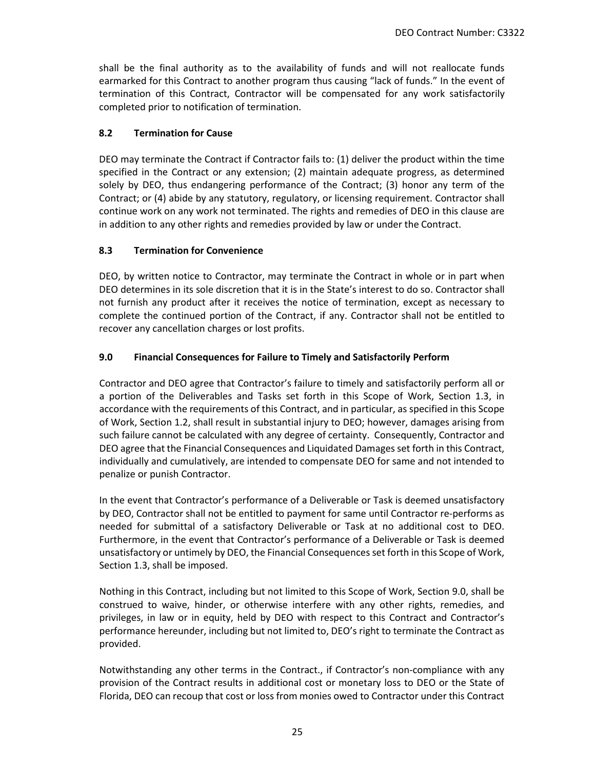shall be the final authority as to the availability of funds and will not reallocate funds earmarked for this Contract to another program thus causing "lack of funds." In the event of termination of this Contract, Contractor will be compensated for any work satisfactorily completed prior to notification of termination.

### **8.2 Termination for Cause**

DEO may terminate the Contract if Contractor fails to: (1) deliver the product within the time specified in the Contract or any extension; (2) maintain adequate progress, as determined solely by DEO, thus endangering performance of the Contract; (3) honor any term of the Contract; or (4) abide by any statutory, regulatory, or licensing requirement. Contractor shall continue work on any work not terminated. The rights and remedies of DEO in this clause are in addition to any other rights and remedies provided by law or under the Contract.

### **8.3 Termination for Convenience**

DEO, by written notice to Contractor, may terminate the Contract in whole or in part when DEO determines in its sole discretion that it is in the State's interest to do so. Contractor shall not furnish any product after it receives the notice of termination, except as necessary to complete the continued portion of the Contract, if any. Contractor shall not be entitled to recover any cancellation charges or lost profits.

## **9.0 Financial Consequences for Failure to Timely and Satisfactorily Perform**

Contractor and DEO agree that Contractor's failure to timely and satisfactorily perform all or a portion of the Deliverables and Tasks set forth in this Scope of Work, Section 1.3, in accordance with the requirements of this Contract, and in particular, as specified in this Scope of Work, Section 1.2, shall result in substantial injury to DEO; however, damages arising from such failure cannot be calculated with any degree of certainty. Consequently, Contractor and DEO agree that the Financial Consequences and Liquidated Damages set forth in this Contract, individually and cumulatively, are intended to compensate DEO for same and not intended to penalize or punish Contractor.

In the event that Contractor's performance of a Deliverable or Task is deemed unsatisfactory by DEO, Contractor shall not be entitled to payment for same until Contractor re-performs as needed for submittal of a satisfactory Deliverable or Task at no additional cost to DEO. Furthermore, in the event that Contractor's performance of a Deliverable or Task is deemed unsatisfactory or untimely by DEO, the Financial Consequences set forth in this Scope of Work, Section 1.3, shall be imposed.

Nothing in this Contract, including but not limited to this Scope of Work, Section 9.0, shall be construed to waive, hinder, or otherwise interfere with any other rights, remedies, and privileges, in law or in equity, held by DEO with respect to this Contract and Contractor's performance hereunder, including but not limited to, DEO's right to terminate the Contract as provided.

Notwithstanding any other terms in the Contract., if Contractor's non-compliance with any provision of the Contract results in additional cost or monetary loss to DEO or the State of Florida, DEO can recoup that cost or loss from monies owed to Contractor under this Contract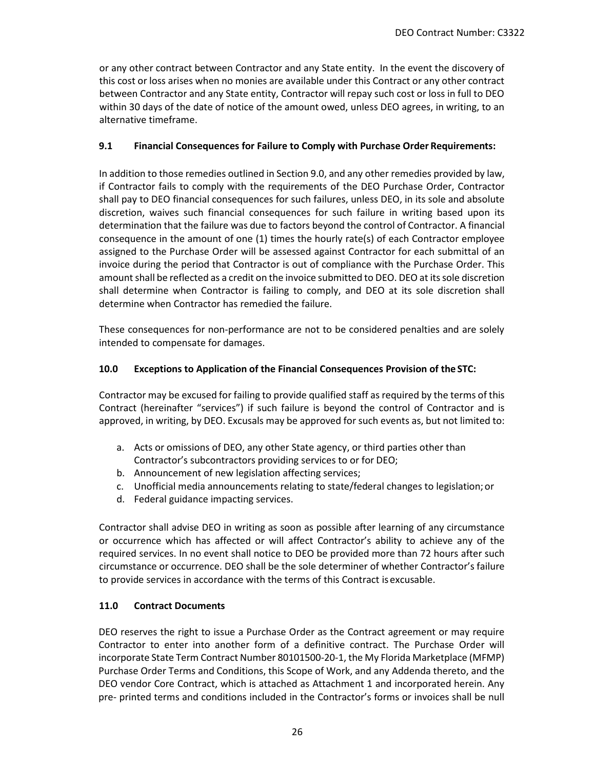or any other contract between Contractor and any State entity. In the event the discovery of this cost or loss arises when no monies are available under this Contract or any other contract between Contractor and any State entity, Contractor will repay such cost or loss in full to DEO within 30 days of the date of notice of the amount owed, unless DEO agrees, in writing, to an alternative timeframe.

### **9.1 Financial Consequences for Failure to Comply with Purchase Order Requirements:**

In addition to those remedies outlined in Section 9.0, and any other remedies provided by law, if Contractor fails to comply with the requirements of the DEO Purchase Order, Contractor shall pay to DEO financial consequences for such failures, unless DEO, in its sole and absolute discretion, waives such financial consequences for such failure in writing based upon its determination that the failure was due to factors beyond the control of Contractor. A financial consequence in the amount of one (1) times the hourly rate(s) of each Contractor employee assigned to the Purchase Order will be assessed against Contractor for each submittal of an invoice during the period that Contractor is out of compliance with the Purchase Order. This amount shall be reflected as a credit on the invoice submitted to DEO. DEO at its sole discretion shall determine when Contractor is failing to comply, and DEO at its sole discretion shall determine when Contractor has remedied the failure.

These consequences for non-performance are not to be considered penalties and are solely intended to compensate for damages.

## **10.0 Exceptions to Application of the Financial Consequences Provision of the STC:**

Contractor may be excused for failing to provide qualified staff as required by the terms of this Contract (hereinafter "services") if such failure is beyond the control of Contractor and is approved, in writing, by DEO. Excusals may be approved for such events as, but not limited to:

- a. Acts or omissions of DEO, any other State agency, or third parties other than Contractor's subcontractors providing services to or for DEO;
- b. Announcement of new legislation affecting services;
- c. Unofficial media announcements relating to state/federal changes to legislation;or
- d. Federal guidance impacting services.

Contractor shall advise DEO in writing as soon as possible after learning of any circumstance or occurrence which has affected or will affect Contractor's ability to achieve any of the required services. In no event shall notice to DEO be provided more than 72 hours after such circumstance or occurrence. DEO shall be the sole determiner of whether Contractor's failure to provide services in accordance with the terms of this Contract is excusable.

# **11.0 Contract Documents**

DEO reserves the right to issue a Purchase Order as the Contract agreement or may require Contractor to enter into another form of a definitive contract. The Purchase Order will incorporate State Term Contract Number 80101500-20-1, the My Florida Marketplace (MFMP) Purchase Order Terms and Conditions, this Scope of Work, and any Addenda thereto, and the DEO vendor Core Contract, which is attached as Attachment 1 and incorporated herein. Any pre- printed terms and conditions included in the Contractor's forms or invoices shall be null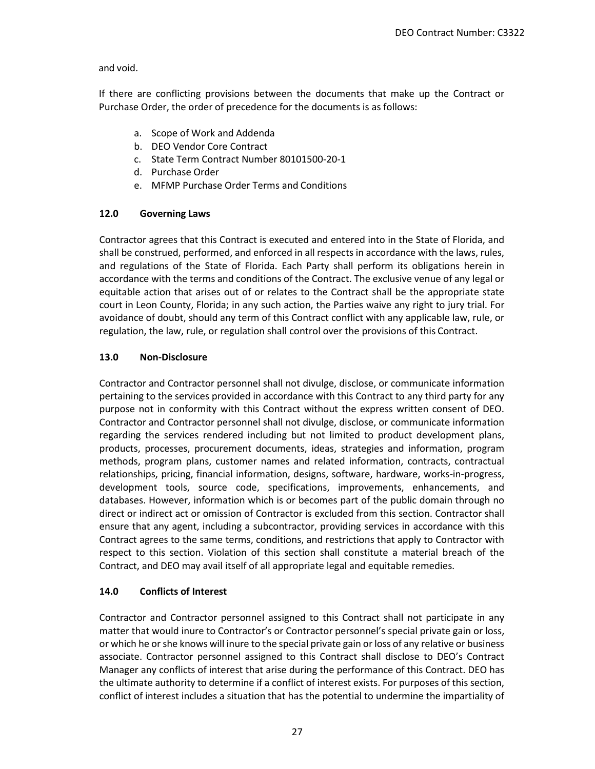### and void.

If there are conflicting provisions between the documents that make up the Contract or Purchase Order, the order of precedence for the documents is as follows:

- a. Scope of Work and Addenda
- b. DEO Vendor Core Contract
- c. State Term Contract Number 80101500-20-1
- d. Purchase Order
- e. MFMP Purchase Order Terms and Conditions

## **12.0 Governing Laws**

Contractor agrees that this Contract is executed and entered into in the State of Florida, and shall be construed, performed, and enforced in all respects in accordance with the laws, rules, and regulations of the State of Florida. Each Party shall perform its obligations herein in accordance with the terms and conditions of the Contract. The exclusive venue of any legal or equitable action that arises out of or relates to the Contract shall be the appropriate state court in Leon County, Florida; in any such action, the Parties waive any right to jury trial. For avoidance of doubt, should any term of this Contract conflict with any applicable law, rule, or regulation, the law, rule, or regulation shall control over the provisions of this Contract.

## **13.0 Non-Disclosure**

Contractor and Contractor personnel shall not divulge, disclose, or communicate information pertaining to the services provided in accordance with this Contract to any third party for any purpose not in conformity with this Contract without the express written consent of DEO. Contractor and Contractor personnel shall not divulge, disclose, or communicate information regarding the services rendered including but not limited to product development plans, products, processes, procurement documents, ideas, strategies and information, program methods, program plans, customer names and related information, contracts, contractual relationships, pricing, financial information, designs, software, hardware, works-in-progress, development tools, source code, specifications, improvements, enhancements, and databases. However, information which is or becomes part of the public domain through no direct or indirect act or omission of Contractor is excluded from this section. Contractor shall ensure that any agent, including a subcontractor, providing services in accordance with this Contract agrees to the same terms, conditions, and restrictions that apply to Contractor with respect to this section. Violation of this section shall constitute a material breach of the Contract, and DEO may avail itself of all appropriate legal and equitable remedies.

### **14.0 Conflicts of Interest**

Contractor and Contractor personnel assigned to this Contract shall not participate in any matter that would inure to Contractor's or Contractor personnel's special private gain or loss, or which he or she knows will inure to the special private gain or loss of any relative or business associate. Contractor personnel assigned to this Contract shall disclose to DEO's Contract Manager any conflicts of interest that arise during the performance of this Contract. DEO has the ultimate authority to determine if a conflict of interest exists. For purposes of this section, conflict of interest includes a situation that has the potential to undermine the impartiality of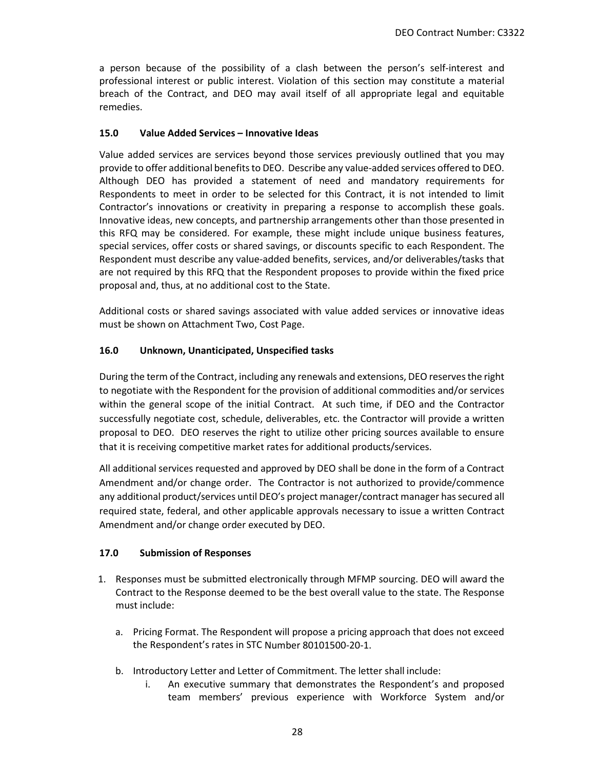a person because of the possibility of a clash between the person's self-interest and professional interest or public interest. Violation of this section may constitute a material breach of the Contract, and DEO may avail itself of all appropriate legal and equitable remedies.

#### **15.0 Value Added Services – Innovative Ideas**

Value added services are services beyond those services previously outlined that you may provide to offer additional benefits to DEO. Describe any value-added services offered to DEO. Although DEO has provided a statement of need and mandatory requirements for Respondents to meet in order to be selected for this Contract, it is not intended to limit Contractor's innovations or creativity in preparing a response to accomplish these goals. Innovative ideas, new concepts, and partnership arrangements other than those presented in this RFQ may be considered. For example, these might include unique business features, special services, offer costs or shared savings, or discounts specific to each Respondent. The Respondent must describe any value-added benefits, services, and/or deliverables/tasks that are not required by this RFQ that the Respondent proposes to provide within the fixed price proposal and, thus, at no additional cost to the State.

Additional costs or shared savings associated with value added services or innovative ideas must be shown on Attachment Two, Cost Page.

### **16.0 Unknown, Unanticipated, Unspecified tasks**

During the term of the Contract, including any renewals and extensions, DEO reserves the right to negotiate with the Respondent for the provision of additional commodities and/or services within the general scope of the initial Contract. At such time, if DEO and the Contractor successfully negotiate cost, schedule, deliverables, etc. the Contractor will provide a written proposal to DEO. DEO reserves the right to utilize other pricing sources available to ensure that it is receiving competitive market rates for additional products/services.

All additional services requested and approved by DEO shall be done in the form of a Contract Amendment and/or change order. The Contractor is not authorized to provide/commence any additional product/services until DEO's project manager/contract manager has secured all required state, federal, and other applicable approvals necessary to issue a written Contract Amendment and/or change order executed by DEO.

### **17.0 Submission of Responses**

- 1. Responses must be submitted electronically through MFMP sourcing. DEO will award the Contract to the Response deemed to be the best overall value to the state. The Response must include:
	- a. Pricing Format. The Respondent will propose a pricing approach that does not exceed the Respondent's rates in STC Number 80101500-20-1.
	- b. Introductory Letter and Letter of Commitment. The letter shall include:
		- i. An executive summary that demonstrates the Respondent's and proposed team members' previous experience with Workforce System and/or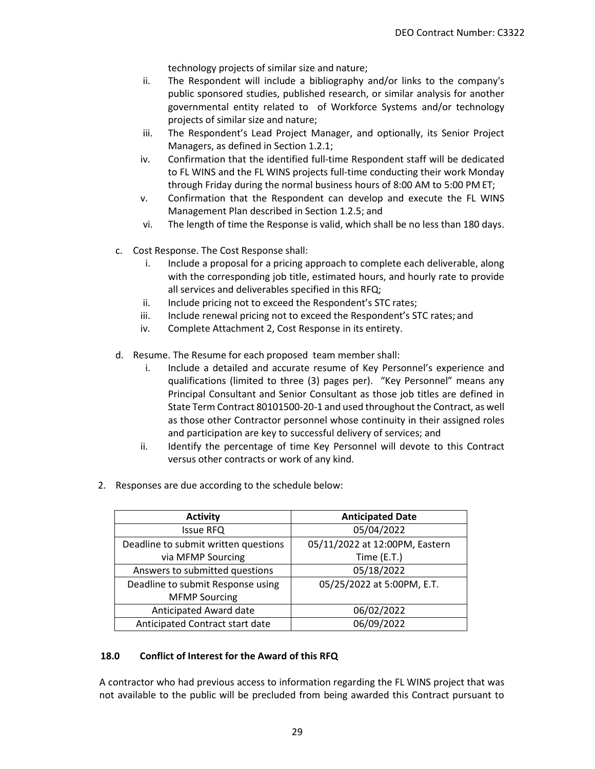technology projects of similar size and nature;

- ii. The Respondent will include a bibliography and/or links to the company's public sponsored studies, published research, or similar analysis for another governmental entity related to of Workforce Systems and/or technology projects of similar size and nature;
- iii. The Respondent's Lead Project Manager, and optionally, its Senior Project Managers, as defined in Section 1.2.1;
- iv. Confirmation that the identified full-time Respondent staff will be dedicated to FL WINS and the FL WINS projects full-time conducting their work Monday through Friday during the normal business hours of 8:00 AM to 5:00 PM ET;
- v. Confirmation that the Respondent can develop and execute the FL WINS Management Plan described in Section 1.2.5; and
- vi. The length of time the Response is valid, which shall be no less than 180 days.
- c. Cost Response. The Cost Response shall:
	- i. Include a proposal for a pricing approach to complete each deliverable, along with the corresponding job title, estimated hours, and hourly rate to provide all services and deliverables specified in this RFQ;
	- ii. Include pricing not to exceed the Respondent's STC rates;
	- iii. Include renewal pricing not to exceed the Respondent's STC rates; and
	- iv. Complete Attachment 2, Cost Response in its entirety.
- d. Resume. The Resume for each proposed team member shall:
	- i. Include a detailed and accurate resume of Key Personnel's experience and qualifications (limited to three (3) pages per). "Key Personnel" means any Principal Consultant and Senior Consultant as those job titles are defined in State Term Contract 80101500-20-1 and used throughout the Contract, as well as those other Contractor personnel whose continuity in their assigned roles and participation are key to successful delivery of services; and
	- ii. Identify the percentage of time Key Personnel will devote to this Contract versus other contracts or work of any kind.
- 2. Responses are due according to the schedule below:

| <b>Activity</b>                      | <b>Anticipated Date</b>        |
|--------------------------------------|--------------------------------|
| <b>Issue RFQ</b>                     | 05/04/2022                     |
| Deadline to submit written questions | 05/11/2022 at 12:00PM, Eastern |
| via MFMP Sourcing                    | Time $(E.T.)$                  |
| Answers to submitted questions       | 05/18/2022                     |
| Deadline to submit Response using    | 05/25/2022 at 5:00PM, E.T.     |
| <b>MFMP Sourcing</b>                 |                                |
| Anticipated Award date               | 06/02/2022                     |
| Anticipated Contract start date      | 06/09/2022                     |

### **18.0 Conflict of Interest for the Award of this RFQ**

A contractor who had previous access to information regarding the FL WINS project that was not available to the public will be precluded from being awarded this Contract pursuant to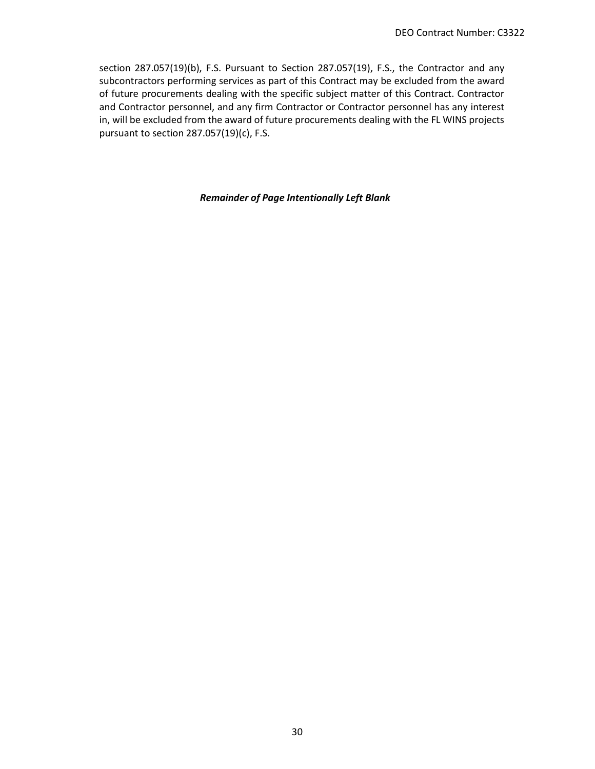section 287.057(19)(b), F.S. Pursuant to Section 287.057(19), F.S., the Contractor and any subcontractors performing services as part of this Contract may be excluded from the award of future procurements dealing with the specific subject matter of this Contract. Contractor and Contractor personnel, and any firm Contractor or Contractor personnel has any interest in, will be excluded from the award of future procurements dealing with the FL WINS projects pursuant to section 287.057(19)(c), F.S.

#### *Remainder of Page Intentionally Left Blank*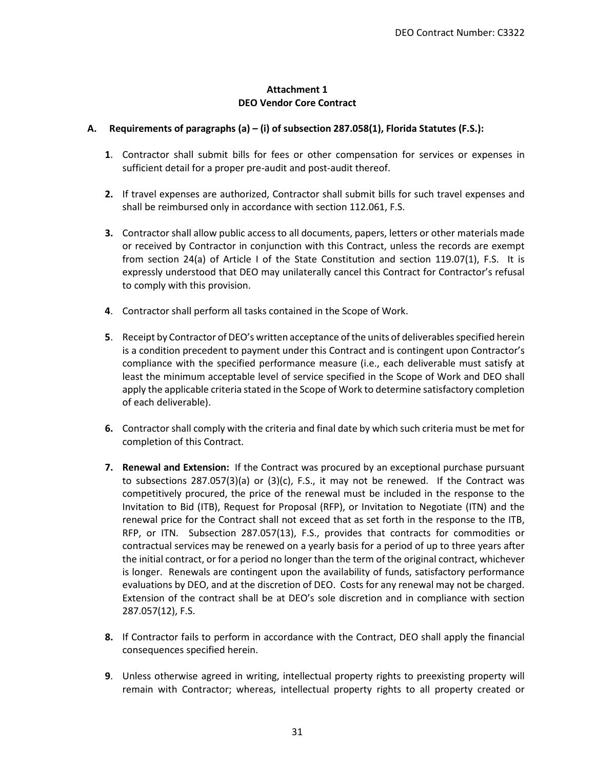### **Attachment 1 DEO Vendor Core Contract**

### **A. Requirements of paragraphs (a) – (i) of subsection 287.058(1), Florida Statutes (F.S.):**

- **1**. Contractor shall submit bills for fees or other compensation for services or expenses in sufficient detail for a proper pre-audit and post-audit thereof.
- **2.** If travel expenses are authorized, Contractor shall submit bills for such travel expenses and shall be reimbursed only in accordance with section 112.061, F.S.
- **3.** Contractor shall allow public access to all documents, papers, letters or other materials made or received by Contractor in conjunction with this Contract, unless the records are exempt from section 24(a) of Article I of the State Constitution and section 119.07(1), F.S. It is expressly understood that DEO may unilaterally cancel this Contract for Contractor's refusal to comply with this provision.
- **4**. Contractor shall perform all tasks contained in the Scope of Work.
- **5**. Receipt by Contractor of DEO's written acceptance of the units of deliverables specified herein is a condition precedent to payment under this Contract and is contingent upon Contractor's compliance with the specified performance measure (i.e., each deliverable must satisfy at least the minimum acceptable level of service specified in the Scope of Work and DEO shall apply the applicable criteria stated in the Scope of Work to determine satisfactory completion of each deliverable).
- **6.** Contractor shall comply with the criteria and final date by which such criteria must be met for completion of this Contract.
- **7. Renewal and Extension:** If the Contract was procured by an exceptional purchase pursuant to subsections 287.057(3)(a) or (3)(c), F.S., it may not be renewed. If the Contract was competitively procured, the price of the renewal must be included in the response to the Invitation to Bid (ITB), Request for Proposal (RFP), or Invitation to Negotiate (ITN) and the renewal price for the Contract shall not exceed that as set forth in the response to the ITB, RFP, or ITN. Subsection 287.057(13), F.S., provides that contracts for commodities or contractual services may be renewed on a yearly basis for a period of up to three years after the initial contract, or for a period no longer than the term of the original contract, whichever is longer. Renewals are contingent upon the availability of funds, satisfactory performance evaluations by DEO, and at the discretion of DEO. Costs for any renewal may not be charged. Extension of the contract shall be at DEO's sole discretion and in compliance with section 287.057(12), F.S.
- **8.** If Contractor fails to perform in accordance with the Contract, DEO shall apply the financial consequences specified herein.
- **9**. Unless otherwise agreed in writing, intellectual property rights to preexisting property will remain with Contractor; whereas, intellectual property rights to all property created or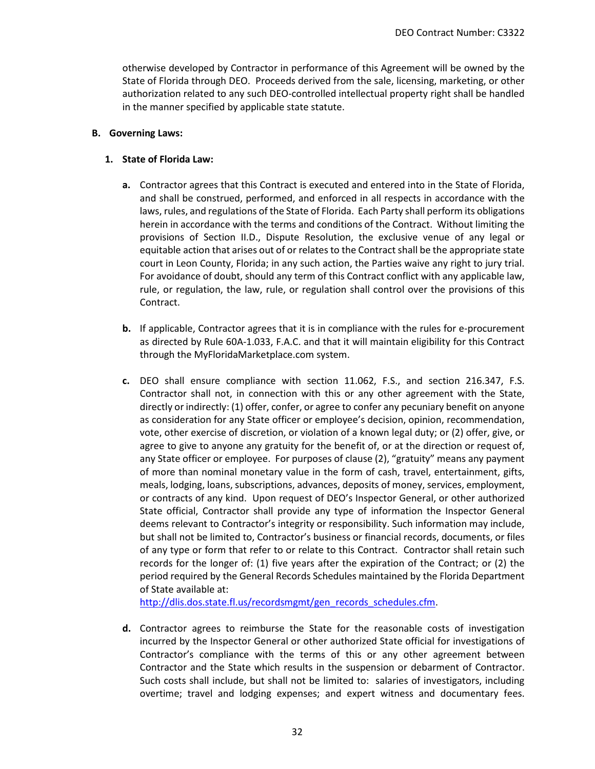otherwise developed by Contractor in performance of this Agreement will be owned by the State of Florida through DEO. Proceeds derived from the sale, licensing, marketing, or other authorization related to any such DEO-controlled intellectual property right shall be handled in the manner specified by applicable state statute.

### **B. Governing Laws:**

### **1. State of Florida Law:**

- **a.** Contractor agrees that this Contract is executed and entered into in the State of Florida, and shall be construed, performed, and enforced in all respects in accordance with the laws, rules, and regulations of the State of Florida. Each Party shall perform its obligations herein in accordance with the terms and conditions of the Contract. Without limiting the provisions of Section II.D., Dispute Resolution, the exclusive venue of any legal or equitable action that arises out of or relates to the Contract shall be the appropriate state court in Leon County, Florida; in any such action, the Parties waive any right to jury trial. For avoidance of doubt, should any term of this Contract conflict with any applicable law, rule, or regulation, the law, rule, or regulation shall control over the provisions of this Contract.
- **b.** If applicable, Contractor agrees that it is in compliance with the rules for e-procurement as directed by Rule 60A-1.033, F.A.C. and that it will maintain eligibility for this Contract through the MyFloridaMarketplace.com system.
- **c.** DEO shall ensure compliance with section 11.062, F.S., and section 216.347, F.S. Contractor shall not, in connection with this or any other agreement with the State, directly or indirectly: (1) offer, confer, or agree to confer any pecuniary benefit on anyone as consideration for any State officer or employee's decision, opinion, recommendation, vote, other exercise of discretion, or violation of a known legal duty; or (2) offer, give, or agree to give to anyone any gratuity for the benefit of, or at the direction or request of, any State officer or employee. For purposes of clause (2), "gratuity" means any payment of more than nominal monetary value in the form of cash, travel, entertainment, gifts, meals, lodging, loans, subscriptions, advances, deposits of money, services, employment, or contracts of any kind. Upon request of DEO's Inspector General, or other authorized State official, Contractor shall provide any type of information the Inspector General deems relevant to Contractor's integrity or responsibility. Such information may include, but shall not be limited to, Contractor's business or financial records, documents, or files of any type or form that refer to or relate to this Contract. Contractor shall retain such records for the longer of: (1) five years after the expiration of the Contract; or (2) the period required by the General Records Schedules maintained by the Florida Department of State available at:

[http://dlis.dos.state.fl.us/recordsmgmt/gen\\_records\\_schedules.cfm.](http://dlis.dos.state.fl.us/recordsmgmt/gen_records_schedules.cfm)

**d.** Contractor agrees to reimburse the State for the reasonable costs of investigation incurred by the Inspector General or other authorized State official for investigations of Contractor's compliance with the terms of this or any other agreement between Contractor and the State which results in the suspension or debarment of Contractor. Such costs shall include, but shall not be limited to: salaries of investigators, including overtime; travel and lodging expenses; and expert witness and documentary fees.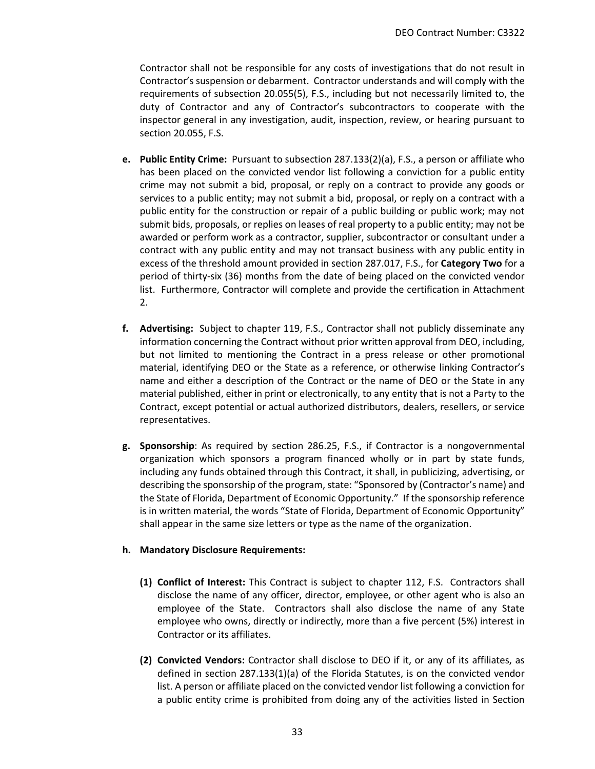Contractor shall not be responsible for any costs of investigations that do not result in Contractor's suspension or debarment. Contractor understands and will comply with the requirements of subsection 20.055(5), F.S., including but not necessarily limited to, the duty of Contractor and any of Contractor's subcontractors to cooperate with the inspector general in any investigation, audit, inspection, review, or hearing pursuant to section 20.055, F.S.

- **e. Public Entity Crime:** Pursuant to subsection 287.133(2)(a), F.S., a person or affiliate who has been placed on the convicted vendor list following a conviction for a public entity crime may not submit a bid, proposal, or reply on a contract to provide any goods or services to a public entity; may not submit a bid, proposal, or reply on a contract with a public entity for the construction or repair of a public building or public work; may not submit bids, proposals, or replies on leases of real property to a public entity; may not be awarded or perform work as a contractor, supplier, subcontractor or consultant under a contract with any public entity and may not transact business with any public entity in excess of the threshold amount provided in section 287.017, F.S., for **Category Two** for a period of thirty-six (36) months from the date of being placed on the convicted vendor list. Furthermore, Contractor will complete and provide the certification in Attachment 2.
- **f. Advertising:** Subject to chapter 119, F.S., Contractor shall not publicly disseminate any information concerning the Contract without prior written approval from DEO, including, but not limited to mentioning the Contract in a press release or other promotional material, identifying DEO or the State as a reference, or otherwise linking Contractor's name and either a description of the Contract or the name of DEO or the State in any material published, either in print or electronically, to any entity that is not a Party to the Contract, except potential or actual authorized distributors, dealers, resellers, or service representatives.
- **g. Sponsorship**: As required by section 286.25, F.S., if Contractor is a nongovernmental organization which sponsors a program financed wholly or in part by state funds, including any funds obtained through this Contract, it shall, in publicizing, advertising, or describing the sponsorship of the program, state: "Sponsored by (Contractor's name) and the State of Florida, Department of Economic Opportunity." If the sponsorship reference is in written material, the words "State of Florida, Department of Economic Opportunity" shall appear in the same size letters or type as the name of the organization.

### **h. Mandatory Disclosure Requirements:**

- **(1) Conflict of Interest:** This Contract is subject to chapter 112, F.S. Contractors shall disclose the name of any officer, director, employee, or other agent who is also an employee of the State. Contractors shall also disclose the name of any State employee who owns, directly or indirectly, more than a five percent (5%) interest in Contractor or its affiliates.
- **(2) Convicted Vendors:** Contractor shall disclose to DEO if it, or any of its affiliates, as defined in section 287.133(1)(a) of the Florida Statutes, is on the convicted vendor list. A person or affiliate placed on the convicted vendor list following a conviction for a public entity crime is prohibited from doing any of the activities listed in Section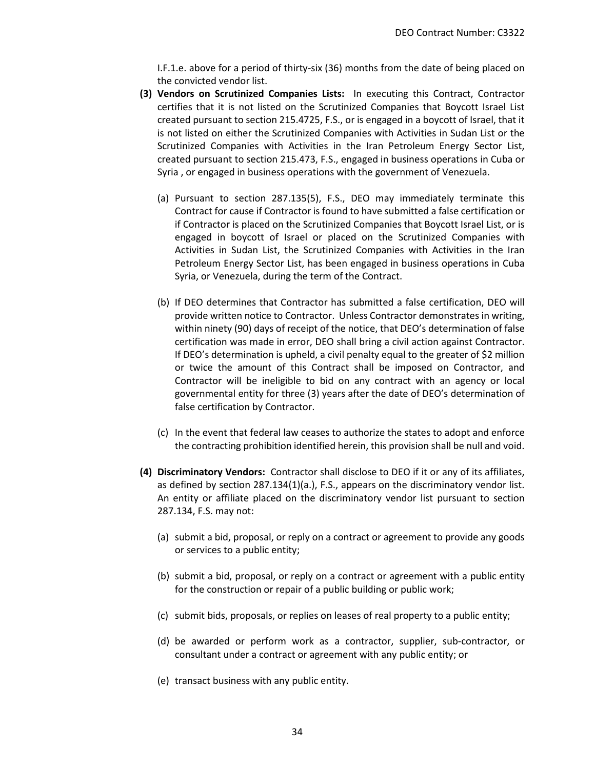I.F.1.e. above for a period of thirty-six (36) months from the date of being placed on the convicted vendor list.

- **(3) Vendors on Scrutinized Companies Lists:** In executing this Contract, Contractor certifies that it is not listed on the Scrutinized Companies that Boycott Israel List created pursuant to section 215.4725, F.S., or is engaged in a boycott of Israel, that it is not listed on either the Scrutinized Companies with Activities in Sudan List or the Scrutinized Companies with Activities in the Iran Petroleum Energy Sector List, created pursuant to section 215.473, F.S., engaged in business operations in Cuba or Syria , or engaged in business operations with the government of Venezuela.
	- (a) Pursuant to section 287.135(5), F.S., DEO may immediately terminate this Contract for cause if Contractor is found to have submitted a false certification or if Contractor is placed on the Scrutinized Companies that Boycott Israel List, or is engaged in boycott of Israel or placed on the Scrutinized Companies with Activities in Sudan List, the Scrutinized Companies with Activities in the Iran Petroleum Energy Sector List, has been engaged in business operations in Cuba Syria, or Venezuela, during the term of the Contract.
	- (b) If DEO determines that Contractor has submitted a false certification, DEO will provide written notice to Contractor. Unless Contractor demonstrates in writing, within ninety (90) days of receipt of the notice, that DEO's determination of false certification was made in error, DEO shall bring a civil action against Contractor. If DEO's determination is upheld, a civil penalty equal to the greater of \$2 million or twice the amount of this Contract shall be imposed on Contractor, and Contractor will be ineligible to bid on any contract with an agency or local governmental entity for three (3) years after the date of DEO's determination of false certification by Contractor.
	- (c) In the event that federal law ceases to authorize the states to adopt and enforce the contracting prohibition identified herein, this provision shall be null and void.
- **(4) Discriminatory Vendors:** Contractor shall disclose to DEO if it or any of its affiliates, as defined by section 287.134(1)(a.), F.S., appears on the discriminatory vendor list. An entity or affiliate placed on the discriminatory vendor list pursuant to section 287.134, F.S. may not:
	- (a) submit a bid, proposal, or reply on a contract or agreement to provide any goods or services to a public entity;
	- (b) submit a bid, proposal, or reply on a contract or agreement with a public entity for the construction or repair of a public building or public work;
	- (c) submit bids, proposals, or replies on leases of real property to a public entity;
	- (d) be awarded or perform work as a contractor, supplier, sub-contractor, or consultant under a contract or agreement with any public entity; or
	- (e) transact business with any public entity.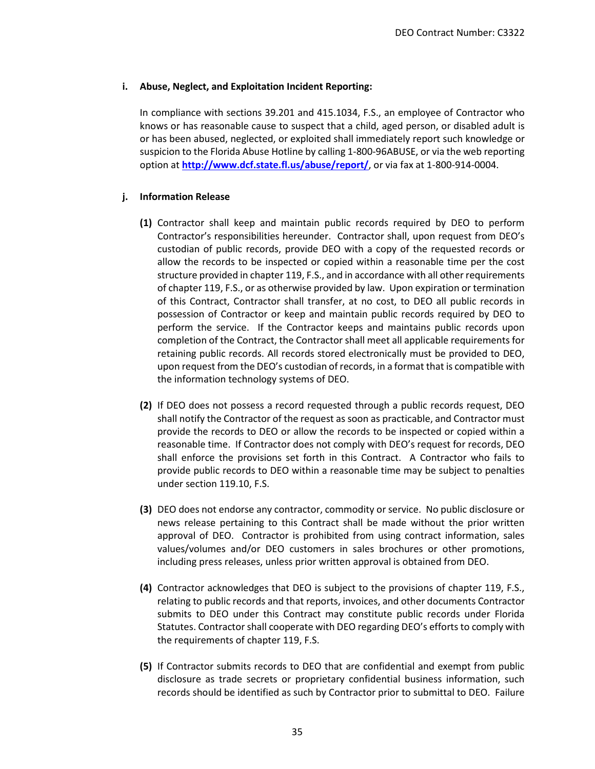### **i. Abuse, Neglect, and Exploitation Incident Reporting:**

In compliance with sections 39.201 and 415.1034, F.S., an employee of Contractor who knows or has reasonable cause to suspect that a child, aged person, or disabled adult is or has been abused, neglected, or exploited shall immediately report such knowledge or suspicion to the Florida Abuse Hotline by calling 1-800-96ABUSE, or via the web reporting option at **<http://www.dcf.state.fl.us/abuse/report/>**, or via fax at 1-800-914-0004.

## **j. Information Release**

- **(1)** Contractor shall keep and maintain public records required by DEO to perform Contractor's responsibilities hereunder. Contractor shall, upon request from DEO's custodian of public records, provide DEO with a copy of the requested records or allow the records to be inspected or copied within a reasonable time per the cost structure provided in chapter 119, F.S., and in accordance with all other requirements of chapter 119, F.S., or as otherwise provided by law. Upon expiration or termination of this Contract, Contractor shall transfer, at no cost, to DEO all public records in possession of Contractor or keep and maintain public records required by DEO to perform the service. If the Contractor keeps and maintains public records upon completion of the Contract, the Contractor shall meet all applicable requirements for retaining public records. All records stored electronically must be provided to DEO, upon request from the DEO's custodian of records, in a format that is compatible with the information technology systems of DEO.
- **(2)** If DEO does not possess a record requested through a public records request, DEO shall notify the Contractor of the request as soon as practicable, and Contractor must provide the records to DEO or allow the records to be inspected or copied within a reasonable time. If Contractor does not comply with DEO's request for records, DEO shall enforce the provisions set forth in this Contract. A Contractor who fails to provide public records to DEO within a reasonable time may be subject to penalties under section 119.10, F.S.
- **(3)** DEO does not endorse any contractor, commodity or service. No public disclosure or news release pertaining to this Contract shall be made without the prior written approval of DEO. Contractor is prohibited from using contract information, sales values/volumes and/or DEO customers in sales brochures or other promotions, including press releases, unless prior written approval is obtained from DEO.
- **(4)** Contractor acknowledges that DEO is subject to the provisions of chapter 119, F.S., relating to public records and that reports, invoices, and other documents Contractor submits to DEO under this Contract may constitute public records under Florida Statutes. Contractor shall cooperate with DEO regarding DEO's efforts to comply with the requirements of chapter 119, F.S.
- **(5)** If Contractor submits records to DEO that are confidential and exempt from public disclosure as trade secrets or proprietary confidential business information, such records should be identified as such by Contractor prior to submittal to DEO. Failure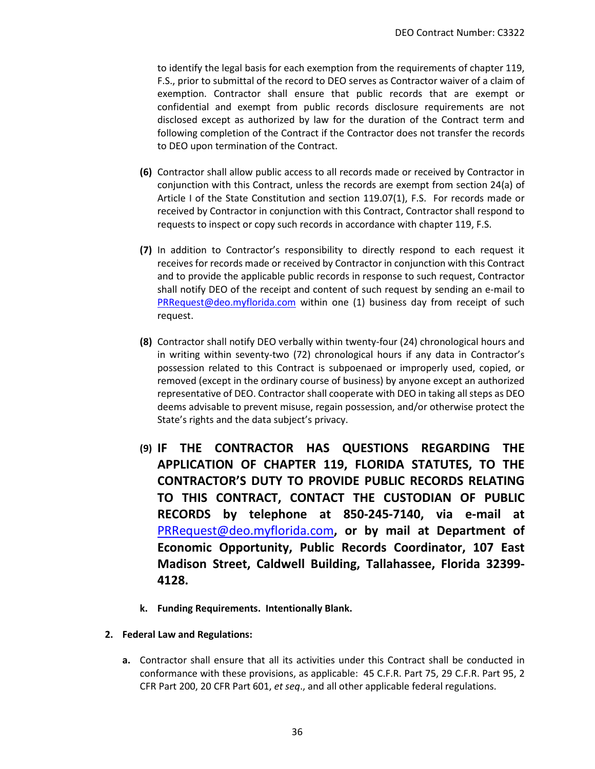to identify the legal basis for each exemption from the requirements of chapter 119, F.S., prior to submittal of the record to DEO serves as Contractor waiver of a claim of exemption. Contractor shall ensure that public records that are exempt or confidential and exempt from public records disclosure requirements are not disclosed except as authorized by law for the duration of the Contract term and following completion of the Contract if the Contractor does not transfer the records to DEO upon termination of the Contract.

- **(6)** Contractor shall allow public access to all records made or received by Contractor in conjunction with this Contract, unless the records are exempt from section 24(a) of Article I of the State Constitution and section 119.07(1), F.S. For records made or received by Contractor in conjunction with this Contract, Contractor shall respond to requests to inspect or copy such records in accordance with chapter 119, F.S.
- **(7)** In addition to Contractor's responsibility to directly respond to each request it receives for records made or received by Contractor in conjunction with this Contract and to provide the applicable public records in response to such request, Contractor shall notify DEO of the receipt and content of such request by sending an e-mail to [PRRequest@deo.myflorida.com](mailto:PRRequest@deo.myflorida.com) within one (1) business day from receipt of such request.
- **(8)** Contractor shall notify DEO verbally within twenty-four (24) chronological hours and in writing within seventy-two (72) chronological hours if any data in Contractor's possession related to this Contract is subpoenaed or improperly used, copied, or removed (except in the ordinary course of business) by anyone except an authorized representative of DEO. Contractor shall cooperate with DEO in taking all steps as DEO deems advisable to prevent misuse, regain possession, and/or otherwise protect the State's rights and the data subject's privacy.
- **(9) IF THE CONTRACTOR HAS QUESTIONS REGARDING THE APPLICATION OF CHAPTER 119, FLORIDA STATUTES, TO THE CONTRACTOR'S DUTY TO PROVIDE PUBLIC RECORDS RELATING TO THIS CONTRACT, CONTACT THE CUSTODIAN OF PUBLIC RECORDS by telephone at 850-245-7140, via e-mail at**  [PRRequest@deo.myflorida.com](mailto:PRRequest@deo.myflorida.com)**, or by mail at Department of Economic Opportunity, Public Records Coordinator, 107 East Madison Street, Caldwell Building, Tallahassee, Florida 32399- 4128.**
- **k. Funding Requirements. Intentionally Blank.**
- **2. Federal Law and Regulations:**
	- **a.** Contractor shall ensure that all its activities under this Contract shall be conducted in conformance with these provisions, as applicable: 45 C.F.R. Part 75, 29 C.F.R. Part 95, 2 CFR Part 200, 20 CFR Part 601, *et seq*., and all other applicable federal regulations.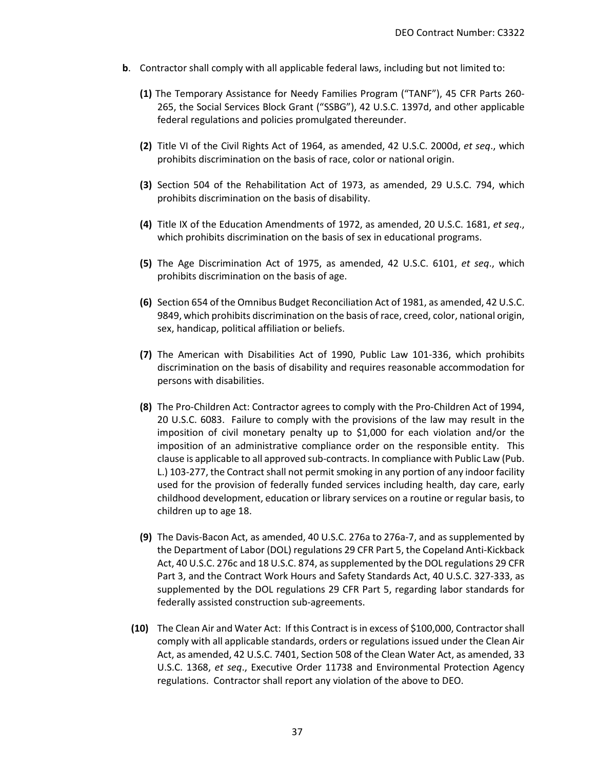- **b**. Contractor shall comply with all applicable federal laws, including but not limited to:
	- **(1)** The Temporary Assistance for Needy Families Program ("TANF"), 45 CFR Parts 260- 265, the Social Services Block Grant ("SSBG"), 42 U.S.C. 1397d, and other applicable federal regulations and policies promulgated thereunder.
	- **(2)** Title VI of the Civil Rights Act of 1964, as amended, 42 U.S.C. 2000d, *et seq*., which prohibits discrimination on the basis of race, color or national origin.
	- **(3)** Section 504 of the Rehabilitation Act of 1973, as amended, 29 U.S.C. 794, which prohibits discrimination on the basis of disability.
	- **(4)** Title IX of the Education Amendments of 1972, as amended, 20 U.S.C. 1681, *et seq*., which prohibits discrimination on the basis of sex in educational programs.
	- **(5)** The Age Discrimination Act of 1975, as amended, 42 U.S.C. 6101, *et seq*., which prohibits discrimination on the basis of age.
	- **(6)** Section 654 of the Omnibus Budget Reconciliation Act of 1981, as amended, 42 U.S.C. 9849, which prohibits discrimination on the basis of race, creed, color, national origin, sex, handicap, political affiliation or beliefs.
	- **(7)** The American with Disabilities Act of 1990, Public Law 101-336, which prohibits discrimination on the basis of disability and requires reasonable accommodation for persons with disabilities.
	- **(8)** The Pro-Children Act: Contractor agrees to comply with the Pro-Children Act of 1994, 20 U.S.C. 6083. Failure to comply with the provisions of the law may result in the imposition of civil monetary penalty up to \$1,000 for each violation and/or the imposition of an administrative compliance order on the responsible entity. This clause is applicable to all approved sub-contracts. In compliance with Public Law (Pub. L.) 103-277, the Contract shall not permit smoking in any portion of any indoor facility used for the provision of federally funded services including health, day care, early childhood development, education or library services on a routine or regular basis, to children up to age 18.
	- **(9)** The Davis-Bacon Act, as amended, 40 U.S.C. 276a to 276a-7, and as supplemented by the Department of Labor (DOL) regulations 29 CFR Part 5, the Copeland Anti-Kickback Act, 40 U.S.C. 276c and 18 U.S.C. 874, as supplemented by the DOL regulations 29 CFR Part 3, and the Contract Work Hours and Safety Standards Act, 40 U.S.C. 327-333, as supplemented by the DOL regulations 29 CFR Part 5, regarding labor standards for federally assisted construction sub-agreements.
	- **(10)** The Clean Air and Water Act:If this Contract is in excess of \$100,000, Contractor shall comply with all applicable standards, orders or regulations issued under the Clean Air Act, as amended, 42 U.S.C. 7401, Section 508 of the Clean Water Act, as amended, 33 U.S.C. 1368, *et seq*., Executive Order 11738 and Environmental Protection Agency regulations. Contractor shall report any violation of the above to DEO.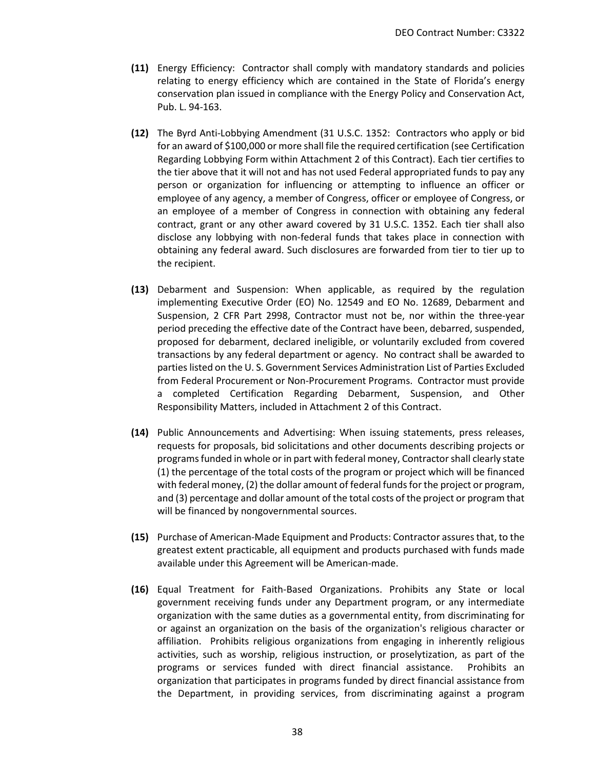- **(11)** Energy Efficiency: Contractor shall comply with mandatory standards and policies relating to energy efficiency which are contained in the State of Florida's energy conservation plan issued in compliance with the Energy Policy and Conservation Act, Pub. L. 94-163.
- **(12)** The Byrd Anti-Lobbying Amendment (31 U.S.C. 1352: Contractors who apply or bid for an award of \$100,000 or more shall file the required certification (see Certification Regarding Lobbying Form within Attachment 2 of this Contract). Each tier certifies to the tier above that it will not and has not used Federal appropriated funds to pay any person or organization for influencing or attempting to influence an officer or employee of any agency, a member of Congress, officer or employee of Congress, or an employee of a member of Congress in connection with obtaining any federal contract, grant or any other award covered by 31 U.S.C. 1352. Each tier shall also disclose any lobbying with non-federal funds that takes place in connection with obtaining any federal award. Such disclosures are forwarded from tier to tier up to the recipient.
- **(13)** Debarment and Suspension: When applicable, as required by the regulation implementing Executive Order (EO) No. 12549 and EO No. 12689, Debarment and Suspension, 2 CFR Part 2998, Contractor must not be, nor within the three-year period preceding the effective date of the Contract have been, debarred, suspended, proposed for debarment, declared ineligible, or voluntarily excluded from covered transactions by any federal department or agency. No contract shall be awarded to parties listed on the U. S. Government Services Administration List of Parties Excluded from Federal Procurement or Non-Procurement Programs. Contractor must provide a completed Certification Regarding Debarment, Suspension, and Other Responsibility Matters, included in Attachment 2 of this Contract.
- **(14)** Public Announcements and Advertising: When issuing statements, press releases, requests for proposals, bid solicitations and other documents describing projects or programs funded in whole or in part with federal money, Contractor shall clearly state (1) the percentage of the total costs of the program or project which will be financed with federal money, (2) the dollar amount of federal funds for the project or program, and (3) percentage and dollar amount of the total costs of the project or program that will be financed by nongovernmental sources.
- **(15)** Purchase of American-Made Equipment and Products: Contractor assures that, to the greatest extent practicable, all equipment and products purchased with funds made available under this Agreement will be American-made.
- **(16)** Equal Treatment for Faith-Based Organizations. Prohibits any State or local government receiving funds under any Department program, or any intermediate organization with the same duties as a governmental entity, from discriminating for or against an organization on the basis of the organization's religious character or affiliation. Prohibits religious organizations from engaging in inherently religious activities, such as worship, religious instruction, or proselytization, as part of the programs or services funded with direct financial assistance. Prohibits an organization that participates in programs funded by direct financial assistance from the Department, in providing services, from discriminating against a program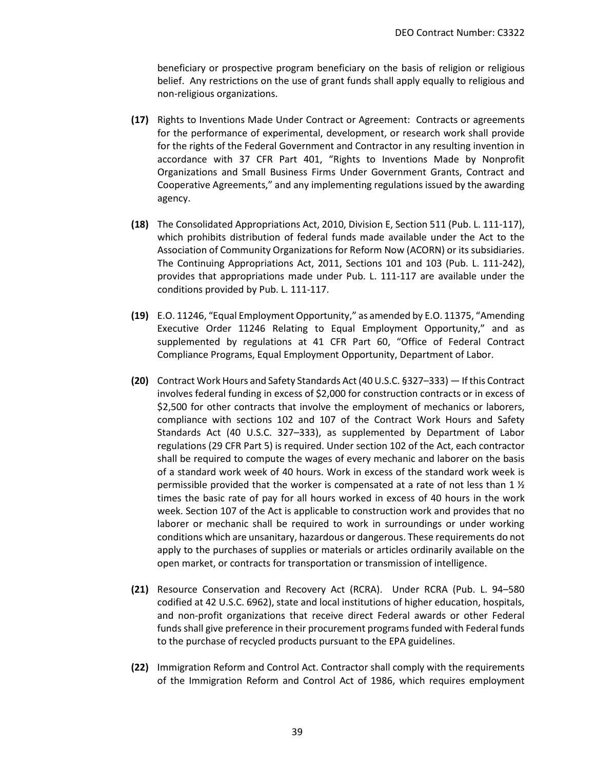beneficiary or prospective program beneficiary on the basis of religion or religious belief. Any restrictions on the use of grant funds shall apply equally to religious and non-religious organizations.

- **(17)** Rights to Inventions Made Under Contract or Agreement: Contracts or agreements for the performance of experimental, development, or research work shall provide for the rights of the Federal Government and Contractor in any resulting invention in accordance with 37 CFR Part 401, "Rights to Inventions Made by Nonprofit Organizations and Small Business Firms Under Government Grants, Contract and Cooperative Agreements," and any implementing regulations issued by the awarding agency.
- **(18)** The Consolidated Appropriations Act, 2010, Division E, Section 511 (Pub. L. 111-117), which prohibits distribution of federal funds made available under the Act to the Association of Community Organizations for Reform Now (ACORN) or its subsidiaries. The Continuing Appropriations Act, 2011, Sections 101 and 103 (Pub. L. 111-242), provides that appropriations made under Pub. L. 111-117 are available under the conditions provided by Pub. L. 111-117.
- **(19)** E.O. 11246, "Equal Employment Opportunity," as amended by E.O. 11375, "Amending Executive Order 11246 Relating to Equal Employment Opportunity," and as supplemented by regulations at 41 CFR Part 60, "Office of Federal Contract Compliance Programs, Equal Employment Opportunity, Department of Labor.
- **(20)** Contract Work Hours and Safety Standards Act (40 U.S.C. §327–333) If this Contract involves federal funding in excess of \$2,000 for construction contracts or in excess of \$2,500 for other contracts that involve the employment of mechanics or laborers, compliance with sections 102 and 107 of the Contract Work Hours and Safety Standards Act (40 U.S.C. 327–333), as supplemented by Department of Labor regulations (29 CFR Part 5) is required. Under section 102 of the Act, each contractor shall be required to compute the wages of every mechanic and laborer on the basis of a standard work week of 40 hours. Work in excess of the standard work week is permissible provided that the worker is compensated at a rate of not less than 1 ½ times the basic rate of pay for all hours worked in excess of 40 hours in the work week. Section 107 of the Act is applicable to construction work and provides that no laborer or mechanic shall be required to work in surroundings or under working conditions which are unsanitary, hazardous or dangerous. These requirements do not apply to the purchases of supplies or materials or articles ordinarily available on the open market, or contracts for transportation or transmission of intelligence.
- **(21)** Resource Conservation and Recovery Act (RCRA). Under RCRA (Pub. L. 94–580 codified at 42 U.S.C. 6962), state and local institutions of higher education, hospitals, and non-profit organizations that receive direct Federal awards or other Federal funds shall give preference in their procurement programs funded with Federal funds to the purchase of recycled products pursuant to the EPA guidelines.
- **(22)** Immigration Reform and Control Act. Contractor shall comply with the requirements of the Immigration Reform and Control Act of 1986, which requires employment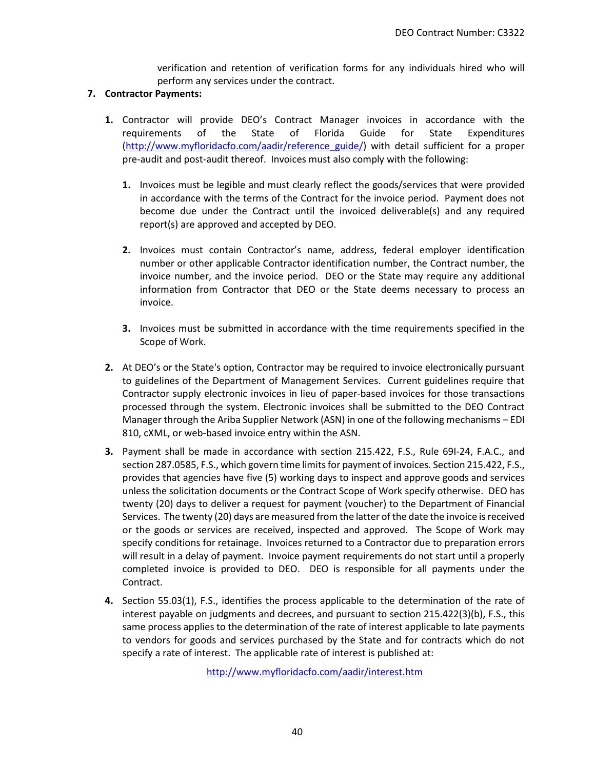verification and retention of verification forms for any individuals hired who will perform any services under the contract.

#### **7. Contractor Payments:**

- **1.** Contractor will provide DEO's Contract Manager invoices in accordance with the requirements of the State of Florida Guide for State Expenditures [\(http://www.myfloridacfo.com/aadir/reference\\_guide/\)](http://www.myfloridacfo.com/aadir/reference_guide/) with detail sufficient for a proper pre-audit and post-audit thereof. Invoices must also comply with the following:
	- **1.** Invoices must be legible and must clearly reflect the goods/services that were provided in accordance with the terms of the Contract for the invoice period. Payment does not become due under the Contract until the invoiced deliverable(s) and any required report(s) are approved and accepted by DEO.
	- **2.** Invoices must contain Contractor's name, address, federal employer identification number or other applicable Contractor identification number, the Contract number, the invoice number, and the invoice period. DEO or the State may require any additional information from Contractor that DEO or the State deems necessary to process an invoice.
	- **3.** Invoices must be submitted in accordance with the time requirements specified in the Scope of Work.
- **2.** At DEO's or the State's option, Contractor may be required to invoice electronically pursuant to guidelines of the Department of Management Services. Current guidelines require that Contractor supply electronic invoices in lieu of paper-based invoices for those transactions processed through the system. Electronic invoices shall be submitted to the DEO Contract Manager through the Ariba Supplier Network (ASN) in one of the following mechanisms – EDI 810, cXML, or web-based invoice entry within the ASN.
- **3.** Payment shall be made in accordance with section 215.422, F.S., Rule 69I-24, F.A.C., and section 287.0585, F.S., which govern time limits for payment of invoices. Section 215.422, F.S., provides that agencies have five (5) working days to inspect and approve goods and services unless the solicitation documents or the Contract Scope of Work specify otherwise. DEO has twenty (20) days to deliver a request for payment (voucher) to the Department of Financial Services. The twenty (20) days are measured from the latter of the date the invoice is received or the goods or services are received, inspected and approved. The Scope of Work may specify conditions for retainage. Invoices returned to a Contractor due to preparation errors will result in a delay of payment. Invoice payment requirements do not start until a properly completed invoice is provided to DEO. DEO is responsible for all payments under the Contract.
- **4.** Section 55.03(1), F.S., identifies the process applicable to the determination of the rate of interest payable on judgments and decrees, and pursuant to section 215.422(3)(b), F.S., this same process applies to the determination of the rate of interest applicable to late payments to vendors for goods and services purchased by the State and for contracts which do not specify a rate of interest. The applicable rate of interest is published at:

<http://www.myfloridacfo.com/aadir/interest.htm>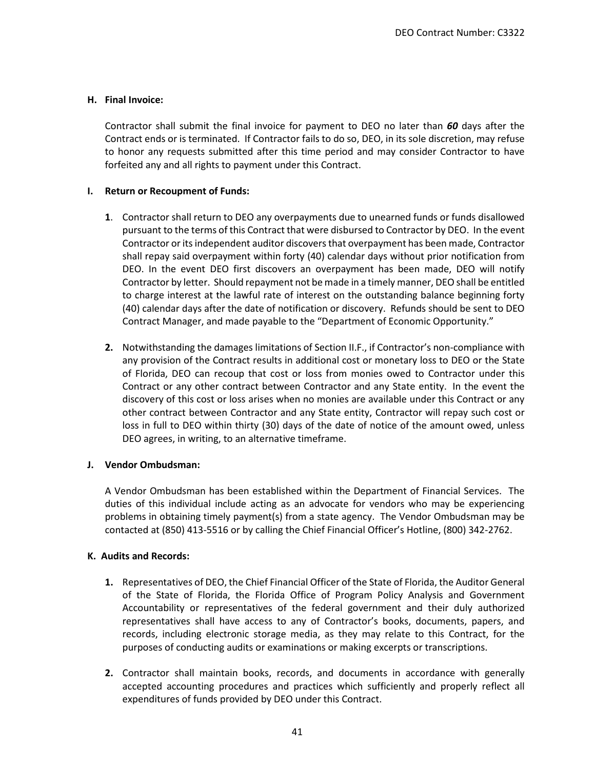### **H. Final Invoice:**

Contractor shall submit the final invoice for payment to DEO no later than *60* days after the Contract ends or is terminated. If Contractor fails to do so, DEO, in its sole discretion, may refuse to honor any requests submitted after this time period and may consider Contractor to have forfeited any and all rights to payment under this Contract.

### **I. Return or Recoupment of Funds:**

- **1**. Contractor shall return to DEO any overpayments due to unearned funds or funds disallowed pursuant to the terms of this Contract that were disbursed to Contractor by DEO. In the event Contractor or its independent auditor discovers that overpayment has been made, Contractor shall repay said overpayment within forty (40) calendar days without prior notification from DEO. In the event DEO first discovers an overpayment has been made, DEO will notify Contractor by letter. Should repayment not be made in a timely manner, DEO shall be entitled to charge interest at the lawful rate of interest on the outstanding balance beginning forty (40) calendar days after the date of notification or discovery. Refunds should be sent to DEO Contract Manager, and made payable to the "Department of Economic Opportunity."
- **2.** Notwithstanding the damages limitations of Section II.F., if Contractor's non-compliance with any provision of the Contract results in additional cost or monetary loss to DEO or the State of Florida, DEO can recoup that cost or loss from monies owed to Contractor under this Contract or any other contract between Contractor and any State entity. In the event the discovery of this cost or loss arises when no monies are available under this Contract or any other contract between Contractor and any State entity, Contractor will repay such cost or loss in full to DEO within thirty (30) days of the date of notice of the amount owed, unless DEO agrees, in writing, to an alternative timeframe.

### **J. Vendor Ombudsman:**

A Vendor Ombudsman has been established within the Department of Financial Services. The duties of this individual include acting as an advocate for vendors who may be experiencing problems in obtaining timely payment(s) from a state agency. The Vendor Ombudsman may be contacted at (850) 413-5516 or by calling the Chief Financial Officer's Hotline, (800) 342-2762.

### **K. Audits and Records:**

- **1.** Representatives of DEO, the Chief Financial Officer of the State of Florida, the Auditor General of the State of Florida, the Florida Office of Program Policy Analysis and Government Accountability or representatives of the federal government and their duly authorized representatives shall have access to any of Contractor's books, documents, papers, and records, including electronic storage media, as they may relate to this Contract, for the purposes of conducting audits or examinations or making excerpts or transcriptions.
- **2.** Contractor shall maintain books, records, and documents in accordance with generally accepted accounting procedures and practices which sufficiently and properly reflect all expenditures of funds provided by DEO under this Contract.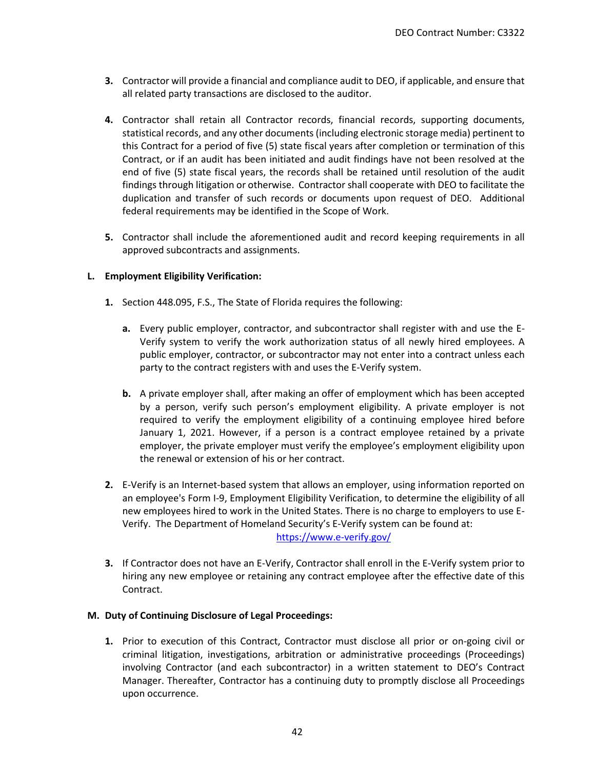- **3.** Contractor will provide a financial and compliance audit to DEO, if applicable, and ensure that all related party transactions are disclosed to the auditor.
- **4.** Contractor shall retain all Contractor records, financial records, supporting documents, statistical records, and any other documents (including electronic storage media) pertinent to this Contract for a period of five (5) state fiscal years after completion or termination of this Contract, or if an audit has been initiated and audit findings have not been resolved at the end of five (5) state fiscal years, the records shall be retained until resolution of the audit findings through litigation or otherwise. Contractor shall cooperate with DEO to facilitate the duplication and transfer of such records or documents upon request of DEO. Additional federal requirements may be identified in the Scope of Work.
- **5.** Contractor shall include the aforementioned audit and record keeping requirements in all approved subcontracts and assignments.

## **L. Employment Eligibility Verification:**

- **1.** Section 448.095, F.S., The State of Florida requires the following:
	- **a.** Every public employer, contractor, and subcontractor shall register with and use the E-Verify system to verify the work authorization status of all newly hired employees. A public employer, contractor, or subcontractor may not enter into a contract unless each party to the contract registers with and uses the E-Verify system.
	- **b.** A private employer shall, after making an offer of employment which has been accepted by a person, verify such person's employment eligibility. A private employer is not required to verify the employment eligibility of a continuing employee hired before January 1, 2021. However, if a person is a contract employee retained by a private employer, the private employer must verify the employee's employment eligibility upon the renewal or extension of his or her contract.
- **2.** E-Verify is an Internet-based system that allows an employer, using information reported on an employee's Form I-9, Employment Eligibility Verification, to determine the eligibility of all new employees hired to work in the United States. There is no charge to employers to use E-Verify. The Department of Homeland Security's E-Verify system can be found at: <https://www.e-verify.gov/>
- **3.** If Contractor does not have an E-Verify, Contractor shall enroll in the E-Verify system prior to hiring any new employee or retaining any contract employee after the effective date of this Contract.

### **M. Duty of Continuing Disclosure of Legal Proceedings:**

**1.** Prior to execution of this Contract, Contractor must disclose all prior or on-going civil or criminal litigation, investigations, arbitration or administrative proceedings (Proceedings) involving Contractor (and each subcontractor) in a written statement to DEO's Contract Manager. Thereafter, Contractor has a continuing duty to promptly disclose all Proceedings upon occurrence.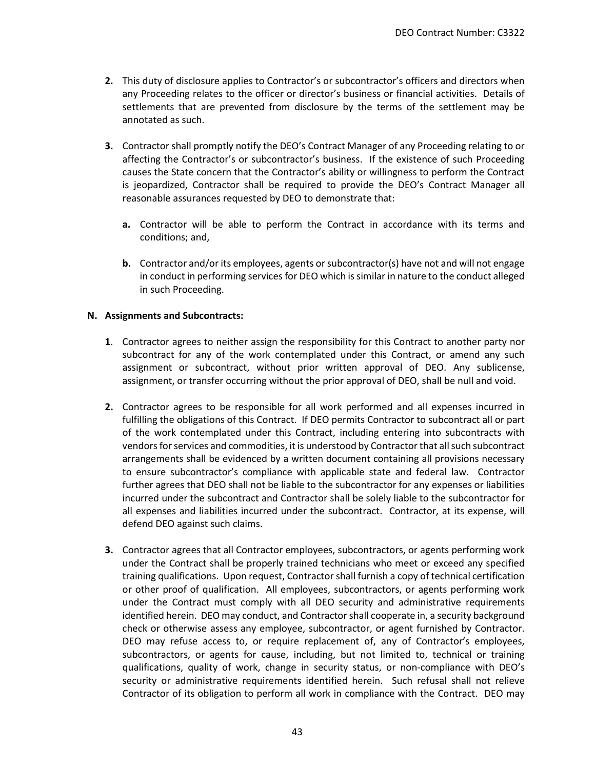- **2.** This duty of disclosure applies to Contractor's or subcontractor's officers and directors when any Proceeding relates to the officer or director's business or financial activities. Details of settlements that are prevented from disclosure by the terms of the settlement may be annotated as such.
- **3.** Contractor shall promptly notify the DEO's Contract Manager of any Proceeding relating to or affecting the Contractor's or subcontractor's business. If the existence of such Proceeding causes the State concern that the Contractor's ability or willingness to perform the Contract is jeopardized, Contractor shall be required to provide the DEO's Contract Manager all reasonable assurances requested by DEO to demonstrate that:
	- **a.** Contractor will be able to perform the Contract in accordance with its terms and conditions; and,
	- **b.** Contractor and/or its employees, agents or subcontractor(s) have not and will not engage in conduct in performing services for DEO which is similar in nature to the conduct alleged in such Proceeding.

### **N. Assignments and Subcontracts:**

- **1**. Contractor agrees to neither assign the responsibility for this Contract to another party nor subcontract for any of the work contemplated under this Contract, or amend any such assignment or subcontract, without prior written approval of DEO. Any sublicense, assignment, or transfer occurring without the prior approval of DEO, shall be null and void.
- **2.** Contractor agrees to be responsible for all work performed and all expenses incurred in fulfilling the obligations of this Contract. If DEO permits Contractor to subcontract all or part of the work contemplated under this Contract, including entering into subcontracts with vendors for services and commodities, it is understood by Contractor that all such subcontract arrangements shall be evidenced by a written document containing all provisions necessary to ensure subcontractor's compliance with applicable state and federal law. Contractor further agrees that DEO shall not be liable to the subcontractor for any expenses or liabilities incurred under the subcontract and Contractor shall be solely liable to the subcontractor for all expenses and liabilities incurred under the subcontract. Contractor, at its expense, will defend DEO against such claims.
- **3.** Contractor agrees that all Contractor employees, subcontractors, or agents performing work under the Contract shall be properly trained technicians who meet or exceed any specified training qualifications. Upon request, Contractor shall furnish a copy of technical certification or other proof of qualification. All employees, subcontractors, or agents performing work under the Contract must comply with all DEO security and administrative requirements identified herein. DEO may conduct, and Contractor shall cooperate in, a security background check or otherwise assess any employee, subcontractor, or agent furnished by Contractor. DEO may refuse access to, or require replacement of, any of Contractor's employees, subcontractors, or agents for cause, including, but not limited to, technical or training qualifications, quality of work, change in security status, or non-compliance with DEO's security or administrative requirements identified herein. Such refusal shall not relieve Contractor of its obligation to perform all work in compliance with the Contract. DEO may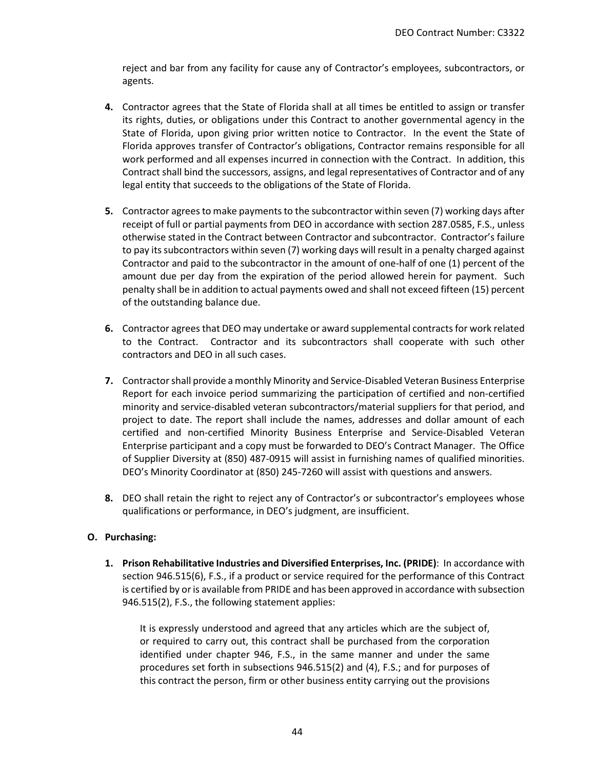reject and bar from any facility for cause any of Contractor's employees, subcontractors, or agents.

- **4.** Contractor agrees that the State of Florida shall at all times be entitled to assign or transfer its rights, duties, or obligations under this Contract to another governmental agency in the State of Florida, upon giving prior written notice to Contractor. In the event the State of Florida approves transfer of Contractor's obligations, Contractor remains responsible for all work performed and all expenses incurred in connection with the Contract. In addition, this Contract shall bind the successors, assigns, and legal representatives of Contractor and of any legal entity that succeeds to the obligations of the State of Florida.
- **5.** Contractor agrees to make payments to the subcontractor within seven (7) working days after receipt of full or partial payments from DEO in accordance with section 287.0585, F.S., unless otherwise stated in the Contract between Contractor and subcontractor. Contractor's failure to pay its subcontractors within seven (7) working days will result in a penalty charged against Contractor and paid to the subcontractor in the amount of one-half of one (1) percent of the amount due per day from the expiration of the period allowed herein for payment. Such penalty shall be in addition to actual payments owed and shall not exceed fifteen (15) percent of the outstanding balance due.
- **6.** Contractor agrees that DEO may undertake or award supplemental contracts for work related to the Contract. Contractor and its subcontractors shall cooperate with such other contractors and DEO in all such cases.
- **7.** Contractor shall provide a monthly Minority and Service-Disabled Veteran Business Enterprise Report for each invoice period summarizing the participation of certified and non-certified minority and service-disabled veteran subcontractors/material suppliers for that period, and project to date. The report shall include the names, addresses and dollar amount of each certified and non-certified Minority Business Enterprise and Service-Disabled Veteran Enterprise participant and a copy must be forwarded to DEO's Contract Manager. The Office of Supplier Diversity at (850) 487-0915 will assist in furnishing names of qualified minorities. DEO's Minority Coordinator at (850) 245-7260 will assist with questions and answers.
- **8.** DEO shall retain the right to reject any of Contractor's or subcontractor's employees whose qualifications or performance, in DEO's judgment, are insufficient.

### **O. Purchasing:**

**1. Prison Rehabilitative Industries and Diversified Enterprises, Inc. (PRIDE)**: In accordance with section 946.515(6), F.S., if a product or service required for the performance of this Contract is certified by or is available from PRIDE and has been approved in accordance with subsection 946.515(2), F.S., the following statement applies:

It is expressly understood and agreed that any articles which are the subject of, or required to carry out, this contract shall be purchased from the corporation identified under chapter 946, F.S., in the same manner and under the same procedures set forth in subsections 946.515(2) and (4), F.S.; and for purposes of this contract the person, firm or other business entity carrying out the provisions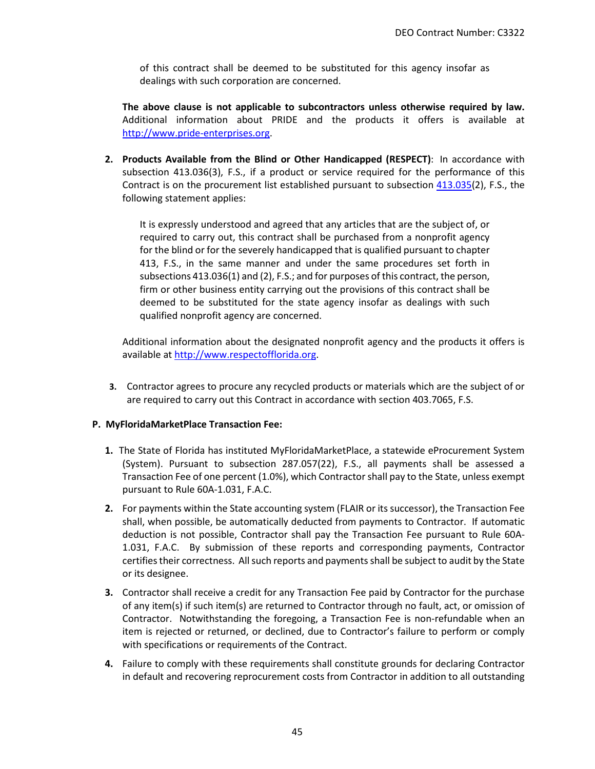of this contract shall be deemed to be substituted for this agency insofar as dealings with such corporation are concerned.

**The above clause is not applicable to subcontractors unless otherwise required by law.**  Additional information about PRIDE and the products it offers is available at [http://www.pride-enterprises.org.](http://www.pride-enterprises.org/)

**2. Products Available from the Blind or Other Handicapped (RESPECT)**: In accordance with subsection 413.036(3), F.S., if a product or service required for the performance of this Contract is on the procurement list established pursuant to subsection  $413.035(2)$ , F.S., the following statement applies:

It is expressly understood and agreed that any articles that are the subject of, or required to carry out, this contract shall be purchased from a nonprofit agency for the blind or for the severely handicapped that is qualified pursuant to chapter 413, F.S., in the same manner and under the same procedures set forth in subsections 413.036(1) and (2), F.S.; and for purposes of this contract, the person, firm or other business entity carrying out the provisions of this contract shall be deemed to be substituted for the state agency insofar as dealings with such qualified nonprofit agency are concerned.

Additional information about the designated nonprofit agency and the products it offers is available a[t http://www.respectofflorida.org.](http://www.respectofflorida.org/)

**3.** Contractor agrees to procure any recycled products or materials which are the subject of or are required to carry out this Contract in accordance with section 403.7065, F.S.

### **P. MyFloridaMarketPlace Transaction Fee:**

- **1.** The State of Florida has instituted MyFloridaMarketPlace, a statewide eProcurement System (System). Pursuant to subsection 287.057(22), F.S., all payments shall be assessed a Transaction Fee of one percent (1.0%), which Contractor shall pay to the State, unless exempt pursuant to Rule 60A-1.031, F.A.C.
- **2.** For payments within the State accounting system (FLAIR or its successor), the Transaction Fee shall, when possible, be automatically deducted from payments to Contractor. If automatic deduction is not possible, Contractor shall pay the Transaction Fee pursuant to Rule 60A-1.031, F.A.C. By submission of these reports and corresponding payments, Contractor certifies their correctness. All such reports and payments shall be subject to audit by the State or its designee.
- **3.** Contractor shall receive a credit for any Transaction Fee paid by Contractor for the purchase of any item(s) if such item(s) are returned to Contractor through no fault, act, or omission of Contractor. Notwithstanding the foregoing, a Transaction Fee is non-refundable when an item is rejected or returned, or declined, due to Contractor's failure to perform or comply with specifications or requirements of the Contract.
- **4.** Failure to comply with these requirements shall constitute grounds for declaring Contractor in default and recovering reprocurement costs from Contractor in addition to all outstanding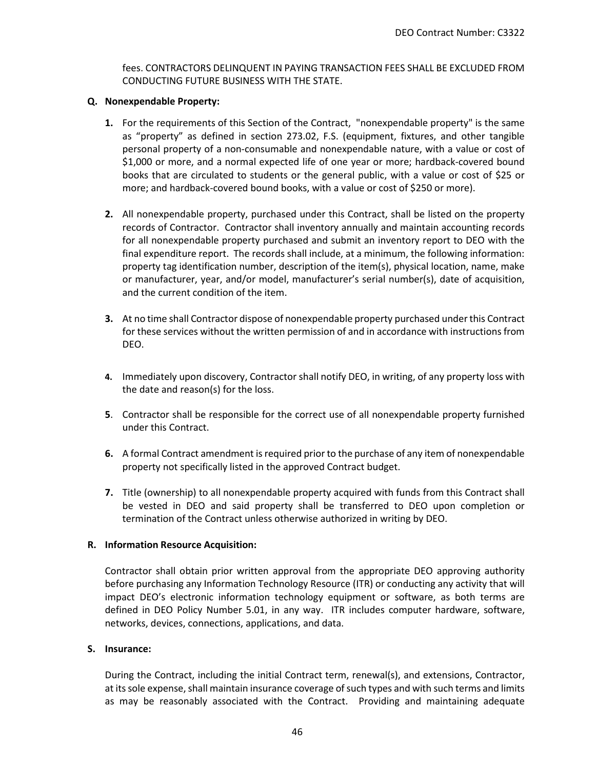fees. CONTRACTORS DELINQUENT IN PAYING TRANSACTION FEES SHALL BE EXCLUDED FROM CONDUCTING FUTURE BUSINESS WITH THE STATE.

#### **Q. Nonexpendable Property:**

- **1.** For the requirements of this Section of the Contract, "nonexpendable property" is the same as "property" as defined in section 273.02, F.S. (equipment, fixtures, and other tangible personal property of a non-consumable and nonexpendable nature, with a value or cost of \$1,000 or more, and a normal expected life of one year or more; hardback-covered bound books that are circulated to students or the general public, with a value or cost of \$25 or more; and hardback-covered bound books, with a value or cost of \$250 or more).
- **2.** All nonexpendable property, purchased under this Contract, shall be listed on the property records of Contractor. Contractor shall inventory annually and maintain accounting records for all nonexpendable property purchased and submit an inventory report to DEO with the final expenditure report. The records shall include, at a minimum, the following information: property tag identification number, description of the item(s), physical location, name, make or manufacturer, year, and/or model, manufacturer's serial number(s), date of acquisition, and the current condition of the item.
- **3.** At no time shall Contractor dispose of nonexpendable property purchased under this Contract for these services without the written permission of and in accordance with instructions from DEO.
- **4.** Immediately upon discovery, Contractor shall notify DEO, in writing, of any property loss with the date and reason(s) for the loss.
- **5**. Contractor shall be responsible for the correct use of all nonexpendable property furnished under this Contract.
- **6.** A formal Contract amendment is required prior to the purchase of any item of nonexpendable property not specifically listed in the approved Contract budget.
- **7.** Title (ownership) to all nonexpendable property acquired with funds from this Contract shall be vested in DEO and said property shall be transferred to DEO upon completion or termination of the Contract unless otherwise authorized in writing by DEO.

### **R. Information Resource Acquisition:**

Contractor shall obtain prior written approval from the appropriate DEO approving authority before purchasing any Information Technology Resource (ITR) or conducting any activity that will impact DEO's electronic information technology equipment or software, as both terms are defined in DEO Policy Number 5.01, in any way. ITR includes computer hardware, software, networks, devices, connections, applications, and data.

#### **S. Insurance:**

During the Contract, including the initial Contract term, renewal(s), and extensions, Contractor, at its sole expense, shall maintain insurance coverage of such types and with such terms and limits as may be reasonably associated with the Contract. Providing and maintaining adequate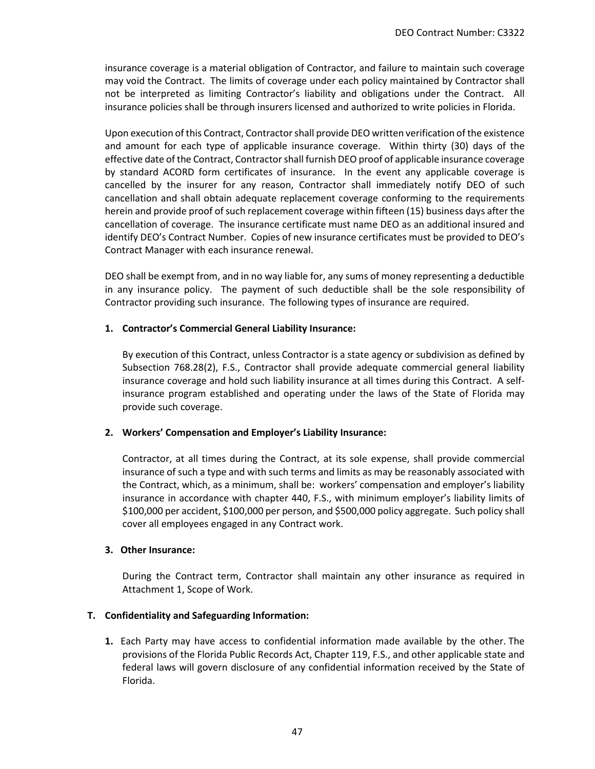insurance coverage is a material obligation of Contractor, and failure to maintain such coverage may void the Contract. The limits of coverage under each policy maintained by Contractor shall not be interpreted as limiting Contractor's liability and obligations under the Contract. All insurance policies shall be through insurers licensed and authorized to write policies in Florida.

Upon execution of this Contract, Contractor shall provide DEO written verification of the existence and amount for each type of applicable insurance coverage. Within thirty (30) days of the effective date of the Contract, Contractor shall furnish DEO proof of applicable insurance coverage by standard ACORD form certificates of insurance. In the event any applicable coverage is cancelled by the insurer for any reason, Contractor shall immediately notify DEO of such cancellation and shall obtain adequate replacement coverage conforming to the requirements herein and provide proof of such replacement coverage within fifteen (15) business days after the cancellation of coverage. The insurance certificate must name DEO as an additional insured and identify DEO's Contract Number. Copies of new insurance certificates must be provided to DEO's Contract Manager with each insurance renewal.

DEO shall be exempt from, and in no way liable for, any sums of money representing a deductible in any insurance policy. The payment of such deductible shall be the sole responsibility of Contractor providing such insurance. The following types of insurance are required.

### **1. Contractor's Commercial General Liability Insurance:**

By execution of this Contract, unless Contractor is a state agency or subdivision as defined by Subsection 768.28(2), F.S., Contractor shall provide adequate commercial general liability insurance coverage and hold such liability insurance at all times during this Contract. A selfinsurance program established and operating under the laws of the State of Florida may provide such coverage.

### **2. Workers' Compensation and Employer's Liability Insurance:**

Contractor, at all times during the Contract, at its sole expense, shall provide commercial insurance of such a type and with such terms and limits as may be reasonably associated with the Contract, which, as a minimum, shall be: workers' compensation and employer's liability insurance in accordance with chapter 440, F.S., with minimum employer's liability limits of \$100,000 per accident, \$100,000 per person, and \$500,000 policy aggregate. Such policy shall cover all employees engaged in any Contract work.

### **3. Other Insurance:**

During the Contract term, Contractor shall maintain any other insurance as required in Attachment 1, Scope of Work.

### **T. Confidentiality and Safeguarding Information:**

**1.** Each Party may have access to confidential information made available by the other. The provisions of the Florida Public Records Act, Chapter 119, F.S., and other applicable state and federal laws will govern disclosure of any confidential information received by the State of Florida.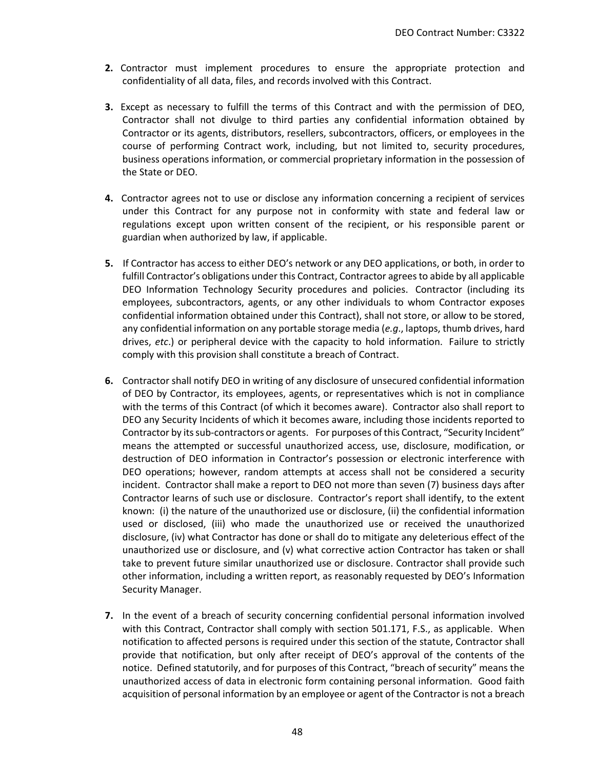- **2.** Contractor must implement procedures to ensure the appropriate protection and confidentiality of all data, files, and records involved with this Contract.
- **3.** Except as necessary to fulfill the terms of this Contract and with the permission of DEO, Contractor shall not divulge to third parties any confidential information obtained by Contractor or its agents, distributors, resellers, subcontractors, officers, or employees in the course of performing Contract work, including, but not limited to, security procedures, business operations information, or commercial proprietary information in the possession of the State or DEO.
- **4.** Contractor agrees not to use or disclose any information concerning a recipient of services under this Contract for any purpose not in conformity with state and federal law or regulations except upon written consent of the recipient, or his responsible parent or guardian when authorized by law, if applicable.
- **5.** If Contractor has access to either DEO's network or any DEO applications, or both, in order to fulfill Contractor's obligations under this Contract, Contractor agrees to abide by all applicable DEO Information Technology Security procedures and policies. Contractor (including its employees, subcontractors, agents, or any other individuals to whom Contractor exposes confidential information obtained under this Contract), shall not store, or allow to be stored, any confidential information on any portable storage media (*e.g*., laptops, thumb drives, hard drives, *etc*.) or peripheral device with the capacity to hold information. Failure to strictly comply with this provision shall constitute a breach of Contract.
- **6.** Contractor shall notify DEO in writing of any disclosure of unsecured confidential information of DEO by Contractor, its employees, agents, or representatives which is not in compliance with the terms of this Contract (of which it becomes aware). Contractor also shall report to DEO any Security Incidents of which it becomes aware, including those incidents reported to Contractor by its sub-contractors or agents. For purposes of this Contract, "Security Incident" means the attempted or successful unauthorized access, use, disclosure, modification, or destruction of DEO information in Contractor's possession or electronic interference with DEO operations; however, random attempts at access shall not be considered a security incident. Contractor shall make a report to DEO not more than seven (7) business days after Contractor learns of such use or disclosure. Contractor's report shall identify, to the extent known: (i) the nature of the unauthorized use or disclosure, (ii) the confidential information used or disclosed, (iii) who made the unauthorized use or received the unauthorized disclosure, (iv) what Contractor has done or shall do to mitigate any deleterious effect of the unauthorized use or disclosure, and (v) what corrective action Contractor has taken or shall take to prevent future similar unauthorized use or disclosure. Contractor shall provide such other information, including a written report, as reasonably requested by DEO's Information Security Manager.
- **7.** In the event of a breach of security concerning confidential personal information involved with this Contract, Contractor shall comply with section 501.171, F.S., as applicable. When notification to affected persons is required under this section of the statute, Contractor shall provide that notification, but only after receipt of DEO's approval of the contents of the notice. Defined statutorily, and for purposes of this Contract, "breach of security" means the unauthorized access of data in electronic form containing personal information. Good faith acquisition of personal information by an employee or agent of the Contractor is not a breach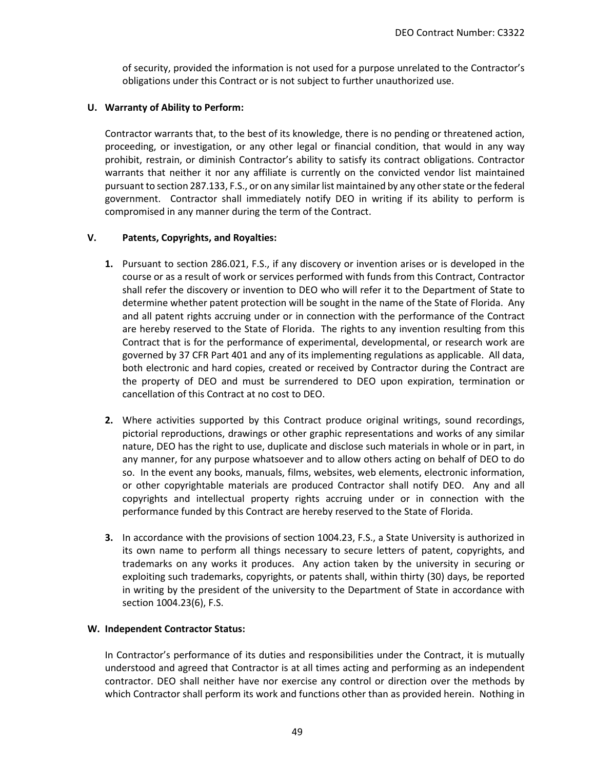of security, provided the information is not used for a purpose unrelated to the Contractor's obligations under this Contract or is not subject to further unauthorized use.

### **U. Warranty of Ability to Perform:**

Contractor warrants that, to the best of its knowledge, there is no pending or threatened action, proceeding, or investigation, or any other legal or financial condition, that would in any way prohibit, restrain, or diminish Contractor's ability to satisfy its contract obligations. Contractor warrants that neither it nor any affiliate is currently on the convicted vendor list maintained pursuant to section 287.133, F.S., or on any similar list maintained by any other state or the federal government. Contractor shall immediately notify DEO in writing if its ability to perform is compromised in any manner during the term of the Contract.

## **V. Patents, Copyrights, and Royalties:**

- **1.** Pursuant to section 286.021, F.S., if any discovery or invention arises or is developed in the course or as a result of work or services performed with funds from this Contract, Contractor shall refer the discovery or invention to DEO who will refer it to the Department of State to determine whether patent protection will be sought in the name of the State of Florida. Any and all patent rights accruing under or in connection with the performance of the Contract are hereby reserved to the State of Florida. The rights to any invention resulting from this Contract that is for the performance of experimental, developmental, or research work are governed by 37 CFR Part 401 and any of its implementing regulations as applicable. All data, both electronic and hard copies, created or received by Contractor during the Contract are the property of DEO and must be surrendered to DEO upon expiration, termination or cancellation of this Contract at no cost to DEO.
- **2.** Where activities supported by this Contract produce original writings, sound recordings, pictorial reproductions, drawings or other graphic representations and works of any similar nature, DEO has the right to use, duplicate and disclose such materials in whole or in part, in any manner, for any purpose whatsoever and to allow others acting on behalf of DEO to do so. In the event any books, manuals, films, websites, web elements, electronic information, or other copyrightable materials are produced Contractor shall notify DEO. Any and all copyrights and intellectual property rights accruing under or in connection with the performance funded by this Contract are hereby reserved to the State of Florida.
- **3.** In accordance with the provisions of section 1004.23, F.S., a State University is authorized in its own name to perform all things necessary to secure letters of patent, copyrights, and trademarks on any works it produces. Any action taken by the university in securing or exploiting such trademarks, copyrights, or patents shall, within thirty (30) days, be reported in writing by the president of the university to the Department of State in accordance with section 1004.23(6), F.S.

### **W. Independent Contractor Status:**

In Contractor's performance of its duties and responsibilities under the Contract, it is mutually understood and agreed that Contractor is at all times acting and performing as an independent contractor. DEO shall neither have nor exercise any control or direction over the methods by which Contractor shall perform its work and functions other than as provided herein. Nothing in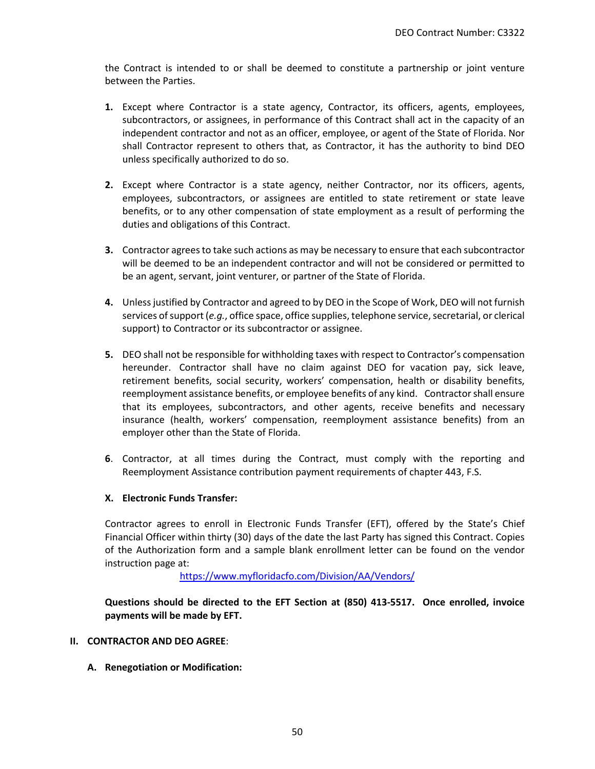the Contract is intended to or shall be deemed to constitute a partnership or joint venture between the Parties.

- **1.** Except where Contractor is a state agency, Contractor, its officers, agents, employees, subcontractors, or assignees, in performance of this Contract shall act in the capacity of an independent contractor and not as an officer, employee, or agent of the State of Florida. Nor shall Contractor represent to others that, as Contractor, it has the authority to bind DEO unless specifically authorized to do so.
- **2.** Except where Contractor is a state agency, neither Contractor, nor its officers, agents, employees, subcontractors, or assignees are entitled to state retirement or state leave benefits, or to any other compensation of state employment as a result of performing the duties and obligations of this Contract.
- **3.** Contractor agrees to take such actions as may be necessary to ensure that each subcontractor will be deemed to be an independent contractor and will not be considered or permitted to be an agent, servant, joint venturer, or partner of the State of Florida.
- **4.** Unless justified by Contractor and agreed to by DEO in the Scope of Work, DEO will not furnish services of support (*e.g.*, office space, office supplies, telephone service, secretarial, or clerical support) to Contractor or its subcontractor or assignee.
- **5.** DEO shall not be responsible for withholding taxes with respect to Contractor's compensation hereunder. Contractor shall have no claim against DEO for vacation pay, sick leave, retirement benefits, social security, workers' compensation, health or disability benefits, reemployment assistance benefits, or employee benefits of any kind. Contractor shall ensure that its employees, subcontractors, and other agents, receive benefits and necessary insurance (health, workers' compensation, reemployment assistance benefits) from an employer other than the State of Florida.
- **6**. Contractor, at all times during the Contract, must comply with the reporting and Reemployment Assistance contribution payment requirements of chapter 443, F.S.

### **X. Electronic Funds Transfer:**

Contractor agrees to enroll in Electronic Funds Transfer (EFT), offered by the State's Chief Financial Officer within thirty (30) days of the date the last Party has signed this Contract. Copies of the Authorization form and a sample blank enrollment letter can be found on the vendor instruction page at:

<https://www.myfloridacfo.com/Division/AA/Vendors/>

**Questions should be directed to the EFT Section at (850) 413-5517. Once enrolled, invoice payments will be made by EFT.**

- **II. CONTRACTOR AND DEO AGREE**:
	- **A. Renegotiation or Modification:**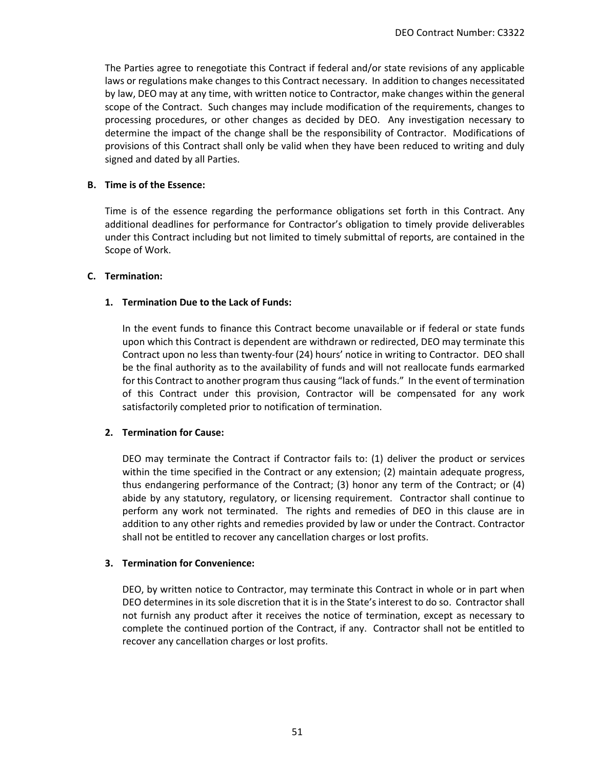The Parties agree to renegotiate this Contract if federal and/or state revisions of any applicable laws or regulations make changes to this Contract necessary. In addition to changes necessitated by law, DEO may at any time, with written notice to Contractor, make changes within the general scope of the Contract. Such changes may include modification of the requirements, changes to processing procedures, or other changes as decided by DEO. Any investigation necessary to determine the impact of the change shall be the responsibility of Contractor. Modifications of provisions of this Contract shall only be valid when they have been reduced to writing and duly signed and dated by all Parties.

### **B. Time is of the Essence:**

Time is of the essence regarding the performance obligations set forth in this Contract. Any additional deadlines for performance for Contractor's obligation to timely provide deliverables under this Contract including but not limited to timely submittal of reports, are contained in the Scope of Work.

#### **C. Termination:**

### **1. Termination Due to the Lack of Funds:**

In the event funds to finance this Contract become unavailable or if federal or state funds upon which this Contract is dependent are withdrawn or redirected, DEO may terminate this Contract upon no less than twenty-four (24) hours' notice in writing to Contractor. DEO shall be the final authority as to the availability of funds and will not reallocate funds earmarked for this Contract to another program thus causing "lack of funds." In the event of termination of this Contract under this provision, Contractor will be compensated for any work satisfactorily completed prior to notification of termination.

### **2. Termination for Cause:**

DEO may terminate the Contract if Contractor fails to: (1) deliver the product or services within the time specified in the Contract or any extension; (2) maintain adequate progress, thus endangering performance of the Contract; (3) honor any term of the Contract; or (4) abide by any statutory, regulatory, or licensing requirement. Contractor shall continue to perform any work not terminated. The rights and remedies of DEO in this clause are in addition to any other rights and remedies provided by law or under the Contract. Contractor shall not be entitled to recover any cancellation charges or lost profits.

#### **3. Termination for Convenience:**

DEO, by written notice to Contractor, may terminate this Contract in whole or in part when DEO determines in its sole discretion that it is in the State's interest to do so. Contractor shall not furnish any product after it receives the notice of termination, except as necessary to complete the continued portion of the Contract, if any. Contractor shall not be entitled to recover any cancellation charges or lost profits.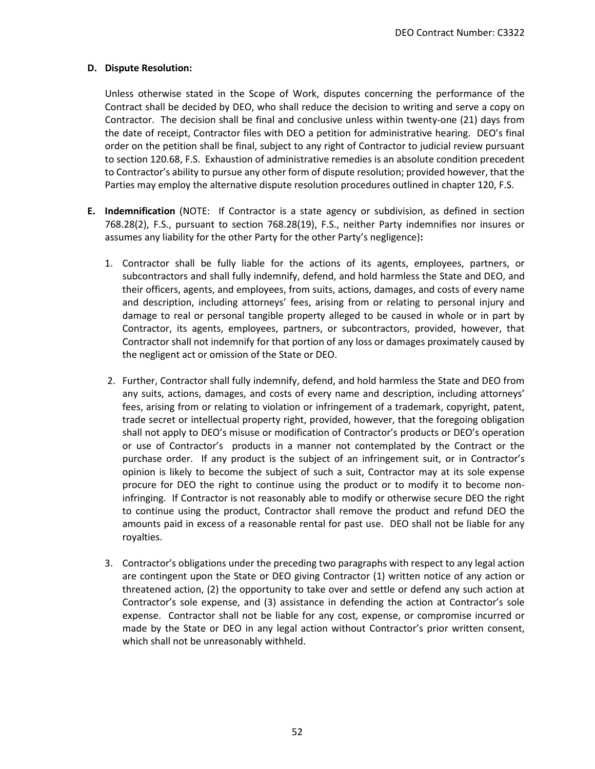#### **D. Dispute Resolution:**

Unless otherwise stated in the Scope of Work, disputes concerning the performance of the Contract shall be decided by DEO, who shall reduce the decision to writing and serve a copy on Contractor. The decision shall be final and conclusive unless within twenty-one (21) days from the date of receipt, Contractor files with DEO a petition for administrative hearing. DEO's final order on the petition shall be final, subject to any right of Contractor to judicial review pursuant to section 120.68, F.S. Exhaustion of administrative remedies is an absolute condition precedent to Contractor's ability to pursue any other form of dispute resolution; provided however, that the Parties may employ the alternative dispute resolution procedures outlined in chapter 120, F.S.

- **E. Indemnification** (NOTE: If Contractor is a state agency or subdivision, as defined in section 768.28(2), F.S., pursuant to section 768.28(19), F.S., neither Party indemnifies nor insures or assumes any liability for the other Party for the other Party's negligence)**:**
	- 1. Contractor shall be fully liable for the actions of its agents, employees, partners, or subcontractors and shall fully indemnify, defend, and hold harmless the State and DEO, and their officers, agents, and employees, from suits, actions, damages, and costs of every name and description, including attorneys' fees, arising from or relating to personal injury and damage to real or personal tangible property alleged to be caused in whole or in part by Contractor, its agents, employees, partners, or subcontractors, provided, however, that Contractor shall not indemnify for that portion of any loss or damages proximately caused by the negligent act or omission of the State or DEO.
	- 2. Further, Contractor shall fully indemnify, defend, and hold harmless the State and DEO from any suits, actions, damages, and costs of every name and description, including attorneys' fees, arising from or relating to violation or infringement of a trademark, copyright, patent, trade secret or intellectual property right, provided, however, that the foregoing obligation shall not apply to DEO's misuse or modification of Contractor's products or DEO's operation or use of Contractor's products in a manner not contemplated by the Contract or the purchase order. If any product is the subject of an infringement suit, or in Contractor's opinion is likely to become the subject of such a suit, Contractor may at its sole expense procure for DEO the right to continue using the product or to modify it to become noninfringing. If Contractor is not reasonably able to modify or otherwise secure DEO the right to continue using the product, Contractor shall remove the product and refund DEO the amounts paid in excess of a reasonable rental for past use. DEO shall not be liable for any royalties.
	- 3. Contractor's obligations under the preceding two paragraphs with respect to any legal action are contingent upon the State or DEO giving Contractor (1) written notice of any action or threatened action, (2) the opportunity to take over and settle or defend any such action at Contractor's sole expense, and (3) assistance in defending the action at Contractor's sole expense. Contractor shall not be liable for any cost, expense, or compromise incurred or made by the State or DEO in any legal action without Contractor's prior written consent, which shall not be unreasonably withheld.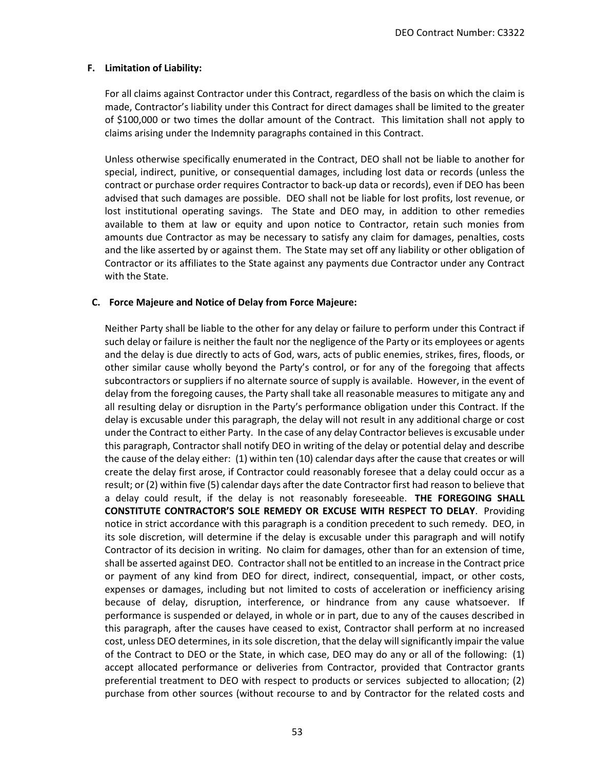#### **F. Limitation of Liability:**

For all claims against Contractor under this Contract, regardless of the basis on which the claim is made, Contractor's liability under this Contract for direct damages shall be limited to the greater of \$100,000 or two times the dollar amount of the Contract. This limitation shall not apply to claims arising under the Indemnity paragraphs contained in this Contract.

Unless otherwise specifically enumerated in the Contract, DEO shall not be liable to another for special, indirect, punitive, or consequential damages, including lost data or records (unless the contract or purchase order requires Contractor to back-up data or records), even if DEO has been advised that such damages are possible. DEO shall not be liable for lost profits, lost revenue, or lost institutional operating savings. The State and DEO may, in addition to other remedies available to them at law or equity and upon notice to Contractor, retain such monies from amounts due Contractor as may be necessary to satisfy any claim for damages, penalties, costs and the like asserted by or against them. The State may set off any liability or other obligation of Contractor or its affiliates to the State against any payments due Contractor under any Contract with the State.

#### **C. Force Majeure and Notice of Delay from Force Majeure:**

Neither Party shall be liable to the other for any delay or failure to perform under this Contract if such delay or failure is neither the fault nor the negligence of the Party or its employees or agents and the delay is due directly to acts of God, wars, acts of public enemies, strikes, fires, floods, or other similar cause wholly beyond the Party's control, or for any of the foregoing that affects subcontractors or suppliers if no alternate source of supply is available. However, in the event of delay from the foregoing causes, the Party shall take all reasonable measures to mitigate any and all resulting delay or disruption in the Party's performance obligation under this Contract. If the delay is excusable under this paragraph, the delay will not result in any additional charge or cost under the Contract to either Party. In the case of any delay Contractor believes is excusable under this paragraph, Contractor shall notify DEO in writing of the delay or potential delay and describe the cause of the delay either: (1) within ten (10) calendar days after the cause that creates or will create the delay first arose, if Contractor could reasonably foresee that a delay could occur as a result; or (2) within five (5) calendar days after the date Contractor first had reason to believe that a delay could result, if the delay is not reasonably foreseeable. **THE FOREGOING SHALL CONSTITUTE CONTRACTOR'S SOLE REMEDY OR EXCUSE WITH RESPECT TO DELAY**. Providing notice in strict accordance with this paragraph is a condition precedent to such remedy. DEO, in its sole discretion, will determine if the delay is excusable under this paragraph and will notify Contractor of its decision in writing. No claim for damages, other than for an extension of time, shall be asserted against DEO. Contractor shall not be entitled to an increase in the Contract price or payment of any kind from DEO for direct, indirect, consequential, impact, or other costs, expenses or damages, including but not limited to costs of acceleration or inefficiency arising because of delay, disruption, interference, or hindrance from any cause whatsoever. If performance is suspended or delayed, in whole or in part, due to any of the causes described in this paragraph, after the causes have ceased to exist, Contractor shall perform at no increased cost, unless DEO determines, in its sole discretion, that the delay will significantly impair the value of the Contract to DEO or the State, in which case, DEO may do any or all of the following: (1) accept allocated performance or deliveries from Contractor, provided that Contractor grants preferential treatment to DEO with respect to products or services subjected to allocation; (2) purchase from other sources (without recourse to and by Contractor for the related costs and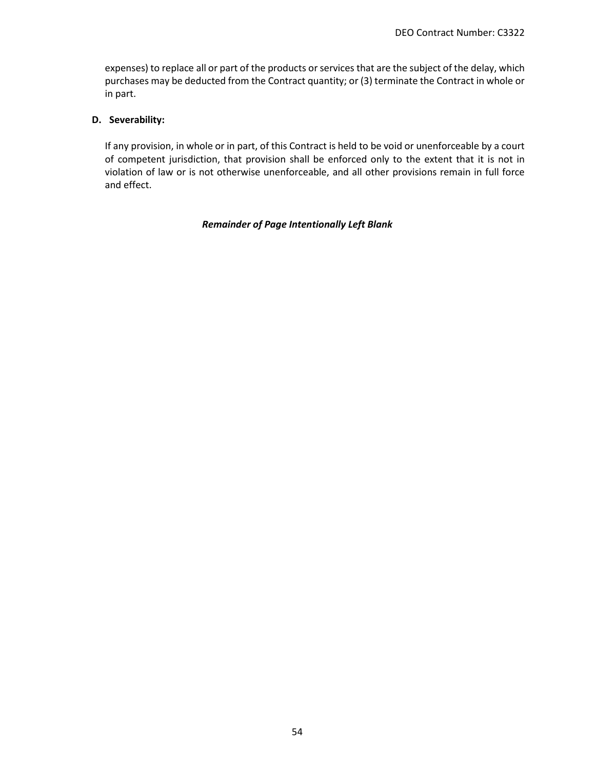expenses) to replace all or part of the products or services that are the subject of the delay, which purchases may be deducted from the Contract quantity; or (3) terminate the Contract in whole or in part.

### **D. Severability:**

If any provision, in whole or in part, of this Contract is held to be void or unenforceable by a court of competent jurisdiction, that provision shall be enforced only to the extent that it is not in violation of law or is not otherwise unenforceable, and all other provisions remain in full force and effect.

#### *Remainder of Page Intentionally Left Blank*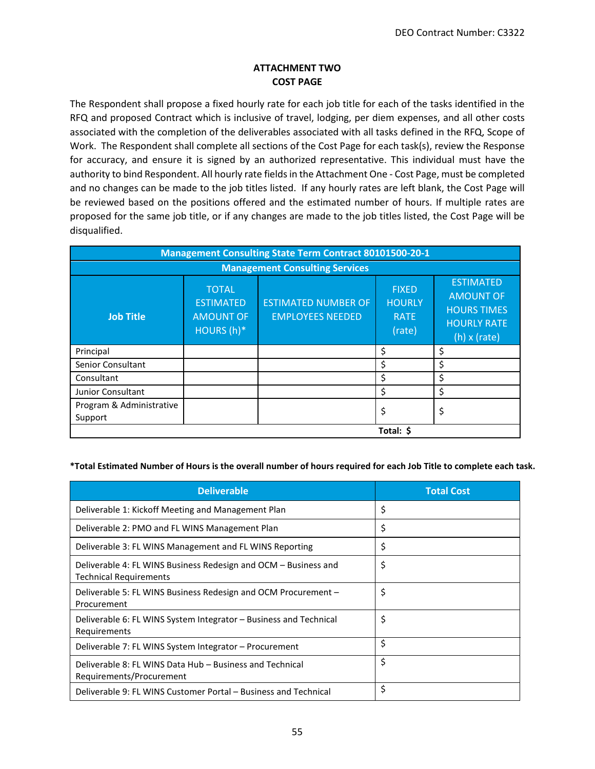# **ATTACHMENT TWO COST PAGE**

The Respondent shall propose a fixed hourly rate for each job title for each of the tasks identified in the RFQ and proposed Contract which is inclusive of travel, lodging, per diem expenses, and all other costs associated with the completion of the deliverables associated with all tasks defined in the RFQ, Scope of Work. The Respondent shall complete all sections of the Cost Page for each task(s), review the Response for accuracy, and ensure it is signed by an authorized representative. This individual must have the authority to bind Respondent. All hourly rate fields in the Attachment One - Cost Page, must be completed and no changes can be made to the job titles listed. If any hourly rates are left blank, the Cost Page will be reviewed based on the positions offered and the estimated number of hours. If multiple rates are proposed for the same job title, or if any changes are made to the job titles listed, the Cost Page will be disqualified.

| <b>Management Consulting State Term Contract 80101500-20-1</b> |                                                                    |                                                       |                                                        |                                                                                                         |
|----------------------------------------------------------------|--------------------------------------------------------------------|-------------------------------------------------------|--------------------------------------------------------|---------------------------------------------------------------------------------------------------------|
| <b>Management Consulting Services</b>                          |                                                                    |                                                       |                                                        |                                                                                                         |
| <b>Job Title</b>                                               | <b>TOTAL</b><br><b>ESTIMATED</b><br><b>AMOUNT OF</b><br>HOURS (h)* | <b>ESTIMATED NUMBER OF</b><br><b>EMPLOYEES NEEDED</b> | <b>FIXED</b><br><b>HOURLY</b><br><b>RATE</b><br>(rate) | <b>ESTIMATED</b><br><b>AMOUNT OF</b><br><b>HOURS TIMES</b><br><b>HOURLY RATE</b><br>$(h) \times (rate)$ |
| Principal                                                      |                                                                    |                                                       | \$                                                     | Ś                                                                                                       |
| <b>Senior Consultant</b>                                       |                                                                    |                                                       | \$                                                     | Ś                                                                                                       |
| Consultant                                                     |                                                                    |                                                       | \$                                                     | \$                                                                                                      |
| Junior Consultant                                              |                                                                    |                                                       | \$                                                     | \$                                                                                                      |
| Program & Administrative<br>Support                            |                                                                    |                                                       | \$                                                     | \$                                                                                                      |
| Total: \$                                                      |                                                                    |                                                       |                                                        |                                                                                                         |

#### **\*Total Estimated Number of Hours is the overall number of hours required for each Job Title to complete each task.**

| <b>Deliverable</b>                                                                               | <b>Total Cost</b> |
|--------------------------------------------------------------------------------------------------|-------------------|
| Deliverable 1: Kickoff Meeting and Management Plan                                               | \$                |
| Deliverable 2: PMO and FL WINS Management Plan                                                   | \$                |
| Deliverable 3: FL WINS Management and FL WINS Reporting                                          | \$                |
| Deliverable 4: FL WINS Business Redesign and OCM – Business and<br><b>Technical Requirements</b> | \$                |
| Deliverable 5: FL WINS Business Redesign and OCM Procurement –<br>Procurement                    | \$                |
| Deliverable 6: FL WINS System Integrator - Business and Technical<br>Requirements                | \$                |
| Deliverable 7: FL WINS System Integrator – Procurement                                           | \$                |
| Deliverable 8: FL WINS Data Hub – Business and Technical<br>Requirements/Procurement             | \$                |
| Deliverable 9: FL WINS Customer Portal – Business and Technical                                  | \$                |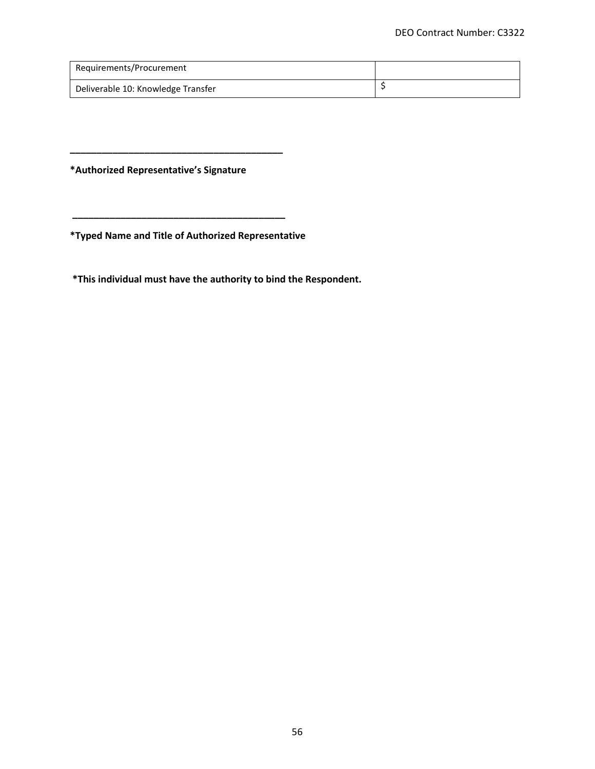| Requirements/Procurement           |  |
|------------------------------------|--|
| Deliverable 10: Knowledge Transfer |  |

**\*Authorized Representative's Signature** 

**\_\_\_\_\_\_\_\_\_\_\_\_\_\_\_\_\_\_\_\_\_\_\_\_\_\_\_\_\_\_\_\_\_\_\_\_\_\_\_\_**

**\*Typed Name and Title of Authorized Representative** 

**\_\_\_\_\_\_\_\_\_\_\_\_\_\_\_\_\_\_\_\_\_\_\_\_\_\_\_\_\_\_\_\_\_\_\_\_\_\_\_\_**

**\*This individual must have the authority to bind the Respondent.**